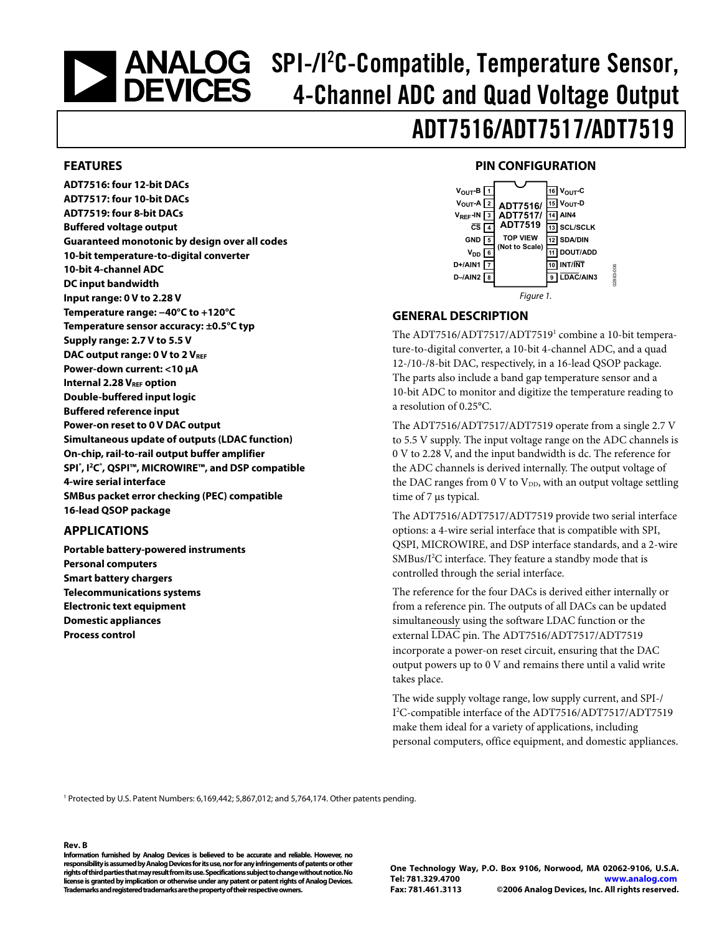# <span id="page-0-0"></span>SPI-/I<sup>2</sup>C-Compatible, Temperature Sensor, 4-Channel ADC and Quad Voltage Output

## ADT7516/ADT7517/ADT7519

## **FEATURES**

**ADT7516: four 12-bit DACs ADT7517: four 10-bit DACs ADT7519: four 8-bit DACs Buffered voltage output Guaranteed monotonic by design over all codes 10-bit temperature-to-digital converter 10-bit 4-channel ADC DC input bandwidth Input range: 0 V to 2.28 V Temperature range: −40°C to +120°C Temperature sensor accuracy: ±0.5°C typ Supply range: 2.7 V to 5.5 V**  DAC output range: 0 V to 2 V<sub>REF</sub> **Power-down current: <10 μA Internal 2.28 VREF option Double-buffered input logic Buffered reference input Power-on reset to 0 V DAC output Simultaneous update of outputs (LDAC function) On-chip, rail-to-rail output buffer amplifier SPI® , I2C® , QSPI™, MICROWIRE™, and DSP compatible 4-wire serial interface SMBus packet error checking (PEC) compatible 16-lead QSOP package** 

## **APPLICATIONS**

**Portable battery-powered instruments Personal computers Smart battery chargers Telecommunications systems Electronic text equipment Domestic appliances Process control** 

## **PIN CONFIGURATION**



## **GENERAL DESCRIPTION**

The ADT7516/ADT7517/ADT7519<sup>1</sup> combine a 10-bit temperature-to-digital converter, a 10-bit 4-channel ADC, and a quad 12-/10-/8-bit DAC, respectively, in a 16-lead QSOP package. The parts also include a band gap temperature sensor and a 10-bit ADC to monitor and digitize the temperature reading to a resolution of 0.25°C.

The ADT7516/ADT7517/ADT7519 operate from a single 2.7 V to 5.5 V supply. The input voltage range on the ADC channels is 0 V to 2.28 V, and the input bandwidth is dc. The reference for the ADC channels is derived internally. The output voltage of the DAC ranges from 0 V to  $V_{DD}$ , with an output voltage settling time of 7 μs typical.

The ADT7516/ADT7517/ADT7519 provide two serial interface options: a 4-wire serial interface that is compatible with SPI, QSPI, MICROWIRE, and DSP interface standards, and a 2-wire SMBus/I<sup>2</sup>C interface. They feature a standby mode that is controlled through the serial interface.

The reference for the four DACs is derived either internally or from a reference pin. The outputs of all DACs can be updated simultaneously using the software LDAC function or the external LDAC pin. The ADT7516/ADT7517/ADT7519 incorporate a power-on reset circuit, ensuring that the DAC output powers up to 0 V and remains there until a valid write takes place.

The wide supply voltage range, low supply current, and SPI-/ I 2 C-compatible interface of the ADT7516/ADT7517/ADT7519 make them ideal for a variety of applications, including personal computers, office equipment, and domestic appliances.

<sup>1</sup> Protected by U.S. Patent Numbers: 6,169,442; 5,867,012; and 5,764,174. Other patents pending.

#### **Rev. B**

**Information furnished by Analog Devices is believed to be accurate and reliable. However, no responsibility is assumed by Analog Devices for its use, nor for any infringements of patents or other rights of third parties that may result from its use. Specifications subject to change without notice. No license is granted by implication or otherwise under any patent or patent rights of Analog Devices. Trademarks and registered trademarks are the property of their respective owners.** 

**One Technology Way, P.O. Box 9106, Norwood, MA 02062-9106, U.S.A. Tel: 781.329.4700 www.analog.com Fax: 781.461.3113 ©2006 Analog Devices, Inc. All rights reserved.**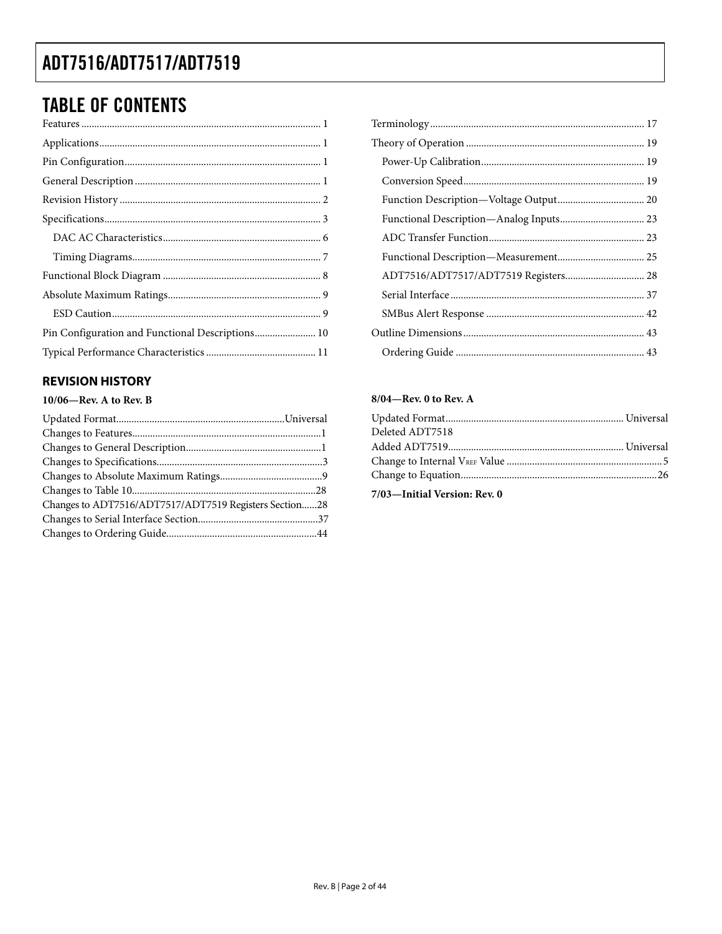## <span id="page-1-0"></span>**TABLE OF CONTENTS**

| Pin Configuration and Functional Descriptions 10 |
|--------------------------------------------------|
|                                                  |

## **REVISION HISTORY**

## 10/06-Rev. A to Rev. B

| Changes to ADT7516/ADT7517/ADT7519 Registers Section28 |  |
|--------------------------------------------------------|--|
|                                                        |  |
|                                                        |  |

| ADT7516/ADT7517/ADT7519 Registers 28 |  |
|--------------------------------------|--|
|                                      |  |
|                                      |  |
|                                      |  |
|                                      |  |

## 8/04-Rev. 0 to Rev. A

| Deleted ADT7518 |  |
|-----------------|--|
|                 |  |
|                 |  |
|                 |  |
|                 |  |

7/03-Initial Version: Rev. 0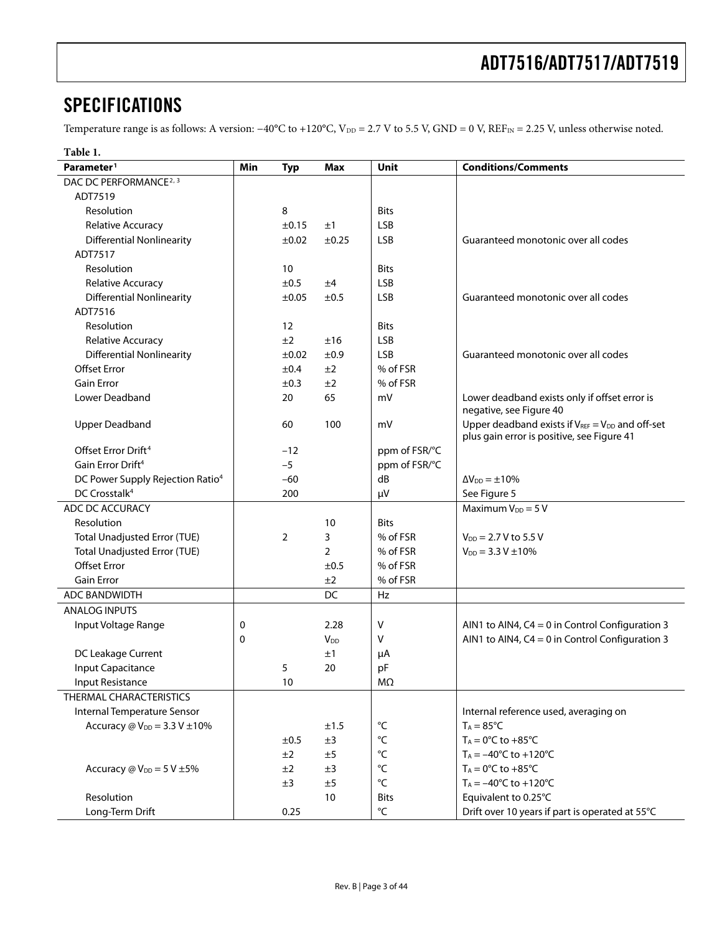## <span id="page-2-2"></span><span id="page-2-0"></span>**SPECIFICATIONS**

Temperature range is as follows: A version: −40°C to +120°C, V<sub>DD</sub> = 2.7 V to 5.5 V, GND = 0 V, REF<sub>IN</sub> = 2.25 V, unless otherwise noted.

<span id="page-2-1"></span>

| Table 1.                                         |     |                |                       |                   |                                                                                                       |
|--------------------------------------------------|-----|----------------|-----------------------|-------------------|-------------------------------------------------------------------------------------------------------|
| Parameter <sup>1</sup>                           | Min | <b>Typ</b>     | Max                   | Unit              | <b>Conditions/Comments</b>                                                                            |
| DAC DC PERFORMANCE <sup>2, 3</sup>               |     |                |                       |                   |                                                                                                       |
| ADT7519                                          |     |                |                       |                   |                                                                                                       |
| Resolution                                       |     | 8              |                       | <b>Bits</b>       |                                                                                                       |
| Relative Accuracy                                |     | $\pm 0.15$     | ±1                    | <b>LSB</b>        |                                                                                                       |
| <b>Differential Nonlinearity</b>                 |     | $\pm 0.02$     | ±0.25                 | LSB               | Guaranteed monotonic over all codes                                                                   |
| ADT7517                                          |     |                |                       |                   |                                                                                                       |
| Resolution                                       |     | 10             |                       | <b>Bits</b>       |                                                                                                       |
| <b>Relative Accuracy</b>                         |     | ±0.5           | ±4                    | <b>LSB</b>        |                                                                                                       |
| <b>Differential Nonlinearity</b>                 |     | ±0.05          | ±0.5                  | <b>LSB</b>        | Guaranteed monotonic over all codes                                                                   |
| ADT7516                                          |     |                |                       |                   |                                                                                                       |
| Resolution                                       |     | 12             |                       | <b>Bits</b>       |                                                                                                       |
| <b>Relative Accuracy</b>                         |     | ±2             | ±16                   | <b>LSB</b>        |                                                                                                       |
| <b>Differential Nonlinearity</b>                 |     | $\pm 0.02$     | ±0.9                  | <b>LSB</b>        | Guaranteed monotonic over all codes                                                                   |
| <b>Offset Error</b>                              |     | ±0.4           | ±2                    | % of FSR          |                                                                                                       |
| <b>Gain Error</b>                                |     | ±0.3           | ±2                    | % of FSR          |                                                                                                       |
| Lower Deadband                                   |     | 20             | 65                    | mV                | Lower deadband exists only if offset error is<br>negative, see Figure 40                              |
| <b>Upper Deadband</b>                            |     | 60             | 100                   | mV                | Upper deadband exists if $V_{REF} = V_{DD}$ and off-set<br>plus gain error is positive, see Figure 41 |
| Offset Error Drift <sup>4</sup>                  |     | $-12$          |                       | ppm of FSR/°C     |                                                                                                       |
| Gain Error Drift <sup>4</sup>                    |     | $-5$           |                       | ppm of FSR/°C     |                                                                                                       |
| DC Power Supply Rejection Ratio <sup>4</sup>     |     | $-60$          |                       | dB                | $\Delta V_{DD} = \pm 10\%$                                                                            |
| DC Crosstalk <sup>4</sup>                        |     | 200            |                       | μV                | See Figure 5                                                                                          |
| ADC DC ACCURACY                                  |     |                |                       |                   | Maximum $V_{DD} = 5 V$                                                                                |
| Resolution                                       |     |                | 10                    | <b>Bits</b>       |                                                                                                       |
| <b>Total Unadjusted Error (TUE)</b>              |     | $\overline{2}$ | 3                     | % of FSR          | $V_{DD} = 2.7 V$ to 5.5 V                                                                             |
| <b>Total Unadjusted Error (TUE)</b>              |     |                | $\overline{2}$        | % of FSR          | $V_{DD} = 3.3 V \pm 10\%$                                                                             |
| <b>Offset Error</b>                              |     |                | ±0.5                  | % of FSR          |                                                                                                       |
| <b>Gain Error</b>                                |     |                | ±2                    | % of FSR          |                                                                                                       |
| <b>ADC BANDWIDTH</b>                             |     |                | DC                    | Hz                |                                                                                                       |
| <b>ANALOG INPUTS</b>                             |     |                |                       |                   |                                                                                                       |
| Input Voltage Range                              | 0   |                | 2.28                  | V                 | AIN1 to AIN4, $C4 = 0$ in Control Configuration 3                                                     |
|                                                  | 0   |                | <b>V<sub>DD</sub></b> | ٧                 | AIN1 to AIN4, $C4 = 0$ in Control Configuration 3                                                     |
| DC Leakage Current                               |     |                | ±1                    | μA                |                                                                                                       |
| Input Capacitance                                |     | 5              | 20                    | pF                |                                                                                                       |
| <b>Input Resistance</b>                          |     | 10             |                       | MΩ                |                                                                                                       |
| THERMAL CHARACTERISTICS                          |     |                |                       |                   |                                                                                                       |
| Internal Temperature Sensor                      |     |                |                       |                   | Internal reference used, averaging on                                                                 |
| Accuracy $\omega$ V <sub>DD</sub> = 3.3 V ±10%   |     |                | ±1.5                  | $^{\circ}{\sf C}$ | $T_A = 85^{\circ}C$                                                                                   |
|                                                  |     | ±0.5           | ±3                    | $^{\circ}{\sf C}$ | $T_A = 0$ °C to +85°C                                                                                 |
|                                                  |     | ±2             | ±5                    | $^{\circ}{\sf C}$ | $T_A = -40^{\circ}C$ to $+120^{\circ}C$                                                               |
| Accuracy $\omega$ V <sub>DD</sub> = 5 V $\pm$ 5% |     | ±2             | ±3                    | $^{\circ}{\sf C}$ | $T_A = 0$ °C to +85°C                                                                                 |
|                                                  |     | ±3             | ±5                    | °C                | $T_A = -40^{\circ}C$ to $+120^{\circ}C$                                                               |
| Resolution                                       |     |                | $10\,$                | <b>Bits</b>       | Equivalent to 0.25°C                                                                                  |
| Long-Term Drift                                  |     | 0.25           |                       | °C                | Drift over 10 years if part is operated at 55°C                                                       |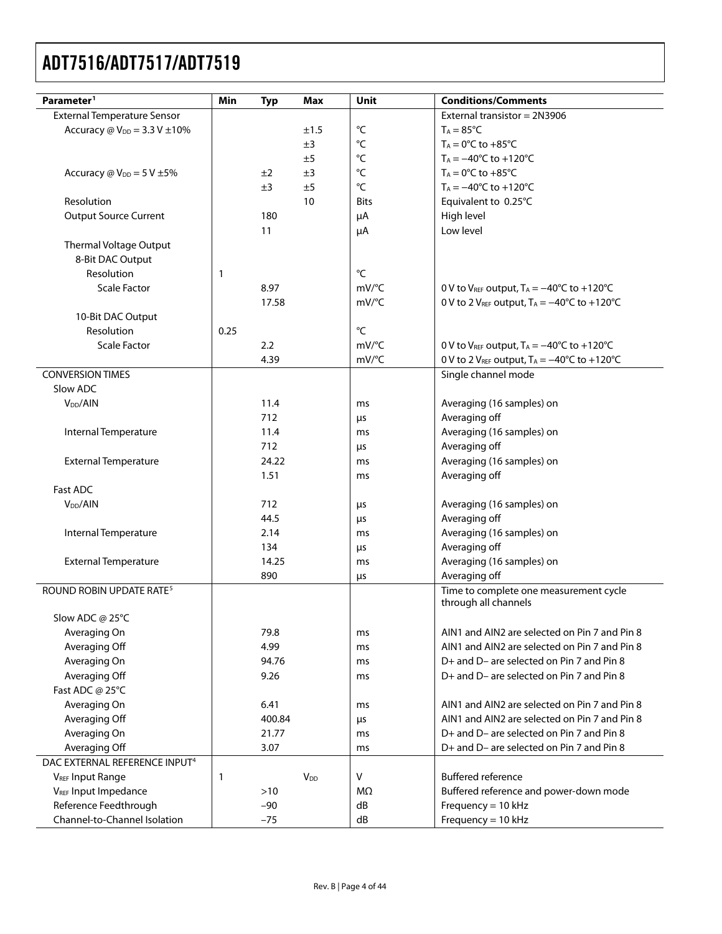| Parameter <sup>1</sup>                              | Min                   | <b>Typ</b> | Max                    | Unit                                          | <b>Conditions/Comments</b>                                                |
|-----------------------------------------------------|-----------------------|------------|------------------------|-----------------------------------------------|---------------------------------------------------------------------------|
| <b>External Temperature Sensor</b>                  |                       |            |                        |                                               | External transistor = 2N3906                                              |
| Accuracy $\omega$ V <sub>DD</sub> = 3.3 V $\pm$ 10% |                       |            | ±1.5                   | °C                                            | $T_A = 85^{\circ}C$                                                       |
|                                                     |                       |            | ±3                     | $^{\circ}{\sf C}$                             | $T_A = 0$ °C to +85°C                                                     |
|                                                     |                       |            | ±5                     | $^{\circ}{\sf C}$                             | $T_A = -40^{\circ}C$ to $+120^{\circ}C$                                   |
| Accuracy $\omega$ V <sub>DD</sub> = 5 V $\pm$ 5%    |                       | ±2         | ±3                     | °C                                            | $T_A = 0$ °C to +85°C                                                     |
|                                                     |                       | ±3         | ±5                     | °C                                            | $T_A = -40^{\circ}C$ to $+120^{\circ}C$                                   |
| Resolution                                          |                       |            | 10                     | <b>Bits</b>                                   | Equivalent to 0.25°C                                                      |
| <b>Output Source Current</b>                        |                       | 180        |                        | μA                                            | High level                                                                |
|                                                     |                       | 11         |                        | μA                                            | Low level                                                                 |
| Thermal Voltage Output                              |                       |            |                        |                                               |                                                                           |
| 8-Bit DAC Output                                    |                       |            |                        |                                               |                                                                           |
| Resolution                                          | 1                     |            |                        | $\rm ^{\circ}C$                               |                                                                           |
| <b>Scale Factor</b>                                 |                       | 8.97       |                        | $mV$ <sup>o</sup> C                           | 0 V to $V_{REF}$ output, $T_A = -40^{\circ}C$ to +120°C                   |
|                                                     |                       | 17.58      |                        | $mV$ <sup>o</sup> C                           | 0 V to 2 V <sub>REF</sub> output, $T_A = -40^{\circ}C$ to $+120^{\circ}C$ |
| 10-Bit DAC Output                                   |                       |            |                        |                                               |                                                                           |
| Resolution                                          | 0.25                  |            |                        | $^{\circ}{\sf C}$                             |                                                                           |
| <b>Scale Factor</b>                                 |                       | 2.2        |                        | $mV$ <sup>o</sup> C                           | 0 V to $V_{REF}$ output, $T_A = -40^{\circ}C$ to $+120^{\circ}C$          |
|                                                     |                       | 4.39       |                        | mV/°C                                         | 0 V to 2 VREF output, $T_A = -40^{\circ}C$ to +120 $^{\circ}C$            |
| <b>CONVERSION TIMES</b>                             |                       |            |                        |                                               | Single channel mode                                                       |
| Slow ADC                                            |                       |            |                        |                                               |                                                                           |
| V <sub>DD</sub> /AlN                                |                       | 11.4       |                        | ms                                            | Averaging (16 samples) on                                                 |
|                                                     |                       | 712        |                        | μs                                            | Averaging off                                                             |
| Internal Temperature                                |                       | 11.4       |                        | ms                                            | Averaging (16 samples) on                                                 |
|                                                     |                       | 712        |                        | μs                                            | Averaging off                                                             |
| <b>External Temperature</b>                         |                       | 24.22      |                        | ms                                            | Averaging (16 samples) on                                                 |
|                                                     |                       | 1.51       |                        | ms                                            | Averaging off                                                             |
| Fast ADC                                            |                       |            |                        |                                               |                                                                           |
| V <sub>DD</sub> /AIN                                |                       | 712        |                        | μs                                            | Averaging (16 samples) on                                                 |
|                                                     |                       | 44.5       |                        | μs                                            | Averaging off                                                             |
| Internal Temperature                                |                       | 2.14       |                        | ms                                            | Averaging (16 samples) on                                                 |
|                                                     |                       | 134        |                        | μs                                            | Averaging off                                                             |
| <b>External Temperature</b>                         |                       | 14.25      |                        | ms                                            | Averaging (16 samples) on                                                 |
|                                                     |                       | 890        |                        | μs                                            | Averaging off                                                             |
| ROUND ROBIN UPDATE RATE <sup>5</sup>                |                       |            |                        |                                               | Time to complete one measurement cycle                                    |
|                                                     |                       |            |                        |                                               | through all channels                                                      |
| Slow ADC @ 25°C                                     |                       |            |                        |                                               |                                                                           |
| Averaging On                                        |                       | 79.8       |                        | ms                                            | AIN1 and AIN2 are selected on Pin 7 and Pin 8                             |
| Averaging Off                                       |                       | 4.99       |                        | ms                                            | AIN1 and AIN2 are selected on Pin 7 and Pin 8                             |
| Averaging On                                        |                       | 94.76      |                        | ms                                            | D+ and D- are selected on Pin 7 and Pin 8                                 |
|                                                     | 9.26<br>Averaging Off |            | ms                     | D+ and D- are selected on Pin 7 and Pin 8     |                                                                           |
| Fast ADC @ 25°C                                     |                       |            |                        |                                               |                                                                           |
| Averaging On                                        | 6.41                  |            | ms                     | AIN1 and AIN2 are selected on Pin 7 and Pin 8 |                                                                           |
| Averaging Off                                       |                       | 400.84     |                        | μs                                            | AIN1 and AIN2 are selected on Pin 7 and Pin 8                             |
| Averaging On                                        |                       | 21.77      |                        | ms                                            | D+ and D- are selected on Pin 7 and Pin 8                                 |
| Averaging Off                                       | 3.07                  |            | ms                     | D+ and D- are selected on Pin 7 and Pin 8     |                                                                           |
| DAC EXTERNAL REFERENCE INPUT <sup>4</sup>           |                       |            |                        |                                               |                                                                           |
| <b>VREF Input Range</b>                             | 1                     |            | <b>V</b> <sub>DD</sub> | ۷                                             | <b>Buffered reference</b>                                                 |
| V <sub>REF</sub> Input Impedance                    | $>10$                 |            | MΩ                     | Buffered reference and power-down mode        |                                                                           |
| Reference Feedthrough                               |                       | $-90$      |                        | dB                                            | Frequency = $10$ kHz                                                      |
| Channel-to-Channel Isolation                        |                       | $-75$      |                        | dB                                            | Frequency = $10$ kHz                                                      |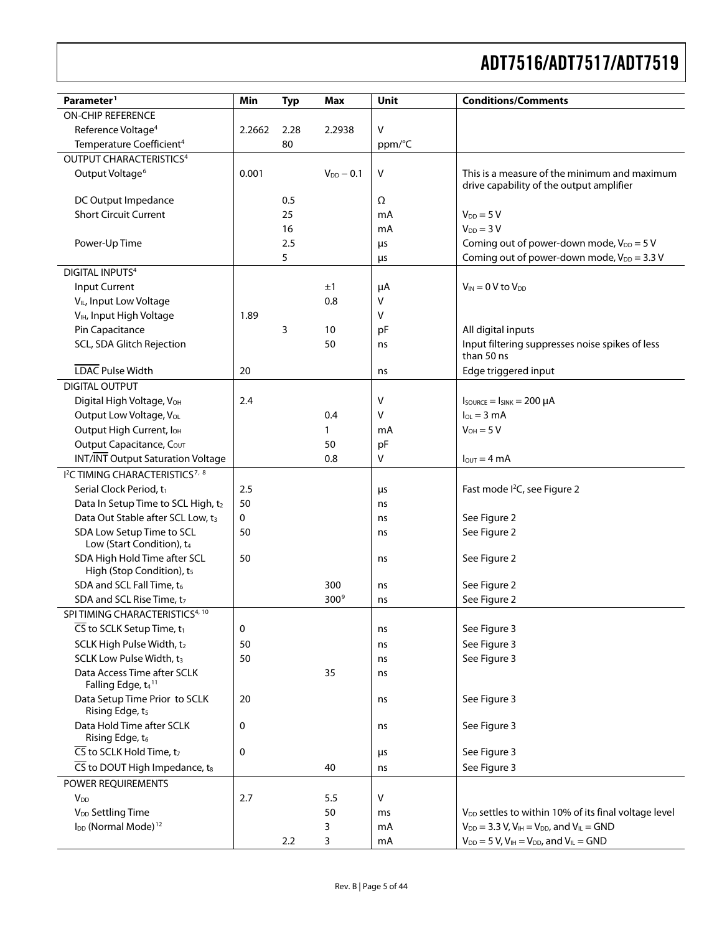| Parameter <sup>1</sup>                                                | Min    | <b>Typ</b>     | <b>Max</b>       | Unit         | <b>Conditions/Comments</b>                                                               |
|-----------------------------------------------------------------------|--------|----------------|------------------|--------------|------------------------------------------------------------------------------------------|
| ON-CHIP REFERENCE                                                     |        |                |                  |              |                                                                                          |
| Reference Voltage <sup>4</sup>                                        | 2.2662 | 2.28<br>2.2938 |                  | $\vee$       |                                                                                          |
| Temperature Coefficient <sup>4</sup>                                  |        | 80             |                  | ppm/°C       |                                                                                          |
| OUTPUT CHARACTERISTICS <sup>4</sup>                                   |        |                |                  |              |                                                                                          |
| Output Voltage <sup>6</sup>                                           | 0.001  |                | $V_{DD}$ - 0.1   | $\sf V$      | This is a measure of the minimum and maximum<br>drive capability of the output amplifier |
| DC Output Impedance                                                   |        | 0.5            |                  | Ω            |                                                                                          |
| <b>Short Circuit Current</b>                                          |        | 25             |                  | mA           | $V_{DD} = 5 V$                                                                           |
|                                                                       |        | 16             |                  | mA           | $V_{DD} = 3 V$                                                                           |
| Power-Up Time                                                         |        | 2.5            |                  | μs           | Coming out of power-down mode, $V_{DD} = 5 V$                                            |
|                                                                       |        | 5              |                  | μs           | Coming out of power-down mode, $V_{DD} = 3.3 V$                                          |
| <b>DIGITAL INPUTS4</b>                                                |        |                |                  |              |                                                                                          |
| Input Current                                                         |        |                | ±1               | $\mu A$      | $V_{IN} = 0 V$ to $V_{DD}$                                                               |
| V <sub>IL</sub> , Input Low Voltage                                   |        |                | 0.8              | ٧            |                                                                                          |
| V <sub>IH</sub> , Input High Voltage                                  | 1.89   |                |                  | v            |                                                                                          |
| Pin Capacitance                                                       |        | 3              | 10               | pF           | All digital inputs                                                                       |
| SCL, SDA Glitch Rejection                                             |        |                | 50               | ns           | Input filtering suppresses noise spikes of less<br>than 50 ns                            |
| <b>LDAC</b> Pulse Width                                               | 20     |                |                  | ns           | Edge triggered input                                                                     |
| <b>DIGITAL OUTPUT</b>                                                 |        |                |                  |              |                                                                                          |
| Digital High Voltage, VOH                                             | 2.4    |                |                  | v            | $I_{\text{SOWRCE}} = I_{\text{SINK}} = 200 \mu A$                                        |
| Output Low Voltage, VoL                                               |        |                | 0.4              | v            | $I_{OL} = 3 \text{ mA}$                                                                  |
| Output High Current, I <sub>OH</sub>                                  |        |                | 1                | mA           | $V_{OH} = 5 V$                                                                           |
| Output Capacitance, COUT                                              |        |                | 50               | pF           |                                                                                          |
| <b>INT/INT Output Saturation Voltage</b>                              |        |                | 0.8              | v            | $I_{\text{OUT}} = 4 \text{ mA}$                                                          |
| <sup>12</sup> C TIMING CHARACTERISTICS <sup>7, 8</sup>                |        |                |                  |              |                                                                                          |
| Serial Clock Period, t1                                               | 2.5    |                |                  | μs           | Fast mode I <sup>2</sup> C, see Figure 2                                                 |
| Data In Setup Time to SCL High, t2                                    | 50     |                |                  | ns           |                                                                                          |
| Data Out Stable after SCL Low, t3                                     | 0      |                | ns               | See Figure 2 |                                                                                          |
| SDA Low Setup Time to SCL<br>Low (Start Condition), t4                | 50     |                |                  | ns           | See Figure 2                                                                             |
| SDA High Hold Time after SCL<br>High (Stop Condition), t <sub>5</sub> | 50     |                |                  | ns           | See Figure 2                                                                             |
| SDA and SCL Fall Time, to                                             |        |                | 300              | ns           | See Figure 2                                                                             |
| SDA and SCL Rise Time, t7                                             |        |                | 300 <sup>9</sup> | ns           | See Figure 2                                                                             |
| SPITIMING CHARACTERISTICS <sup>4, 10</sup>                            |        |                |                  |              |                                                                                          |
| $\overline{\mathsf{CS}}$ to SCLK Setup Time, t <sub>1</sub>           | 0      |                |                  | ns           | See Figure 3                                                                             |
| SCLK High Pulse Width, t2                                             | 50     |                |                  | ns           | See Figure 3                                                                             |
| SCLK Low Pulse Width, t3                                              | 50     |                |                  | ns           | See Figure 3                                                                             |
| Data Access Time after SCLK<br>Falling Edge, t4 <sup>11</sup>         |        |                | 35               | ns           |                                                                                          |
| Data Setup Time Prior to SCLK<br>Rising Edge, t <sub>5</sub>          | 20     |                |                  | ns           | See Figure 3                                                                             |
| Data Hold Time after SCLK<br>Rising Edge, t <sub>6</sub>              | 0      |                |                  | ns           | See Figure 3                                                                             |
| $\overline{\mathsf{CS}}$ to SCLK Hold Time, t <sub>7</sub>            | 0      |                |                  | μs           | See Figure 3                                                                             |
| $\overline{\text{CS}}$ to DOUT High Impedance, t <sub>8</sub>         |        |                | 40               | ns           | See Figure 3                                                                             |
| POWER REQUIREMENTS                                                    |        |                |                  |              |                                                                                          |
| <b>V</b> <sub>DD</sub>                                                | 2.7    |                | 5.5              | $\vee$       |                                                                                          |
| V <sub>DD</sub> Settling Time                                         |        |                | 50               | ms           | V <sub>DD</sub> settles to within 10% of its final voltage level                         |
| I <sub>DD</sub> (Normal Mode) <sup>12</sup>                           |        |                | 3                | mA           | $V_{DD} = 3.3 V, V_{IH} = V_{DD}$ , and $V_{IL} = GND$                                   |
|                                                                       |        | 2.2            | 3                | mA           | $V_{DD} = 5 V$ , $V_{IH} = V_{DD}$ , and $V_{IL} = GND$                                  |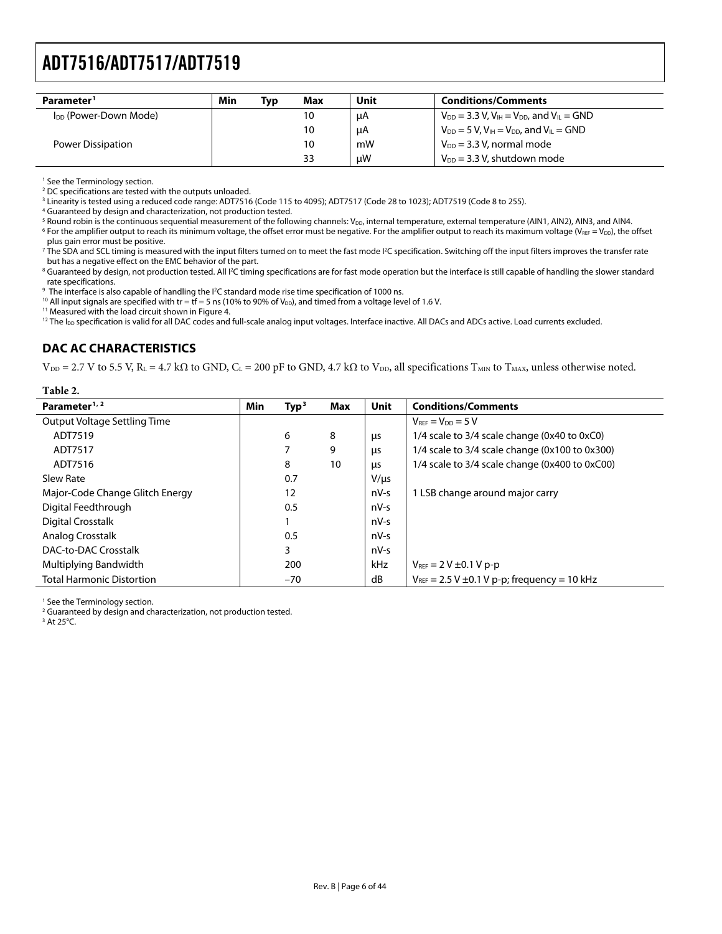<span id="page-5-0"></span>

| Parameter <sup>1</sup>            | Min | Tvɒ | Max | Unit | <b>Conditions/Comments</b>                              |
|-----------------------------------|-----|-----|-----|------|---------------------------------------------------------|
| I <sub>DD</sub> (Power-Down Mode) |     |     | 10  | μA   | $V_{DD} = 3.3 V, V_{IH} = V_{DD}$ , and $V_{IL} = GND$  |
|                                   |     |     | 10  | μA   | $V_{DD} = 5 V$ , $V_{IH} = V_{DD}$ , and $V_{IL} = GND$ |
| Power Dissipation                 |     |     | 10  | mW   | $V_{DD}$ = 3.3 V, normal mode                           |
|                                   |     |     | 33  | uW   | $V_{DD}$ = 3.3 V, shutdown mode                         |

1 See the Terminology section.

<sup>2</sup> DC specifications are tested with the outputs unloaded.

<sup>3</sup> Linearity is tested using a reduced code range: ADT7516 (Code 115 to 4095); ADT7517 (Code 28 to 1023); ADT7519 (Code 8 to 255).<br><sup>4</sup> Guaranteed by design and characterization, not production tested

Guaranteed by design and characterization, not production tested.

<sup>5</sup> Round robin is the continuous sequential measurement of the following channels: V<sub>DD</sub>, internal temperature, external temperature (AIN1, AIN2), AIN3, and AIN4.<br>6 Eor the amplifier output to reach its minimum voltage,

<sup>6</sup> For the amplifier output to reach its minimum voltage, the offset error must be negative. For the amplifier output to reach its maximum voltage (V<sub>REF</sub> = V<sub>DD</sub>), the offset plus gain error must be positive.

The SDA and SCL timing is measured with the input filters turned on to meet the fast mode I<sup>2</sup>C specification. Switching off the input filters improves the transfer rate but has a negative effect on the EMC behavior of the part.

 $^8$  Guaranteed by design, not production tested. All I<sup>2</sup>C timing specifications are for fast mode operation but the interface is still capable of handling the slower standard rate specifications.

<sup>9</sup> The interface is also capable of handling the <sup>12</sup>

<sup>10</sup> All input signals are specified with tr = tf = 5 ns (10% to 90% of V<sub>DD</sub>), and timed from a voltage level of 1.6 V. <sup>11</sup> Measured with the load circuit shown in Figure 4.

<sup>12</sup> The I<sub>DD</sub> specification is valid for all DAC codes and full-scale analog input voltages. Interface inactive. All DACs and ADCs active. Load currents excluded.

## **DAC AC CHARACTERISTICS**

 $V_{DD} = 2.7$  V to 5.5 V, R<sub>L</sub> = 4.7 kΩ to GND, C<sub>L</sub> = 200 pF to GND, 4.7 kΩ to V<sub>DD</sub>, all specifications T<sub>MIN</sub> to T<sub>MAX</sub>, unless otherwise noted.

| radie 2.                         |            |                   |     |           |                                                       |
|----------------------------------|------------|-------------------|-----|-----------|-------------------------------------------------------|
| Parameter <sup>1, 2</sup>        | <b>Min</b> | Type <sup>3</sup> | Max | Unit      | <b>Conditions/Comments</b>                            |
| Output Voltage Settling Time     |            |                   |     |           | $V_{\text{RFE}} = V_{\text{DD}} = 5 V$                |
| ADT7519                          |            | 6                 | 8   | μs        | 1/4 scale to 3/4 scale change (0x40 to 0xC0)          |
| ADT7517                          |            |                   | 9   | μs        | 1/4 scale to 3/4 scale change (0x100 to 0x300)        |
| ADT7516                          |            | 8                 | 10  | μs        | 1/4 scale to 3/4 scale change (0x400 to 0xC00)        |
| Slew Rate                        |            | 0.7               |     | $V/\mu s$ |                                                       |
| Major-Code Change Glitch Energy  |            | 12                |     | $nV-S$    | 1 LSB change around major carry                       |
| Digital Feedthrough              |            | 0.5               |     | nV-s      |                                                       |
| <b>Digital Crosstalk</b>         |            |                   |     | $nV-S$    |                                                       |
| Analog Crosstalk                 |            | 0.5               |     | nV-s      |                                                       |
| DAC-to-DAC Crosstalk             |            | 3                 |     | nV-s      |                                                       |
| Multiplying Bandwidth            |            | 200               |     | kHz       | $V_{REF} = 2 V \pm 0.1 V p-p$                         |
| <b>Total Harmonic Distortion</b> |            | $-70$             |     | dB        | $V_{REF}$ = 2.5 V $\pm$ 0.1 V p-p; frequency = 10 kHz |
|                                  |            |                   |     |           |                                                       |

1 See the Terminology section.

<sup>2</sup> Guaranteed by design and characterization, not production tested.

 $3$  At 25°C.

**Table 2. Part 2.**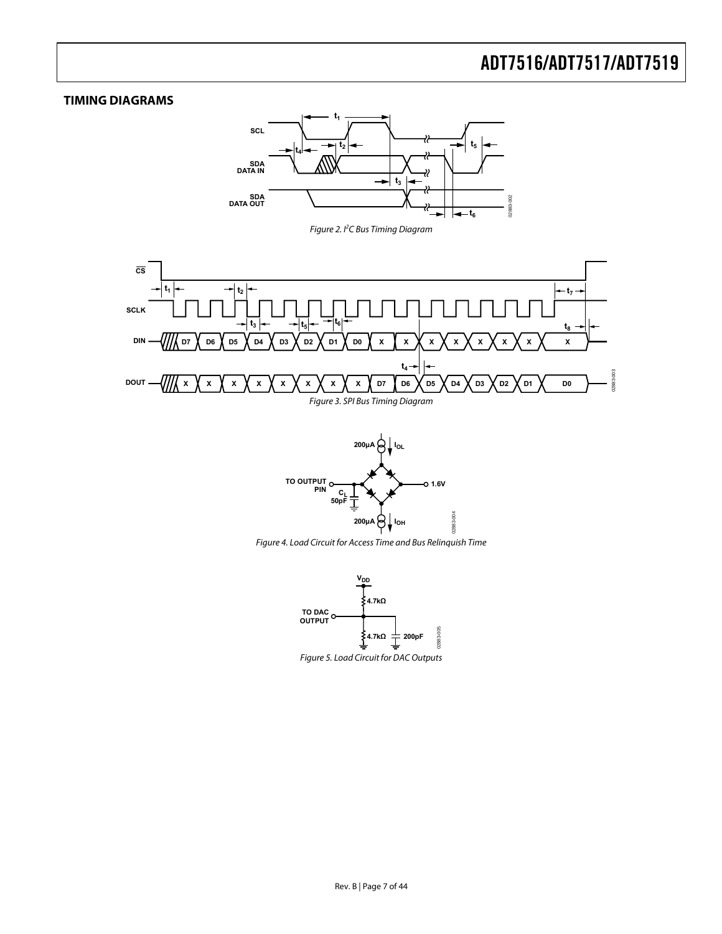## <span id="page-6-0"></span>**TIMING DIAGRAMS**



Figure 2. I<sup>2</sup>C Bus Timing Diagram

<span id="page-6-3"></span><span id="page-6-2"></span>



<span id="page-6-1"></span>Figure 4. Load Circuit for Access Time and Bus Relinquish Time

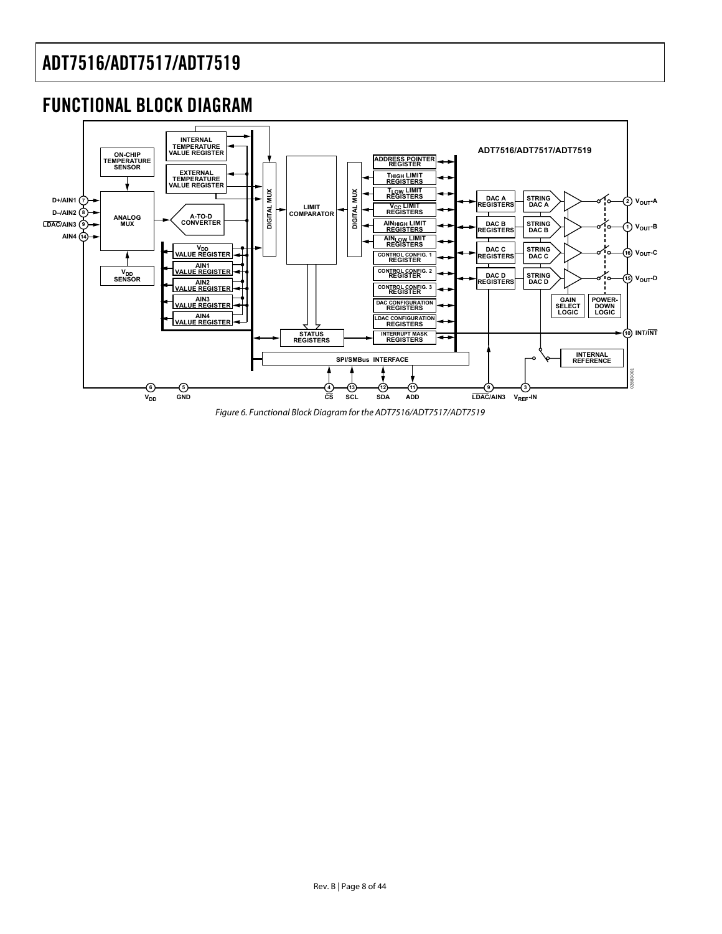## <span id="page-7-0"></span>FUNCTIONAL BLOCK DIAGRAM



Figure 6. Functional Block Diagram for the ADT7516/ADT7517/ADT7519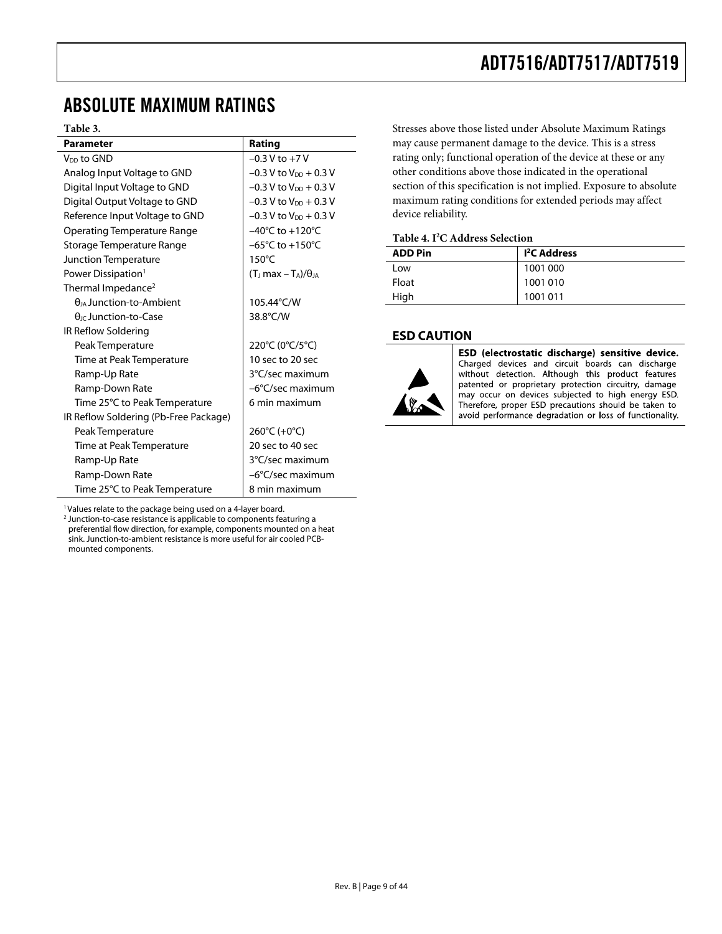## <span id="page-8-0"></span>ABSOLUTE MAXIMUM RATINGS

#### **Table 3.**

| <b>Parameter</b>                      | Rating                              |
|---------------------------------------|-------------------------------------|
| V <sub>DD</sub> to GND                | $-0.3 V$ to $+7 V$                  |
| Analog Input Voltage to GND           | $-0.3$ V to $V_{DD}$ + 0.3 V        |
| Digital Input Voltage to GND          | $-0.3$ V to $V_{DD}$ + 0.3 V        |
| Digital Output Voltage to GND         | $-0.3$ V to V <sub>DD</sub> + 0.3 V |
| Reference Input Voltage to GND        | $-0.3$ V to $V_{DD}$ + 0.3 V        |
| <b>Operating Temperature Range</b>    | $-40^{\circ}$ C to $+120^{\circ}$ C |
| Storage Temperature Range             | $-65^{\circ}$ C to $+150^{\circ}$ C |
| Junction Temperature                  | $150^{\circ}$ C                     |
| Power Dissipation <sup>1</sup>        | $(TJ max - TA)/\thetaJA$            |
| Thermal Impedance <sup>2</sup>        |                                     |
| $\theta_{IA}$ Junction-to-Ambient     | 105.44°C/W                          |
| $\theta_{\text{IC}}$ Junction-to-Case | 38.8°C/W                            |
| IR Reflow Soldering                   |                                     |
| Peak Temperature                      | 220°C (0°C/5°C)                     |
| Time at Peak Temperature              | 10 sec to 20 sec                    |
| Ramp-Up Rate                          | 3°C/sec maximum                     |
| Ramp-Down Rate                        | -6°C/sec maximum                    |
| Time 25°C to Peak Temperature         | 6 min maximum                       |
| IR Reflow Soldering (Pb-Free Package) |                                     |
| Peak Temperature                      | 260°C (+0°C)                        |
| Time at Peak Temperature              | 20 sec to 40 sec                    |
| Ramp-Up Rate                          | 3°C/sec maximum                     |
| Ramp-Down Rate                        | -6°C/sec maximum                    |
| Time 25°C to Peak Temperature         | 8 min maximum                       |

Stresses above those listed under Absolute Maximum Ratings may cause permanent damage to the device. This is a stress rating only; functional operation of the device at these or any other conditions above those indicated in the operational section of this specification is not implied. Exposure to absolute maximum rating conditions for extended periods may affect device reliability.

#### **Table 4. I2 C Address Selection**

| <b>ADD Pin</b> | I <sup>2</sup> C Address |
|----------------|--------------------------|
| Low            | 1001 000                 |
| Float          | 1001010                  |
| High           | 1001 011                 |

#### **ESD CAUTION**



ESD (electrostatic discharge) sensitive device. Charged devices and circuit boards can discharge without detection. Although this product features patented or proprietary protection circuitry, damage may occur on devices subjected to high energy ESD. Therefore, proper ESD precautions should be taken to avoid performance degradation or loss of functionality.

<sup>1</sup> Values relate to the package being used on a 4-layer board.

2 Junction-to-case resistance is applicable to components featuring a preferential flow direction, for example, components mounted on a heat sink. Junction-to-ambient resistance is more useful for air cooled PCBmounted components.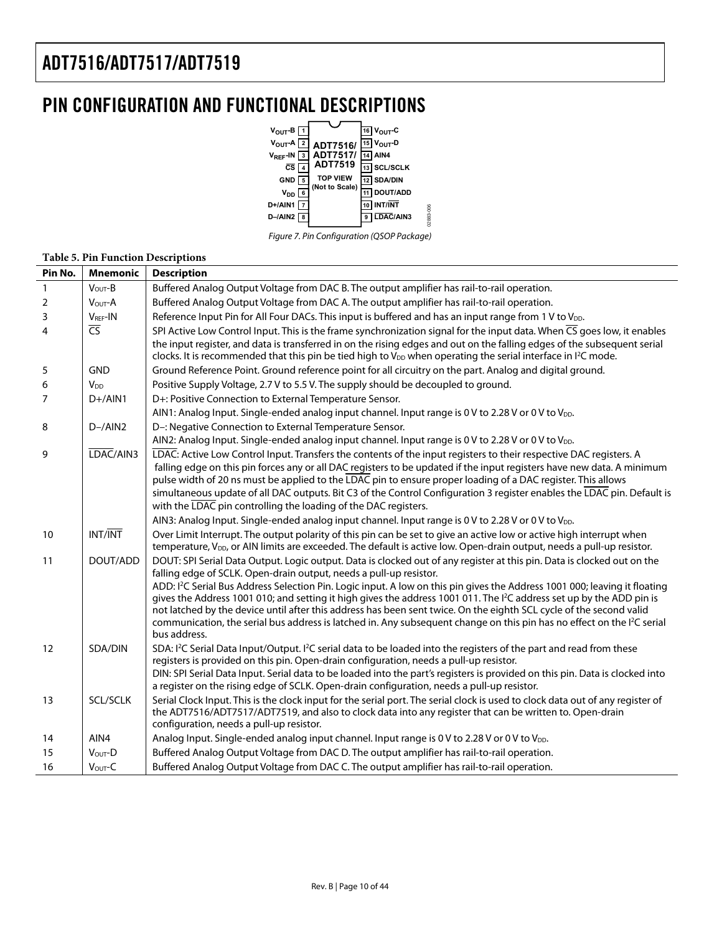## <span id="page-9-0"></span>PIN CONFIGURATION AND FUNCTIONAL DESCRIPTIONS



Figure 7. Pin Configuration (QSOP Package)

02883-006

#### **Table 5. Pin Function Descriptions Pin No. Mnemonic Description**

| PIN NO.        | <b>Mnemonic</b> | Description                                                                                                                                                                                                                                                                                                                                                                                                                                                                                                                                               |
|----------------|-----------------|-----------------------------------------------------------------------------------------------------------------------------------------------------------------------------------------------------------------------------------------------------------------------------------------------------------------------------------------------------------------------------------------------------------------------------------------------------------------------------------------------------------------------------------------------------------|
| $\mathbf{1}$   | $VOUT-B$        | Buffered Analog Output Voltage from DAC B. The output amplifier has rail-to-rail operation.                                                                                                                                                                                                                                                                                                                                                                                                                                                               |
| $\overline{2}$ | VOUT-A          | Buffered Analog Output Voltage from DAC A. The output amplifier has rail-to-rail operation.                                                                                                                                                                                                                                                                                                                                                                                                                                                               |
| 3              | $VREF$ -IN      | Reference Input Pin for All Four DACs. This input is buffered and has an input range from 1 V to V <sub>DD</sub> .                                                                                                                                                                                                                                                                                                                                                                                                                                        |
| $\overline{4}$ | $\overline{CS}$ | SPI Active Low Control Input. This is the frame synchronization signal for the input data. When $\overline{CS}$ goes low, it enables                                                                                                                                                                                                                                                                                                                                                                                                                      |
|                |                 | the input register, and data is transferred in on the rising edges and out on the falling edges of the subsequent serial<br>clocks. It is recommended that this pin be tied high to V <sub>DD</sub> when operating the serial interface in I <sup>2</sup> C mode.                                                                                                                                                                                                                                                                                         |
| 5              | <b>GND</b>      | Ground Reference Point. Ground reference point for all circuitry on the part. Analog and digital ground.                                                                                                                                                                                                                                                                                                                                                                                                                                                  |
| 6              | $V_{DD}$        | Positive Supply Voltage, 2.7 V to 5.5 V. The supply should be decoupled to ground.                                                                                                                                                                                                                                                                                                                                                                                                                                                                        |
| $\overline{7}$ | $D+$ /AIN1      | D+: Positive Connection to External Temperature Sensor.                                                                                                                                                                                                                                                                                                                                                                                                                                                                                                   |
|                |                 | AIN1: Analog Input. Single-ended analog input channel. Input range is 0 V to 2.28 V or 0 V to V <sub>DD</sub> .                                                                                                                                                                                                                                                                                                                                                                                                                                           |
| 8              | $D - / AIN2$    | D-: Negative Connection to External Temperature Sensor.                                                                                                                                                                                                                                                                                                                                                                                                                                                                                                   |
|                |                 | AIN2: Analog Input. Single-ended analog input channel. Input range is 0 V to 2.28 V or 0 V to V <sub>DD</sub> .                                                                                                                                                                                                                                                                                                                                                                                                                                           |
| 9              | LDAC/AIN3       | LDAC: Active Low Control Input. Transfers the contents of the input registers to their respective DAC registers. A<br>falling edge on this pin forces any or all DAC registers to be updated if the input registers have new data. A minimum<br>pulse width of 20 ns must be applied to the LDAC pin to ensure proper loading of a DAC register. This allows<br>simultaneous update of all DAC outputs. Bit C3 of the Control Configuration 3 register enables the LDAC pin. Default is                                                                   |
|                |                 | with the LDAC pin controlling the loading of the DAC registers.                                                                                                                                                                                                                                                                                                                                                                                                                                                                                           |
|                |                 | AIN3: Analog Input. Single-ended analog input channel. Input range is 0 V to 2.28 V or 0 V to V <sub>DD</sub> .                                                                                                                                                                                                                                                                                                                                                                                                                                           |
| 10             | INT/INT         | Over Limit Interrupt. The output polarity of this pin can be set to give an active low or active high interrupt when<br>temperature, V <sub>DD</sub> , or AIN limits are exceeded. The default is active low. Open-drain output, needs a pull-up resistor.                                                                                                                                                                                                                                                                                                |
| 11             | DOUT/ADD        | DOUT: SPI Serial Data Output. Logic output. Data is clocked out of any register at this pin. Data is clocked out on the<br>falling edge of SCLK. Open-drain output, needs a pull-up resistor.                                                                                                                                                                                                                                                                                                                                                             |
|                |                 | ADD: I <sup>2</sup> C Serial Bus Address Selection Pin. Logic input. A low on this pin gives the Address 1001 000; leaving it floating<br>gives the Address 1001 010; and setting it high gives the address 1001 011. The I <sup>2</sup> C address set up by the ADD pin is<br>not latched by the device until after this address has been sent twice. On the eighth SCL cycle of the second valid<br>communication, the serial bus address is latched in. Any subsequent change on this pin has no effect on the I <sup>2</sup> C serial<br>bus address. |
| 12             | SDA/DIN         | SDA: I <sup>2</sup> C Serial Data Input/Output. I <sup>2</sup> C serial data to be loaded into the registers of the part and read from these<br>registers is provided on this pin. Open-drain configuration, needs a pull-up resistor.                                                                                                                                                                                                                                                                                                                    |
|                |                 | DIN: SPI Serial Data Input. Serial data to be loaded into the part's registers is provided on this pin. Data is clocked into<br>a register on the rising edge of SCLK. Open-drain configuration, needs a pull-up resistor.                                                                                                                                                                                                                                                                                                                                |
| 13             | <b>SCL/SCLK</b> | Serial Clock Input. This is the clock input for the serial port. The serial clock is used to clock data out of any register of<br>the ADT7516/ADT7517/ADT7519, and also to clock data into any register that can be written to. Open-drain<br>configuration, needs a pull-up resistor.                                                                                                                                                                                                                                                                    |
| 14             | AIN4            | Analog Input. Single-ended analog input channel. Input range is 0 V to 2.28 V or 0 V to V <sub>DD</sub> .                                                                                                                                                                                                                                                                                                                                                                                                                                                 |
| 15             | VOUT-D          | Buffered Analog Output Voltage from DAC D. The output amplifier has rail-to-rail operation.                                                                                                                                                                                                                                                                                                                                                                                                                                                               |
| 16             | VOUT-C          | Buffered Analog Output Voltage from DAC C. The output amplifier has rail-to-rail operation.                                                                                                                                                                                                                                                                                                                                                                                                                                                               |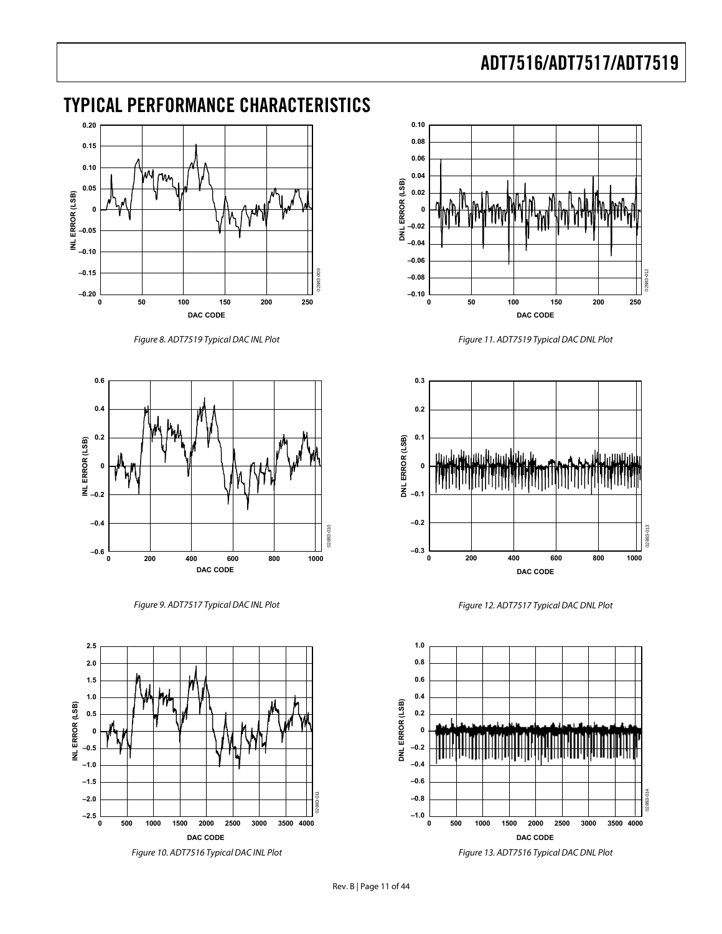## <span id="page-10-0"></span>TYPICAL PERFORMANCE CHARACTERISTICS



Figure 8. ADT7519 Typical DAC INL Plot

<span id="page-10-1"></span>

Figure 9. ADT7517 Typical DAC INL Plot

<span id="page-10-4"></span><span id="page-10-3"></span><span id="page-10-2"></span>



Figure 11. ADT7519 Typical DAC DNL Plot



Figure 12. ADT7517 Typical DAC DNL Plot



Figure 13. ADT7516 Typical DAC DNL Plot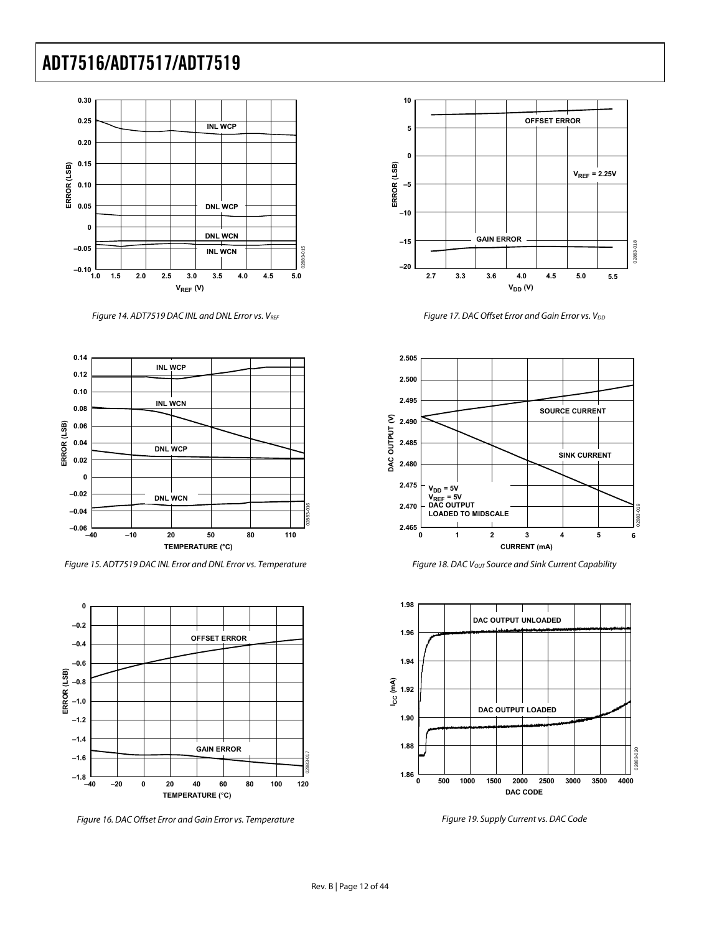

Figure 14. ADT7519 DAC INL and DNL Error vs. VREF



Figure 15. ADT7519 DAC INL Error and DNL Error vs. Temperature

<span id="page-11-0"></span>

Figure 16. DAC Offset Error and Gain Error vs. Temperature



Figure 17. DAC Offset Error and Gain Error vs. V<sub>DD</sub>



Figure 18. DAC Vout Source and Sink Current Capability



Figure 19. Supply Current vs. DAC Code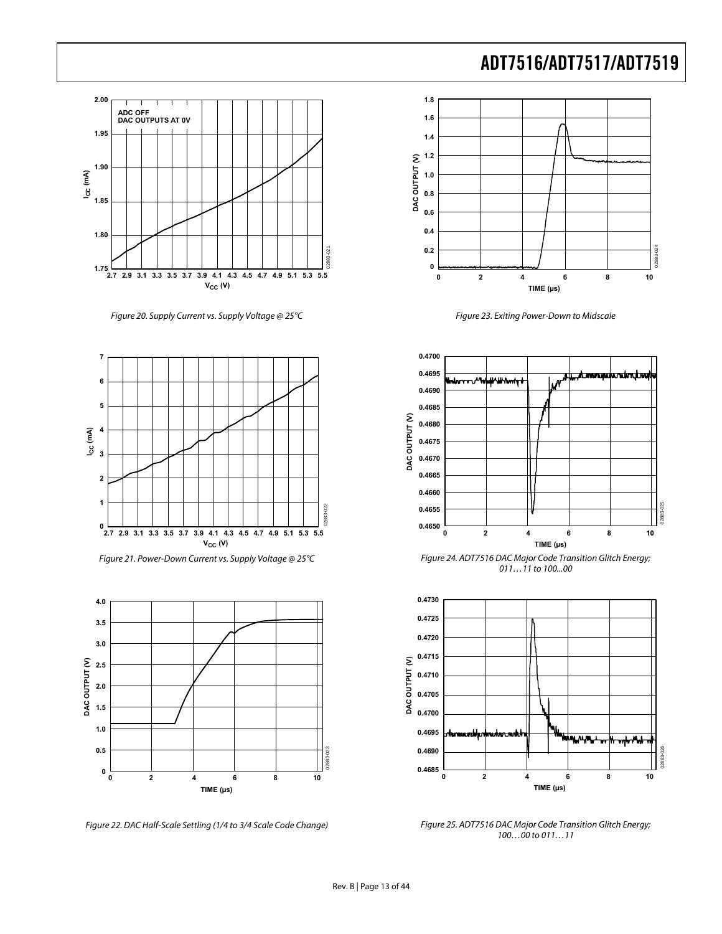

Figure 20. Supply Current vs. Supply Voltage @ 25°C





Figure 22. DAC Half-Scale Settling (1/4 to 3/4 Scale Code Change)

ADT7516/ADT7517/ADT7519



Figure 23. Exiting Power-Down to Midscale



Figure 24. ADT7516 DAC Major Code Transition Glitch Energy; 011...11 to 100...00



Figure 25. ADT7516 DAC Major Code Transition Glitch Energy; 100…00 to 011…11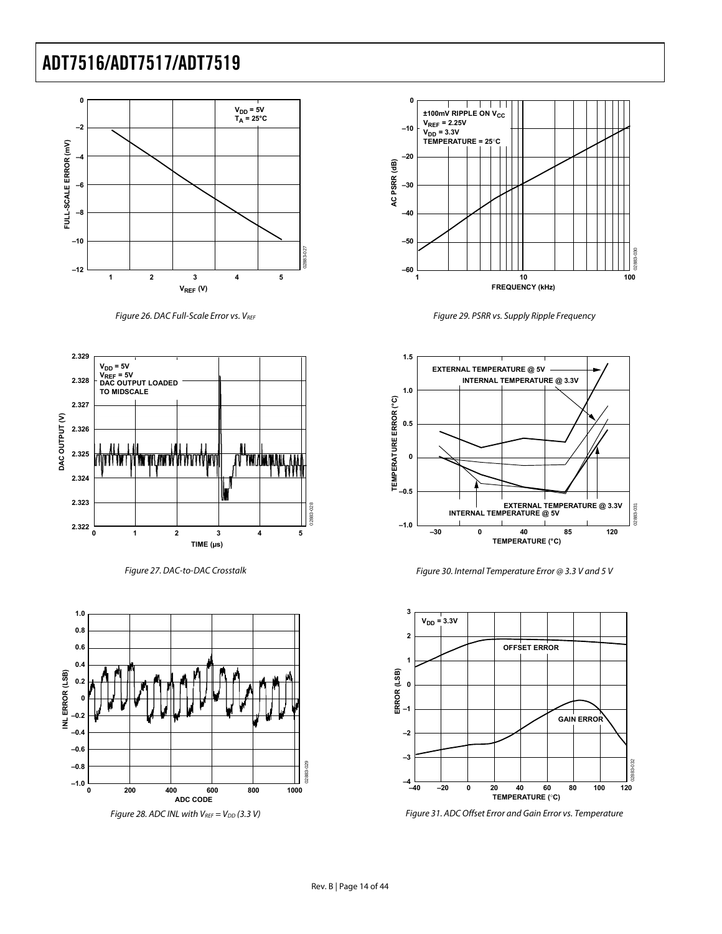

Figure 26. DAC Full-Scale Error vs. VREF



Figure 27. DAC-to-DAC Crosstalk





Figure 29. PSRR vs. Supply Ripple Frequency



Figure 30. Internal Temperature Error @ 3.3 V and 5 V



Figure 31. ADC Offset Error and Gain Error vs. Temperature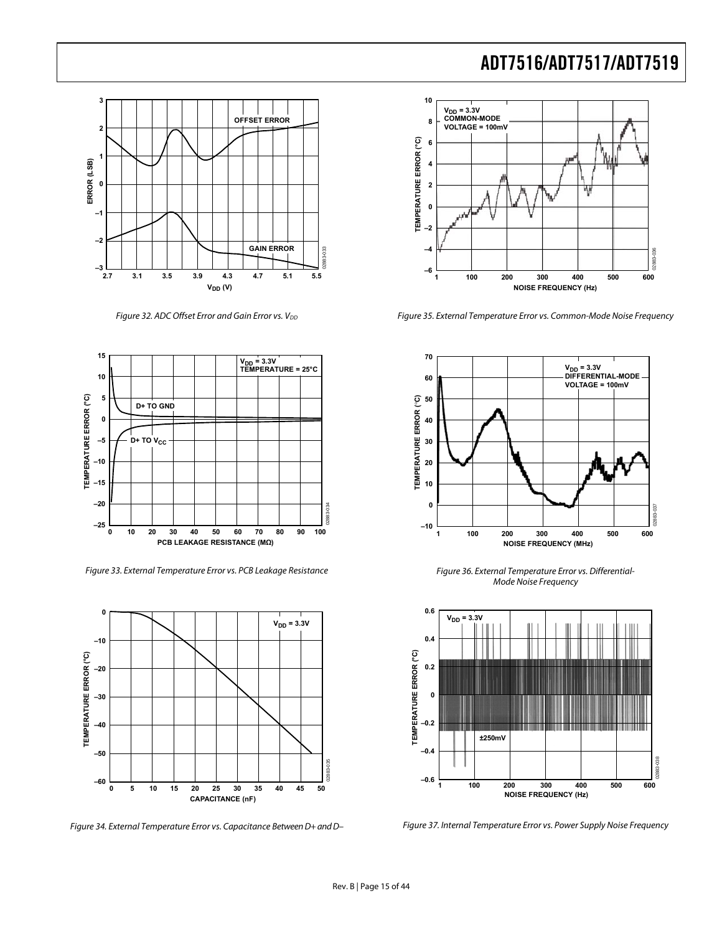

Figure 32. ADC Offset Error and Gain Error vs.  $V_{DD}$ 



Figure 33. External Temperature Error vs. PCB Leakage Resistance



Figure 34. External Temperature Error vs. Capacitance Between D+ and D–



Figure 35. External Temperature Error vs. Common-Mode Noise Frequency



Figure 36. External Temperature Error vs. Differential-Mode Noise Frequency



Figure 37. Internal Temperature Error vs. Power Supply Noise Frequency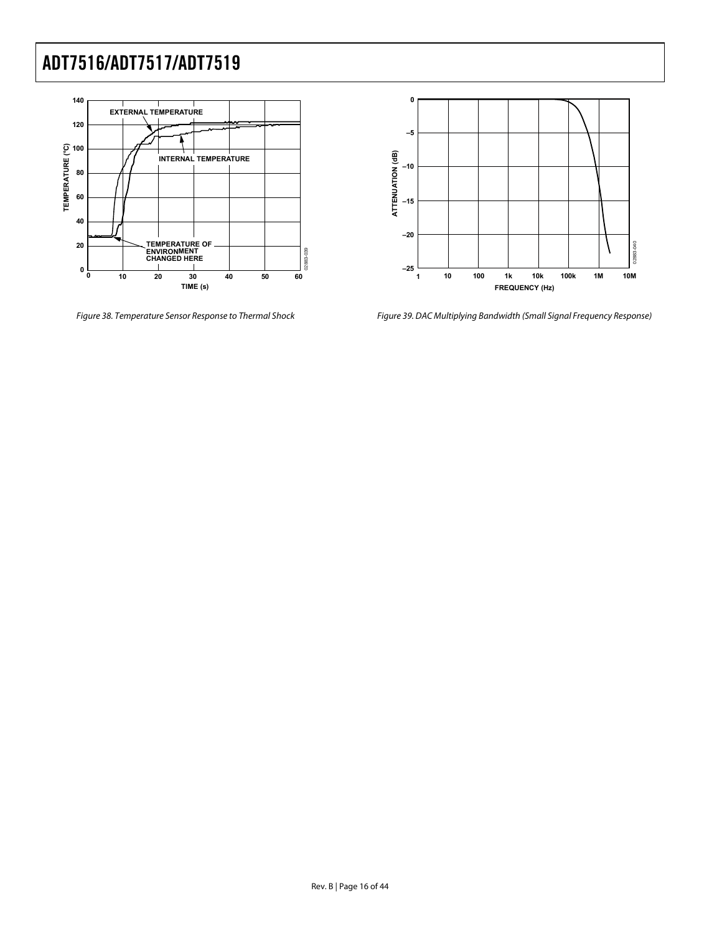



Figure 38. Temperature Sensor Response to Thermal Shock Figure 39. DAC Multiplying Bandwidth (Small Signal Frequency Response)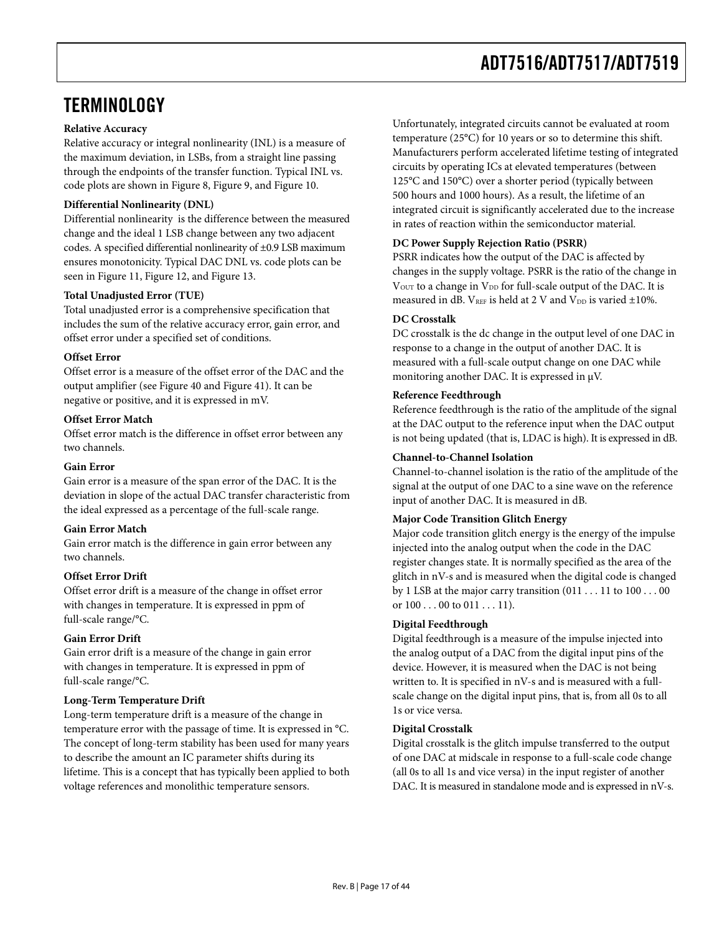## <span id="page-16-0"></span>**TERMINOLOGY**

## **Relative Accuracy**

Relative accuracy or integral nonlinearity (INL) is a measure of the maximum deviation, in LSBs, from a straight line passing through the endpoints of the transfer function. Typical INL vs. code plots are shown in [Figure 8](#page-10-1), [Figure 9,](#page-10-2) and [Figure 10](#page-10-3).

### **Differential Nonlinearity (DNL)**

Differential nonlinearity is the difference between the measured change and the ideal 1 LSB change between any two adjacent codes. A specified differential nonlinearity of ±0.9 LSB maximum ensures monotonicity. Typical DAC DNL vs. code plots can be seen in [Figure 11](#page-10-1), [Figure 12](#page-10-4), and [Figure 13.](#page-10-3)

### **Total Unadjusted Error (TUE)**

Total unadjusted error is a comprehensive specification that includes the sum of the relative accuracy error, gain error, and offset error under a specified set of conditions.

### **Offset Error**

Offset error is a measure of the offset error of the DAC and the output amplifier (see [Figure 40](#page-17-0) and [Figure 41\)](#page-17-1). It can be negative or positive, and it is expressed in mV.

### **Offset Error Match**

Offset error match is the difference in offset error between any two channels.

### **Gain Error**

Gain error is a measure of the span error of the DAC. It is the deviation in slope of the actual DAC transfer characteristic from the ideal expressed as a percentage of the full-scale range.

#### **Gain Error Match**

Gain error match is the difference in gain error between any two channels.

## **Offset Error Drift**

Offset error drift is a measure of the change in offset error with changes in temperature. It is expressed in ppm of full-scale range/°C.

## **Gain Error Drift**

Gain error drift is a measure of the change in gain error with changes in temperature. It is expressed in ppm of full-scale range/°C.

## **Long-Term Temperature Drift**

Long-term temperature drift is a measure of the change in temperature error with the passage of time. It is expressed in °C. The concept of long-term stability has been used for many years to describe the amount an IC parameter shifts during its lifetime. This is a concept that has typically been applied to both voltage references and monolithic temperature sensors.

Unfortunately, integrated circuits cannot be evaluated at room temperature (25°C) for 10 years or so to determine this shift. Manufacturers perform accelerated lifetime testing of integrated circuits by operating ICs at elevated temperatures (between 125°C and 150°C) over a shorter period (typically between 500 hours and 1000 hours). As a result, the lifetime of an integrated circuit is significantly accelerated due to the increase in rates of reaction within the semiconductor material.

### **DC Power Supply Rejection Ratio (PSRR)**

PSRR indicates how the output of the DAC is affected by changes in the supply voltage. PSRR is the ratio of the change in V<sub>OUT</sub> to a change in V<sub>DD</sub> for full-scale output of the DAC. It is measured in dB.  $V_{REF}$  is held at 2 V and  $V_{DD}$  is varied  $\pm 10\%$ .

### **DC Crosstalk**

DC crosstalk is the dc change in the output level of one DAC in response to a change in the output of another DAC. It is measured with a full-scale output change on one DAC while monitoring another DAC. It is expressed in μV.

### **Reference Feedthrough**

Reference feedthrough is the ratio of the amplitude of the signal at the DAC output to the reference input when the DAC output is not being updated (that is, LDAC is high). It is expressed in dB.

### **Channel-to-Channel Isolation**

Channel-to-channel isolation is the ratio of the amplitude of the signal at the output of one DAC to a sine wave on the reference input of another DAC. It is measured in dB.

## **Major Code Transition Glitch Energy**

Major code transition glitch energy is the energy of the impulse injected into the analog output when the code in the DAC register changes state. It is normally specified as the area of the glitch in nV-s and is measured when the digital code is changed by 1 LSB at the major carry transition (011 . . . 11 to 100 . . . 00 or  $100...00$  to  $011...11$ ).

#### **Digital Feedthrough**

Digital feedthrough is a measure of the impulse injected into the analog output of a DAC from the digital input pins of the device. However, it is measured when the DAC is not being written to. It is specified in nV-s and is measured with a fullscale change on the digital input pins, that is, from all 0s to all 1s or vice versa.

## **Digital Crosstalk**

Digital crosstalk is the glitch impulse transferred to the output of one DAC at midscale in response to a full-scale code change (all 0s to all 1s and vice versa) in the input register of another DAC. It is measured in standalone mode and is expressed in nV-s.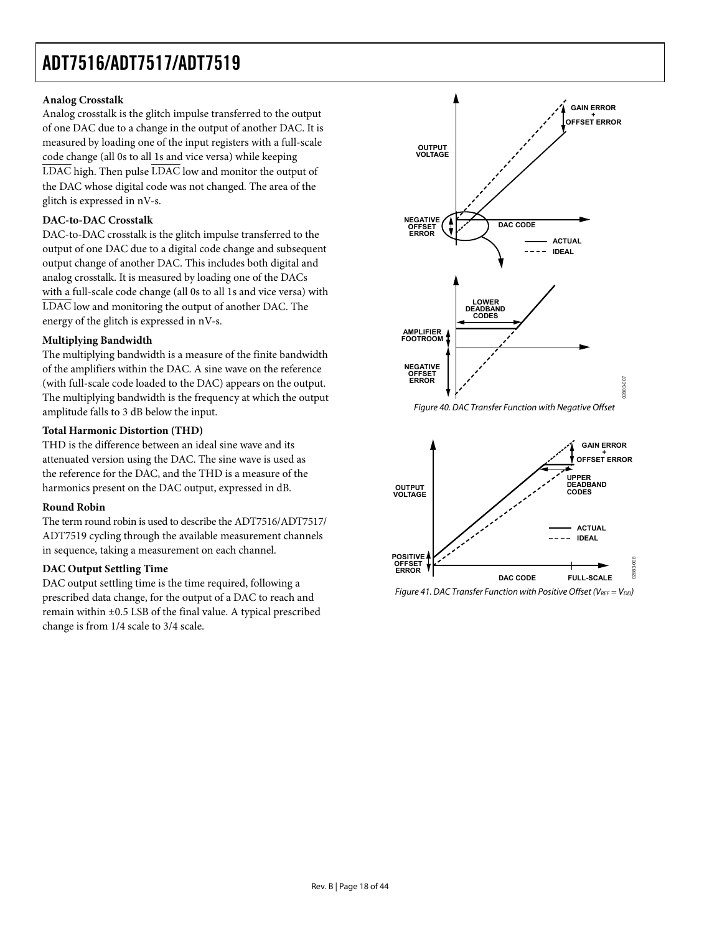## **Analog Crosstalk**

Analog crosstalk is the glitch impulse transferred to the output of one DAC due to a change in the output of another DAC. It is measured by loading one of the input registers with a full-scale code change (all 0s to all 1s and vice versa) while keeping LDAC high. Then pulse LDAC low and monitor the output of the DAC whose digital code was not changed. The area of the glitch is expressed in nV-s.

## **DAC-to-DAC Crosstalk**

DAC-to-DAC crosstalk is the glitch impulse transferred to the output of one DAC due to a digital code change and subsequent output change of another DAC. This includes both digital and analog crosstalk. It is measured by loading one of the DACs with a full-scale code change (all 0s to all 1s and vice versa) with LDAC low and monitoring the output of another DAC. The energy of the glitch is expressed in nV-s.

## **Multiplying Bandwidth**

The multiplying bandwidth is a measure of the finite bandwidth of the amplifiers within the DAC. A sine wave on the reference (with full-scale code loaded to the DAC) appears on the output. The multiplying bandwidth is the frequency at which the output amplitude falls to 3 dB below the input.

## <span id="page-17-0"></span>**Total Harmonic Distortion (THD)**

THD is the difference between an ideal sine wave and its attenuated version using the DAC. The sine wave is used as the reference for the DAC, and the THD is a measure of the harmonics present on the DAC output, expressed in dB.

## **Round Robin**

The term round robin is used to describe the ADT7516/ADT7517/ ADT7519 cycling through the available measurement channels in sequence, taking a measurement on each channel.

## **DAC Output Settling Time**

<span id="page-17-1"></span>DAC output settling time is the time required, following a prescribed data change, for the output of a DAC to reach and remain within ±0.5 LSB of the final value. A typical prescribed change is from 1/4 scale to 3/4 scale.





Figure 41. DAC Transfer Function with Positive Offset (VREF =  $V_{DD}$ )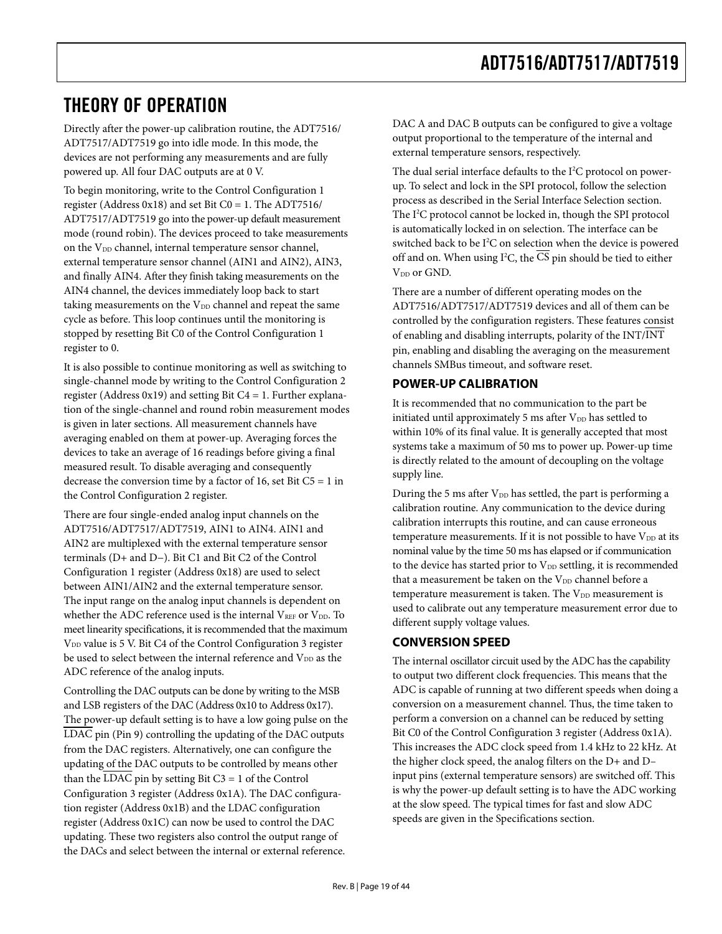## <span id="page-18-0"></span>THEORY OF OPERATION

Directly after the power-up calibration routine, the ADT7516/ ADT7517/ADT7519 go into idle mode. In this mode, the devices are not performing any measurements and are fully powered up. All four DAC outputs are at 0 V.

To begin monitoring, write to the Control Configuration 1 register (Address  $0x18$ ) and set Bit C0 = 1. The ADT7516/ ADT7517/ADT7519 go into the power-up default measurement mode (round robin). The devices proceed to take measurements on the  $V_{DD}$  channel, internal temperature sensor channel, external temperature sensor channel (AIN1 and AIN2), AIN3, and finally AIN4. After they finish taking measurements on the AIN4 channel, the devices immediately loop back to start taking measurements on the  $V_{DD}$  channel and repeat the same cycle as before. This loop continues until the monitoring is stopped by resetting Bit C0 of the Control Configuration 1 register to 0.

It is also possible to continue monitoring as well as switching to single-channel mode by writing to the Control Configuration 2 register (Address 0x19) and setting Bit C4 = 1. Further explanation of the single-channel and round robin measurement modes is given in later sections. All measurement channels have averaging enabled on them at power-up. Averaging forces the devices to take an average of 16 readings before giving a final measured result. To disable averaging and consequently decrease the conversion time by a factor of 16, set Bit  $C5 = 1$  in the Control Configuration 2 register.

There are four single-ended analog input channels on the ADT7516/ADT7517/ADT7519, AIN1 to AIN4. AIN1 and AIN2 are multiplexed with the external temperature sensor terminals (D+ and D−). Bit C1 and Bit C2 of the Control Configuration 1 register (Address 0x18) are used to select between AIN1/AIN2 and the external temperature sensor. The input range on the analog input channels is dependent on whether the ADC reference used is the internal  $V_{REF}$  or  $V_{DD}$ . To meet linearity specifications, it is recommended that the maximum V<sub>DD</sub> value is 5 V. Bit C4 of the Control Configuration 3 register be used to select between the internal reference and  $\rm V_{\scriptscriptstyle DD}$  as the ADC reference of the analog inputs.

Controlling the DAC outputs can be done by writing to the MSB and LSB registers of the DAC (Address 0x10 to Address 0x17). The power-up default setting is to have a low going pulse on the LDAC pin (Pin 9) controlling the updating of the DAC outputs from the DAC registers. Alternatively, one can configure the updating of the DAC outputs to be controlled by means other than the LDAC pin by setting Bit  $C3 = 1$  of the Control Configuration 3 register (Address 0x1A). The DAC configuration register (Address 0x1B) and the LDAC configuration register (Address 0x1C) can now be used to control the DAC updating. These two registers also control the output range of the DACs and select between the internal or external reference.

DAC A and DAC B outputs can be configured to give a voltage output proportional to the temperature of the internal and external temperature sensors, respectively.

The dual serial interface defaults to the I<sup>2</sup>C protocol on powerup. To select and lock in the SPI protocol, follow the selection process as described in the [Serial Interface Selection](#page-36-1) section. The I<sup>2</sup>C protocol cannot be locked in, though the SPI protocol is automatically locked in on selection. The interface can be switched back to be I<sup>2</sup>C on selection when the device is powered off and on. When using I<sup>2</sup>C, the CS pin should be tied to either V<sub>DD</sub> or GND.

There are a number of different operating modes on the ADT7516/ADT7517/ADT7519 devices and all of them can be controlled by the configuration registers. These features consist of enabling and disabling interrupts, polarity of the INT/INT pin, enabling and disabling the averaging on the measurement channels SMBus timeout, and software reset.

## **POWER-UP CALIBRATION**

It is recommended that no communication to the part be initiated until approximately 5 ms after  $V_{DD}$  has settled to within 10% of its final value. It is generally accepted that most systems take a maximum of 50 ms to power up. Power-up time is directly related to the amount of decoupling on the voltage supply line.

During the 5 ms after  $V_{DD}$  has settled, the part is performing a calibration routine. Any communication to the device during calibration interrupts this routine, and can cause erroneous temperature measurements. If it is not possible to have VDD at its nominal value by the time 50 ms has elapsed or if communication to the device has started prior to  $V_{DD}$  settling, it is recommended that a measurement be taken on the  $V_{DD}$  channel before a temperature measurement is taken. The  $V_{DD}$  measurement is used to calibrate out any temperature measurement error due to different supply voltage values.

## **CONVERSION SPEED**

The internal oscillator circuit used by the ADC has the capability to output two different clock frequencies. This means that the ADC is capable of running at two different speeds when doing a conversion on a measurement channel. Thus, the time taken to perform a conversion on a channel can be reduced by setting Bit C0 of the Control Configuration 3 register (Address 0x1A). This increases the ADC clock speed from 1.4 kHz to 22 kHz. At the higher clock speed, the analog filters on the D+ and D– input pins (external temperature sensors) are switched off. This is why the power-up default setting is to have the ADC working at the slow speed. The typical times for fast and slow ADC speeds are given in the [Specifications](#page-2-2) section.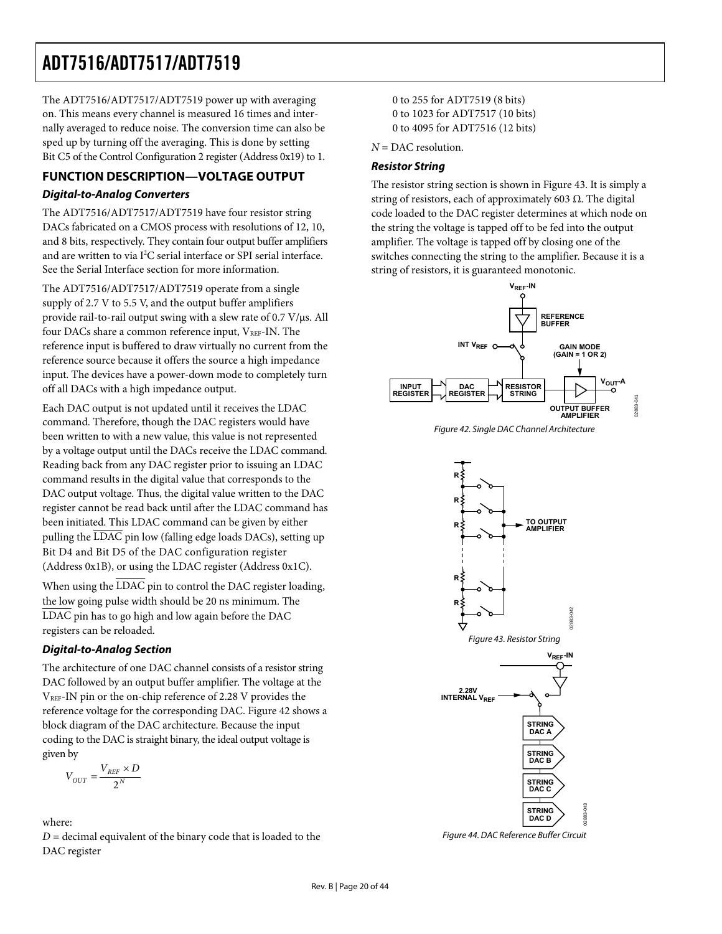<span id="page-19-0"></span>The ADT7516/ADT7517/ADT7519 power up with averaging on. This means every channel is measured 16 times and internally averaged to reduce noise. The conversion time can also be sped up by turning off the averaging. This is done by setting Bit C5 of the Control Configuration 2 register (Address 0x19) to 1.

## **FUNCTION DESCRIPTION—VOLTAGE OUTPUT Digital-to-Analog Converters**

The ADT7516/ADT7517/ADT7519 have four resistor string DACs fabricated on a CMOS process with resolutions of 12, 10, and 8 bits, respectively. They contain four output buffer amplifiers and are written to via I<sup>2</sup>C serial interface or SPI serial interface. See the [Serial Interface](#page-36-2) section for more information.

The ADT7516/ADT7517/ADT7519 operate from a single supply of 2.7 V to 5.5 V, and the output buffer amplifiers provide rail-to-rail output swing with a slew rate of 0.7 V/μs. All four DACs share a common reference input, VREF-IN. The reference input is buffered to draw virtually no current from the reference source because it offers the source a high impedance input. The devices have a power-down mode to completely turn off all DACs with a high impedance output.

<span id="page-19-1"></span>Each DAC output is not updated until it receives the LDAC command. Therefore, though the DAC registers would have been written to with a new value, this value is not represented by a voltage output until the DACs receive the LDAC command. Reading back from any DAC register prior to issuing an LDAC command results in the digital value that corresponds to the DAC output voltage. Thus, the digital value written to the DAC register cannot be read back until after the LDAC command has been initiated. This LDAC command can be given by either pulling the LDAC pin low (falling edge loads DACs), setting up Bit D4 and Bit D5 of the DAC configuration register (Address 0x1B), or using the LDAC register (Address 0x1C).

When using the  $\overline{\text{LDAC}}$  pin to control the DAC register loading, the low going pulse width should be 20 ns minimum. The LDAC pin has to go high and low again before the DAC registers can be reloaded.

## <span id="page-19-2"></span>**Digital-to-Analog Section**

The architecture of one DAC channel consists of a resistor string DAC followed by an output buffer amplifier. The voltage at the  $V<sub>REF</sub>$ -IN pin or the on-chip reference of 2.28 V provides the reference voltage for the corresponding DAC. [Figure 42](#page-19-1) shows a block diagram of the DAC architecture. Because the input coding to the DAC is straight binary, the ideal output voltage is given by

$$
V_{OUT} = \frac{V_{REF} \times D}{2^N}
$$

<span id="page-19-3"></span>where:  $D =$  decimal equivalent of the binary code that is loaded to the DAC register

0 to 255 for ADT7519 (8 bits) 0 to 1023 for ADT7517 (10 bits) 0 to 4095 for ADT7516 (12 bits)

*N* = DAC resolution.

## **Resistor String**

The resistor string section is shown in [Figure 43](#page-19-2). It is simply a string of resistors, each of approximately 603  $\Omega$ . The digital code loaded to the DAC register determines at which node on the string the voltage is tapped off to be fed into the output amplifier. The voltage is tapped off by closing one of the switches connecting the string to the amplifier. Because it is a string of resistors, it is guaranteed monotonic.



Figure 42. Single DAC Channel Architecture



Figure 44. DAC Reference Buffer Circuit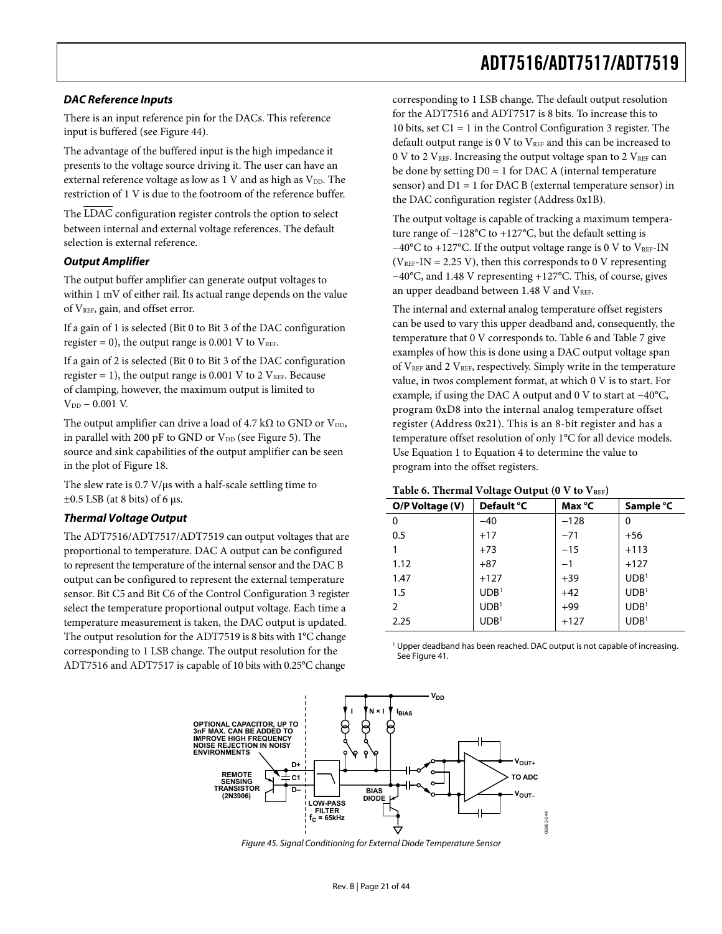### **DAC Reference Inputs**

There is an input reference pin for the DACs. This reference input is buffered (see [Figure 44](#page-19-3)).

The advantage of the buffered input is the high impedance it presents to the voltage source driving it. The user can have an external reference voltage as low as  $1$  V and as high as  $V_{DD}$ . The restriction of 1 V is due to the footroom of the reference buffer.

The  $\overline{\text{LDAC}}$  configuration register controls the option to select between internal and external voltage references. The default selection is external reference.

#### **Output Amplifier**

The output buffer amplifier can generate output voltages to within 1 mV of either rail. Its actual range depends on the value of  $V_{REF}$ , gain, and offset error.

If a gain of 1 is selected (Bit 0 to Bit 3 of the DAC configuration register = 0), the output range is 0.001 V to  $V_{REF}$ .

If a gain of 2 is selected (Bit 0 to Bit 3 of the DAC configuration register = 1), the output range is 0.001 V to 2  $V_{REF}$ . Because of clamping, however, the maximum output is limited to  $V_{DD}$  – 0.001 V.

The output amplifier can drive a load of 4.7 k $\Omega$  to GND or V<sub>DD</sub>, in parallel with 200 pF to GND or  $V_{DD}$  (see [Figure 5](#page-6-1)). The source and sink capabilities of the output amplifier can be seen in the plot of [Figure 18](#page-11-0).

<span id="page-20-0"></span>The slew rate is 0.7 V/μs with a half-scale settling time to  $\pm 0.5$  LSB (at 8 bits) of 6 μs.

## **Thermal Voltage Output**

<span id="page-20-1"></span>The ADT7516/ADT7517/ADT7519 can output voltages that are proportional to temperature. DAC A output can be configured to represent the temperature of the internal sensor and the DAC B output can be configured to represent the external temperature sensor. Bit C5 and Bit C6 of the Control Configuration 3 register select the temperature proportional output voltage. Each time a temperature measurement is taken, the DAC output is updated. The output resolution for the ADT7519 is 8 bits with 1°C change corresponding to 1 LSB change. The output resolution for the ADT7516 and ADT7517 is capable of 10 bits with 0.25°C change

corresponding to 1 LSB change. The default output resolution for the ADT7516 and ADT7517 is 8 bits. To increase this to 10 bits, set C1 = 1 in the Control Configuration 3 register. The default output range is  $0 \nabla$  to  $V_{REF}$  and this can be increased to 0 V to 2  $V<sub>REF</sub>$ . Increasing the output voltage span to 2  $V<sub>REF</sub>$  can be done by setting  $D0 = 1$  for DAC A (internal temperature sensor) and  $D1 = 1$  for DAC B (external temperature sensor) in the DAC configuration register (Address 0x1B).

The output voltage is capable of tracking a maximum temperature range of −128°C to +127°C, but the default setting is −40°C to +127°C. If the output voltage range is 0 V to VREF-IN  $(V<sub>REF</sub>-IN = 2.25 V)$ , then this corresponds to 0 V representing −40°C, and 1.48 V representing +127°C. This, of course, gives an upper deadband between 1.48 V and VREF.

The internal and external analog temperature offset registers can be used to vary this upper deadband and, consequently, the temperature that 0 V corresponds to. [Table 6](#page-20-0) and [Table 7](#page-21-0) give examples of how this is done using a DAC output voltage span of  $V_{REF}$  and 2  $V_{REF}$ , respectively. Simply write in the temperature value, in twos complement format, at which 0 V is to start. For example, if using the DAC A output and 0 V to start at −40°C, program 0xD8 into the internal analog temperature offset register (Address 0x21). This is an 8-bit register and has a temperature offset resolution of only 1°C for all device models. Use Equation 1 to Equation 4 to determine the value to program into the offset registers.

#### Table 6. Thermal Voltage Output (0 V to V<sub>REF</sub>)

| O/P Voltage (V) | Default °C       | Max °C | Sample °C        |
|-----------------|------------------|--------|------------------|
| 0               | $-40$            | $-128$ | 0                |
| 0.5             | $+17$            | $-71$  | $+56$            |
|                 | $+73$            | $-15$  | $+113$           |
| 1.12            | $+87$            | $-1$   | $+127$           |
| 1.47            | $+127$           | $+39$  | UDB <sup>1</sup> |
| 1.5             | UDB <sup>1</sup> | $+42$  | UDB <sup>1</sup> |
| $\overline{2}$  | UDB <sup>1</sup> | $+99$  | UDB <sup>1</sup> |
| 2.25            | UDB <sup>1</sup> | $+127$ | UDB <sup>1</sup> |
|                 |                  |        |                  |

<sup>1</sup> Upper deadband has been reached. DAC output is not capable of increasing. See Figure 41.



<span id="page-20-2"></span>Figure 45. Signal Conditioning for External Diode Temperature Sensor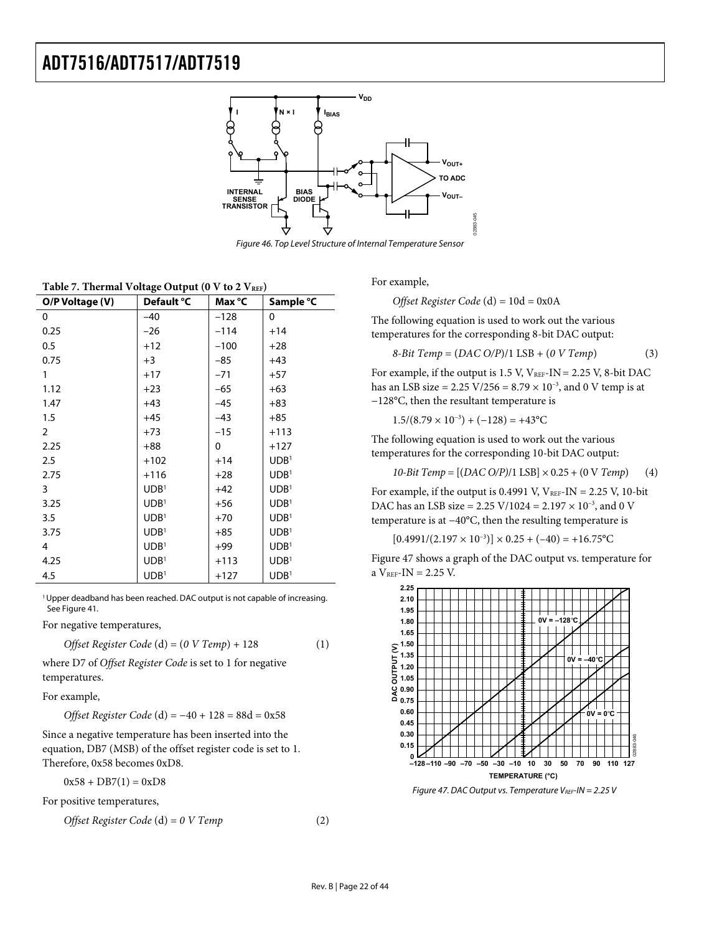

Figure 46. Top Level Structure of Internal Temperature Sensor

| Table 7. Thermal Voltage Output (0 V to 2 VREF) |  |
|-------------------------------------------------|--|
|-------------------------------------------------|--|

<span id="page-21-0"></span>

| O/P Voltage (V) | Default °C       | Max °C | Sample °C        |
|-----------------|------------------|--------|------------------|
| 0               | $-40$            | $-128$ | 0                |
| 0.25            | $-26$            | $-114$ | $+14$            |
| 0.5             | $+12$            | $-100$ | $+28$            |
| 0.75            | $+3$             | $-85$  | $+43$            |
| 1               | $+17$            | $-71$  | $+57$            |
| 1.12            | $+23$            | $-65$  | $+63$            |
| 1.47            | $+43$            | $-45$  | $+83$            |
| 1.5             | $+45$            | $-43$  | $+85$            |
| $\overline{2}$  | $+73$            | $-15$  | $+113$           |
| 2.25            | $+88$            | 0      | $+127$           |
| 2.5             | $+102$           | $+14$  | UDB <sup>1</sup> |
| 2.75            | $+116$           | $+28$  | UDB <sup>1</sup> |
| 3               | UDB <sup>1</sup> | $+42$  | UDB <sup>1</sup> |
| 3.25            | UDB <sup>1</sup> | $+56$  | UDB <sup>1</sup> |
| 3.5             | UDB <sup>1</sup> | $+70$  | UDB <sup>1</sup> |
| 3.75            | UDB <sup>1</sup> | $+85$  | UDB <sup>1</sup> |
| 4               | UDB <sup>1</sup> | $+99$  | UDB <sup>1</sup> |
| 4.25            | UDB <sup>1</sup> | $+113$ | UDB <sup>1</sup> |
| 4.5             | UDB <sup>1</sup> | $+127$ | UDB <sup>1</sup> |

<sup>1</sup> Upper deadband has been reached. DAC output is not capable of increasing. See [Figure 41.](#page-17-1)

For negative temperatures,

*Offset Register Code* (d) = (*0 V Temp*) + 128 (1)

where D7 of *Offset Register Code* is set to 1 for negative temperatures.

For example,

*Offset Register Code* (d) = −40 + 128 = 88d = 0x58

Since a negative temperature has been inserted into the equation, DB7 (MSB) of the offset register code is set to 1. Therefore, 0x58 becomes 0xD8.

 $0x58 + DB7(1) = 0xD8$ 

<span id="page-21-1"></span>For positive temperatures,

$$
Offset Register Code (d) = 0 \, V Temp \tag{2}
$$

For example,

*Offset Register Code* (d) = 10d = 0x0A

The following equation is used to work out the various temperatures for the corresponding 8-bit DAC output:

$$
8-Bit \text{ Temp} = (DAC \text{ O/P})/1 \text{ LSB} + (0 \text{ V} \text{ Temp}) \tag{3}
$$

For example, if the output is  $1.5$  V,  $V_{REF-IN} = 2.25$  V, 8-bit DAC has an LSB size = 2.25 V/256 =  $8.79 \times 10^{-3}$ , and 0 V temp is at −128°C, then the resultant temperature is

 $1.5/(8.79 \times 10^{-3}) + (-128) = +43$ °C

The following equation is used to work out the various temperatures for the corresponding 10-bit DAC output:

*10-Bit Temp* = [(*DAC O/P)*/1 LSB] × 0.25 + (0 V *Temp*) (4)

For example, if the output is 0.4991 V,  $V_{REF-IN} = 2.25$  V, 10-bit DAC has an LSB size = 2.25 V/1024 = 2.197  $\times$  10<sup>-3</sup>, and 0 V temperature is at −40°C, then the resulting temperature is

 $[0.4991/(2.197 \times 10^{-3})] \times 0.25 + (-40) = +16.75$ °C

[Figure 47](#page-21-1) shows a graph of the DAC output vs. temperature for a  $V_{REF}$ -IN = 2.25 V.



Figure 47. DAC Output vs. Temperature  $V_{REF}$ -IN = 2.25 V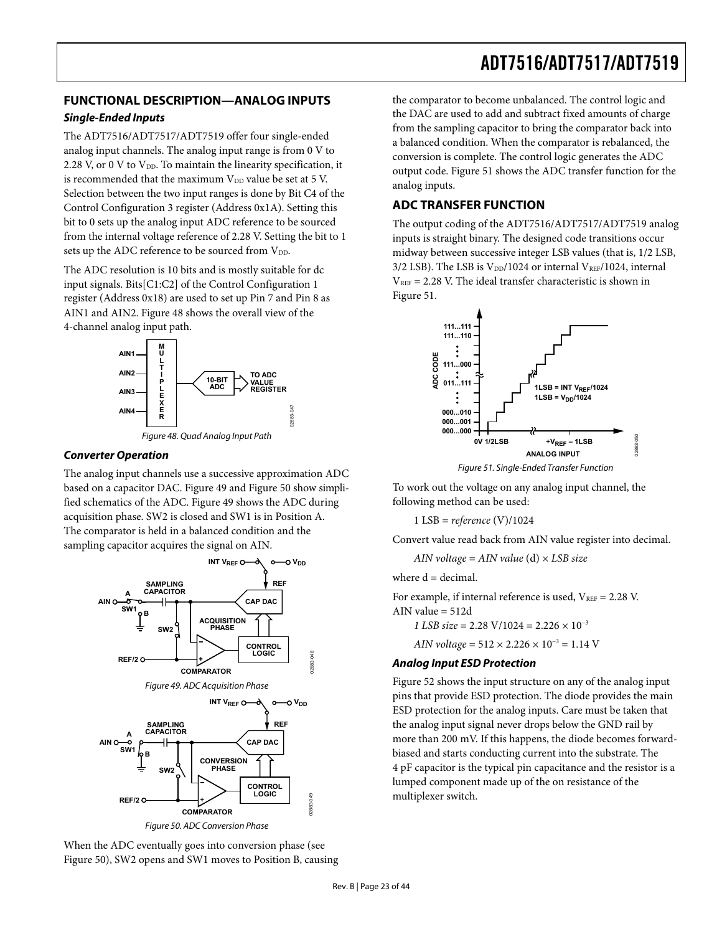## <span id="page-22-0"></span>**FUNCTIONAL DESCRIPTION—ANALOG INPUTS**

## **Single-Ended Inputs**

The ADT7516/ADT7517/ADT7519 offer four single-ended analog input channels. The analog input range is from 0 V to 2.28 V, or 0 V to  $V_{DD}$ . To maintain the linearity specification, it is recommended that the maximum  $V_{DD}$  value be set at 5 V. Selection between the two input ranges is done by Bit C4 of the Control Configuration 3 register (Address 0x1A). Setting this bit to 0 sets up the analog input ADC reference to be sourced from the internal voltage reference of 2.28 V. Setting the bit to 1 sets up the ADC reference to be sourced from V<sub>DD</sub>.

The ADC resolution is 10 bits and is mostly suitable for dc input signals. Bits[C1:C2] of the Control Configuration 1 register (Address 0x18) are used to set up Pin 7 and Pin 8 as AIN1 and AIN2. [Figure 48](#page-22-1) shows the overall view of the 4-channel analog input path.





#### <span id="page-22-1"></span>**Converter Operation**

<span id="page-22-4"></span>The analog input channels use a successive approximation ADC based on a capacitor DAC. [Figure 49](#page-22-2) and [Figure 50](#page-22-3) show simplified schematics of the ADC. [Figure 49](#page-22-2) shows the ADC during acquisition phase. SW2 is closed and SW1 is in Position A. The comparator is held in a balanced condition and the sampling capacitor acquires the signal on AIN.

<span id="page-22-2"></span>

<span id="page-22-5"></span><span id="page-22-3"></span>When the ADC eventually goes into conversion phase (see [Figure 50](#page-22-3)), SW2 opens and SW1 moves to Position B, causing the comparator to become unbalanced. The control logic and the DAC are used to add and subtract fixed amounts of charge from the sampling capacitor to bring the comparator back into a balanced condition. When the comparator is rebalanced, the conversion is complete. The control logic generates the ADC output code. [Figure 51](#page-22-4) shows the ADC transfer function for the analog inputs.

## **ADC TRANSFER FUNCTION**

The output coding of the ADT7516/ADT7517/ADT7519 analog inputs is straight binary. The designed code transitions occur midway between successive integer LSB values (that is, 1/2 LSB, 3/2 LSB). The LSB is  $V_{DD}/1024$  or internal  $V_{REF}/1024$ , internal  $V_{REF}$  = 2.28 V. The ideal transfer characteristic is shown in [Figure 51](#page-22-4).

![](_page_22_Figure_14.jpeg)

Figure 51. Single-Ended Transfer Function

To work out the voltage on any analog input channel, the following method can be used:

1 LSB = *reference* (V)/1024

Convert value read back from AIN value register into decimal.

*AIN voltage* = *AIN value* (d) × *LSB size*

where  $d = decimal$ .

For example, if internal reference is used,  $V_{REF} = 2.28$  V. AIN value = 512d *1 LSB size* = 2.28 V/1024 = 2.226 × 10<sup>-3</sup>

*AIN voltage* = 512 × 2.226 × 10−3 = 1.14 V

## **Analog Input ESD Protection**

[Figure 52](#page-22-5) shows the input structure on any of the analog input pins that provide ESD protection. The diode provides the main ESD protection for the analog inputs. Care must be taken that the analog input signal never drops below the GND rail by more than 200 mV. If this happens, the diode becomes forwardbiased and starts conducting current into the substrate. The 4 pF capacitor is the typical pin capacitance and the resistor is a lumped component made up of the on resistance of the multiplexer switch.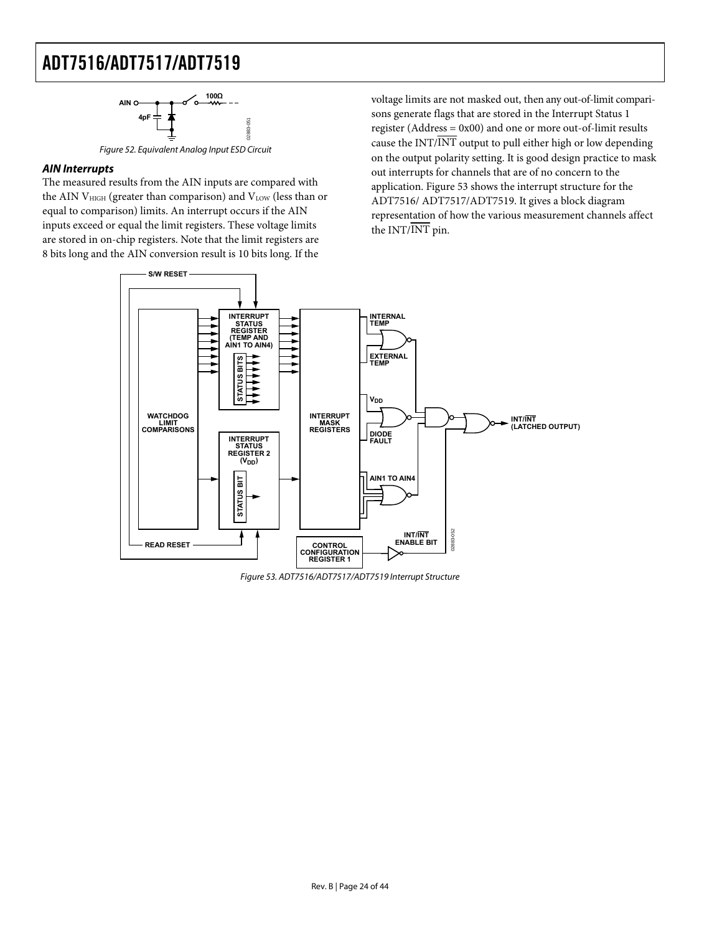![](_page_23_Figure_1.jpeg)

Figure 52. Equivalent Analog Input ESD Circuit

## **AIN Interrupts**

The measured results from the AIN inputs are compared with the AIN  $V<sub>HIGH</sub>$  (greater than comparison) and  $V<sub>LOW</sub>$  (less than or equal to comparison) limits. An interrupt occurs if the AIN inputs exceed or equal the limit registers. These voltage limits are stored in on-chip registers. Note that the limit registers are 8 bits long and the AIN conversion result is 10 bits long. If the

voltage limits are not masked out, then any out-of-limit comparisons generate flags that are stored in the Interrupt Status 1 register (Address = 0x00) and one or more out-of-limit results cause the INT/INT output to pull either high or low depending on the output polarity setting. It is good design practice to mask out interrupts for channels that are of no concern to the application. [Figure 53](#page-23-0) shows the interrupt structure for the ADT7516/ ADT7517/ADT7519. It gives a block diagram representation of how the various measurement channels affect the INT/INT pin.

![](_page_23_Figure_6.jpeg)

<span id="page-23-0"></span>Figure 53. ADT7516/ADT7517/ADT7519 Interrupt Structure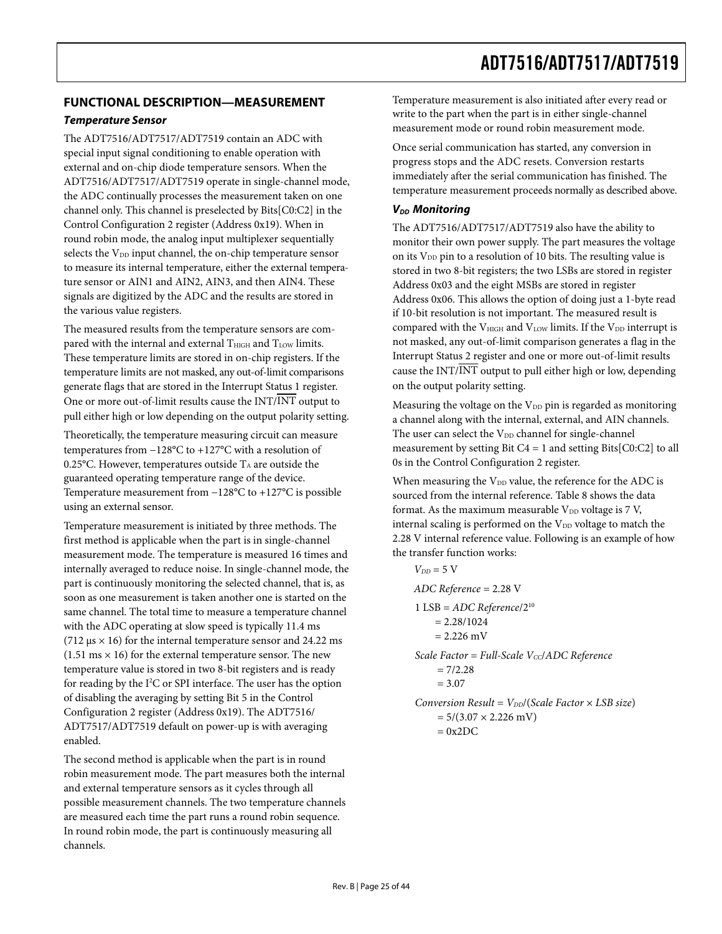## <span id="page-24-0"></span>**FUNCTIONAL DESCRIPTION—MEASUREMENT Temperature Sensor**

The ADT7516/ADT7517/ADT7519 contain an ADC with special input signal conditioning to enable operation with external and on-chip diode temperature sensors. When the ADT7516/ADT7517/ADT7519 operate in single-channel mode, the ADC continually processes the measurement taken on one channel only. This channel is preselected by Bits[C0:C2] in the Control Configuration 2 register (Address 0x19). When in round robin mode, the analog input multiplexer sequentially selects the  $V_{DD}$  input channel, the on-chip temperature sensor to measure its internal temperature, either the external temperature sensor or AIN1 and AIN2, AIN3, and then AIN4. These signals are digitized by the ADC and the results are stored in the various value registers.

The measured results from the temperature sensors are compared with the internal and external  $T<sub>HIGH</sub>$  and  $T<sub>LOW</sub>$  limits. These temperature limits are stored in on-chip registers. If the temperature limits are not masked, any out-of-limit comparisons generate flags that are stored in the Interrupt Status 1 register. One or more out-of-limit results cause the INT/INT output to pull either high or low depending on the output polarity setting.

Theoretically, the temperature measuring circuit can measure temperatures from −128°C to +127°C with a resolution of 0.25°C. However, temperatures outside  $T_A$  are outside the guaranteed operating temperature range of the device. Temperature measurement from −128°C to +127°C is possible using an external sensor.

Temperature measurement is initiated by three methods. The first method is applicable when the part is in single-channel measurement mode. The temperature is measured 16 times and internally averaged to reduce noise. In single-channel mode, the part is continuously monitoring the selected channel, that is, as soon as one measurement is taken another one is started on the same channel. The total time to measure a temperature channel with the ADC operating at slow speed is typically 11.4 ms (712  $\mu$ s × 16) for the internal temperature sensor and 24.22 ms  $(1.51 \text{ ms} \times 16)$  for the external temperature sensor. The new temperature value is stored in two 8-bit registers and is ready for reading by the I<sup>2</sup>C or SPI interface. The user has the option of disabling the averaging by setting Bit 5 in the Control Configuration 2 register (Address 0x19). The ADT7516/ ADT7517/ADT7519 default on power-up is with averaging enabled.

The second method is applicable when the part is in round robin measurement mode. The part measures both the internal and external temperature sensors as it cycles through all possible measurement channels. The two temperature channels are measured each time the part runs a round robin sequence. In round robin mode, the part is continuously measuring all channels.

Temperature measurement is also initiated after every read or write to the part when the part is in either single-channel measurement mode or round robin measurement mode.

Once serial communication has started, any conversion in progress stops and the ADC resets. Conversion restarts immediately after the serial communication has finished. The temperature measurement proceeds normally as described above.

## **V<sub>DD</sub>** Monitoring

The ADT7516/ADT7517/ADT7519 also have the ability to monitor their own power supply. The part measures the voltage on its  $V_{DD}$  pin to a resolution of 10 bits. The resulting value is stored in two 8-bit registers; the two LSBs are stored in register Address 0x03 and the eight MSBs are stored in register Address 0x06. This allows the option of doing just a 1-byte read if 10-bit resolution is not important. The measured result is compared with the  $V<sub>HIGH</sub>$  and  $V<sub>LOW</sub>$  limits. If the  $V<sub>DD</sub>$  interrupt is not masked, any out-of-limit comparison generates a flag in the Interrupt Status 2 register and one or more out-of-limit results cause the INT/INT output to pull either high or low, depending on the output polarity setting.

Measuring the voltage on the  $V_{DD}$  pin is regarded as monitoring a channel along with the internal, external, and AIN channels. The user can select the V<sub>DD</sub> channel for single-channel measurement by setting Bit  $C_4 = 1$  and setting Bits[C0:C2] to all 0s in the Control Configuration 2 register.

When measuring the  $V_{DD}$  value, the reference for the ADC is sourced from the internal reference. [Table 8](#page-25-0) shows the data format. As the maximum measurable  $V_{DD}$  voltage is 7 V, internal scaling is performed on the V<sub>DD</sub> voltage to match the 2.28 V internal reference value. Following is an example of how the transfer function works:

$$
V_{DD} = 5 \text{ V}
$$
  
ADC Reference = 2.28 V  
1 LSB = ADC Reference/2<sup>10</sup>  
= 2.28/1024  
= 2.226 mV  
Scale Factor = Full-Scale Vec/ADC Reference  
= 7/2.28  
= 3.07  
Conversion Result = V<sub>DD</sub>/(Scale Factor × LSB size)  
= 5/(3.07 × 2.226 mV)

 $= 0x2DC$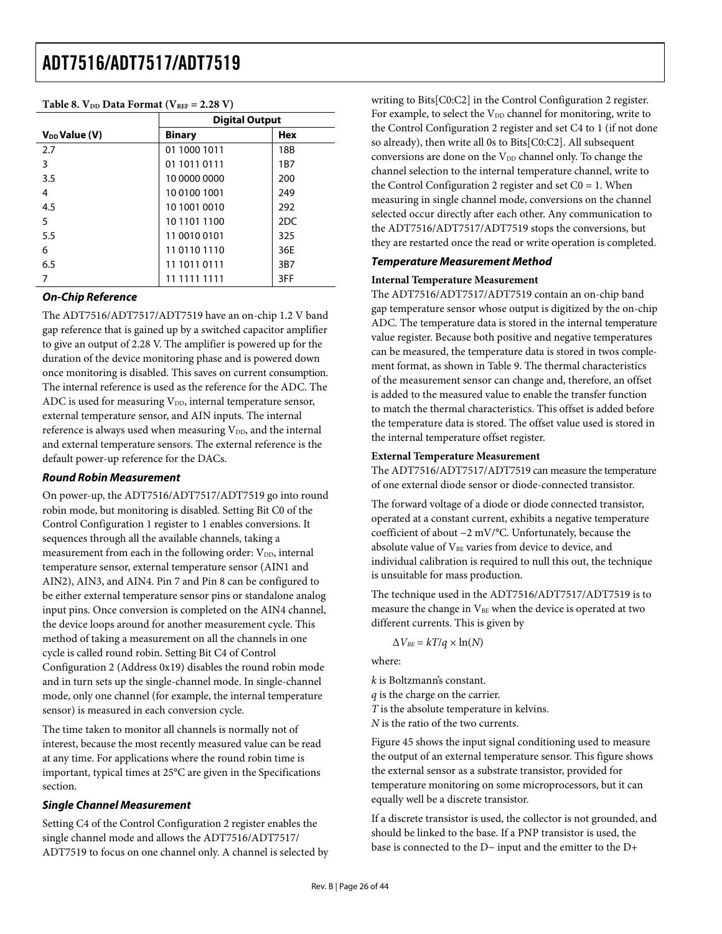<span id="page-25-0"></span>

| $\frac{1}{2}$ and $\frac{1}{2}$ . The state of the state $\frac{1}{2}$ and $\frac{1}{2}$ is the state of $\frac{1}{2}$ |                       |                 |  |  |
|------------------------------------------------------------------------------------------------------------------------|-----------------------|-----------------|--|--|
|                                                                                                                        | <b>Digital Output</b> |                 |  |  |
| $V_{DD}$ Value (V)                                                                                                     | <b>Binary</b>         | <b>Hex</b>      |  |  |
| 2.7                                                                                                                    | 01 1000 1011          | 18B             |  |  |
| 3                                                                                                                      | 01 1011 0111          | 1 <sub>B7</sub> |  |  |
| 3.5                                                                                                                    | 10 0000 0000          | 200             |  |  |
| 4                                                                                                                      | 10 0100 1001          | 249             |  |  |
| 4.5                                                                                                                    | 10 1001 0010          | 292             |  |  |
| 5                                                                                                                      | 10 1101 1100          | 2DC             |  |  |
| 5.5                                                                                                                    | 11 0010 0101          | 325             |  |  |
| 6                                                                                                                      | 11 0110 1110          | 36E             |  |  |
| 6.5                                                                                                                    | 11 1011 0111          | 3B7             |  |  |
| 7                                                                                                                      | 11 1111 1111          | 3FF             |  |  |

## Table 8.  $V_{DD}$  Data Format  $(V_{DEF} = 2.28 V)$

## **On-Chip Reference**

The ADT7516/ADT7517/ADT7519 have an on-chip 1.2 V band gap reference that is gained up by a switched capacitor amplifier to give an output of 2.28 V. The amplifier is powered up for the duration of the device monitoring phase and is powered down once monitoring is disabled. This saves on current consumption. The internal reference is used as the reference for the ADC. The ADC is used for measuring  $V_{DD}$ , internal temperature sensor, external temperature sensor, and AIN inputs. The internal reference is always used when measuring  $V_{DD}$ , and the internal and external temperature sensors. The external reference is the default power-up reference for the DACs.

#### **Round Robin Measurement**

On power-up, the ADT7516/ADT7517/ADT7519 go into round robin mode, but monitoring is disabled. Setting Bit C0 of the Control Configuration 1 register to 1 enables conversions. It sequences through all the available channels, taking a measurement from each in the following order:  $V_{DD}$ , internal temperature sensor, external temperature sensor (AIN1 and AIN2), AIN3, and AIN4. Pin 7 and Pin 8 can be configured to be either external temperature sensor pins or standalone analog input pins. Once conversion is completed on the AIN4 channel, the device loops around for another measurement cycle. This method of taking a measurement on all the channels in one cycle is called round robin. Setting Bit C4 of Control Configuration 2 (Address 0x19) disables the round robin mode and in turn sets up the single-channel mode. In single-channel mode, only one channel (for example, the internal temperature sensor) is measured in each conversion cycle.

The time taken to monitor all channels is normally not of interest, because the most recently measured value can be read at any time. For applications where the round robin time is important, typical times at 25°C are given in the [Specifications](#page-2-2) section.

## **Single Channel Measurement**

Setting C4 of the Control Configuration 2 register enables the single channel mode and allows the ADT7516/ADT7517/ ADT7519 to focus on one channel only. A channel is selected by writing to Bits[C0:C2] in the Control Configuration 2 register. For example, to select the V<sub>DD</sub> channel for monitoring, write to the Control Configuration 2 register and set C4 to 1 (if not done so already), then write all 0s to Bits[C0:C2]. All subsequent conversions are done on the  $V_{DD}$  channel only. To change the channel selection to the internal temperature channel, write to the Control Configuration 2 register and set  $Co = 1$ . When measuring in single channel mode, conversions on the channel selected occur directly after each other. Any communication to the ADT7516/ADT7517/ADT7519 stops the conversions, but they are restarted once the read or write operation is completed.

#### **Temperature Measurement Method**

#### **Internal Temperature Measurement**

The ADT7516/ADT7517/ADT7519 contain an on-chip band gap temperature sensor whose output is digitized by the on-chip ADC. The temperature data is stored in the internal temperature value register. Because both positive and negative temperatures can be measured, the temperature data is stored in twos complement format, as shown in [Table 9](#page-27-1). The thermal characteristics of the measurement sensor can change and, therefore, an offset is added to the measured value to enable the transfer function to match the thermal characteristics. This offset is added before the temperature data is stored. The offset value used is stored in the internal temperature offset register.

#### **External Temperature Measurement**

The ADT7516/ADT7517/ADT7519 can measure the temperature of one external diode sensor or diode-connected transistor.

The forward voltage of a diode or diode connected transistor, operated at a constant current, exhibits a negative temperature coefficient of about −2 mV/°C. Unfortunately, because the absolute value of  $V_{BE}$  varies from device to device, and individual calibration is required to null this out, the technique is unsuitable for mass production.

The technique used in the ADT7516/ADT7517/ADT7519 is to measure the change in V<sub>BE</sub> when the device is operated at two different currents. This is given by

 $\Delta V_{BE} = kT/q \times \ln(N)$ 

where:

*k* is Boltzmann's constant.

*q* is the charge on the carrier.

*T* is the absolute temperature in kelvins.

*N* is the ratio of the two currents.

[Figure 45](#page-20-2) shows the input signal conditioning used to measure the output of an external temperature sensor. This figure shows the external sensor as a substrate transistor, provided for temperature monitoring on some microprocessors, but it can equally well be a discrete transistor.

If a discrete transistor is used, the collector is not grounded, and should be linked to the base. If a PNP transistor is used, the base is connected to the D− input and the emitter to the D+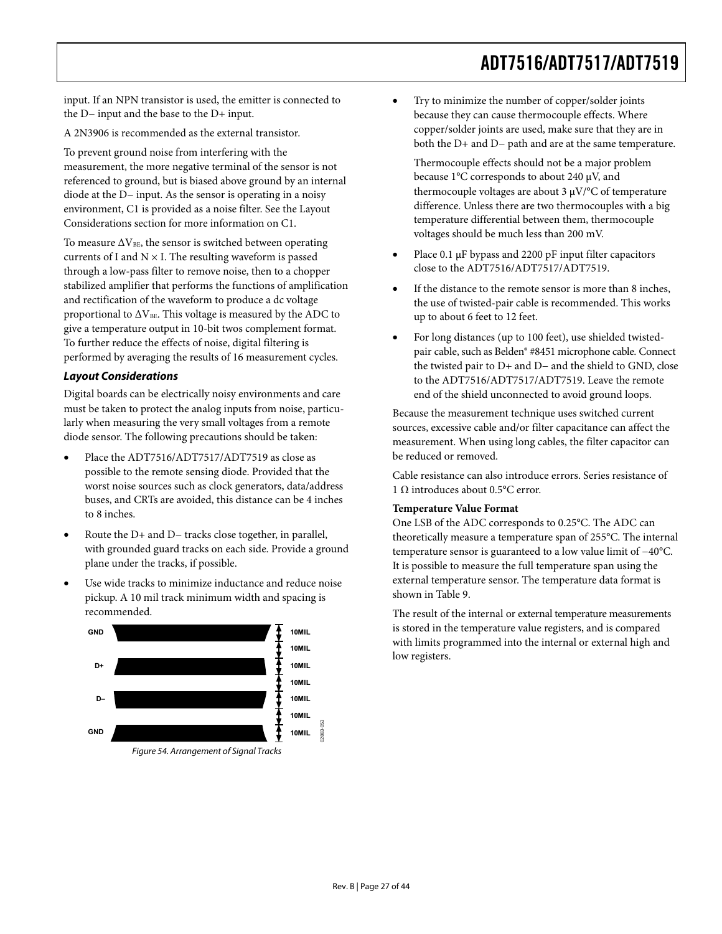input. If an NPN transistor is used, the emitter is connected to the D− input and the base to the D+ input.

A 2N3906 is recommended as the external transistor.

To prevent ground noise from interfering with the measurement, the more negative terminal of the sensor is not referenced to ground, but is biased above ground by an internal diode at the D− input. As the sensor is operating in a noisy environment, C1 is provided as a noise filter. See the [Layout](#page-26-0)  [Considerations](#page-26-0) section for more information on C1.

To measure  $\Delta V_{BE}$ , the sensor is switched between operating currents of I and  $N \times I$ . The resulting waveform is passed through a low-pass filter to remove noise, then to a chopper stabilized amplifier that performs the functions of amplification and rectification of the waveform to produce a dc voltage proportional to  $\Delta V_{BE}$ . This voltage is measured by the ADC to give a temperature output in 10-bit twos complement format. To further reduce the effects of noise, digital filtering is performed by averaging the results of 16 measurement cycles.

## <span id="page-26-0"></span>**Layout Considerations**

Digital boards can be electrically noisy environments and care must be taken to protect the analog inputs from noise, particularly when measuring the very small voltages from a remote diode sensor. The following precautions should be taken:

- Place the ADT7516/ADT7517/ADT7519 as close as possible to the remote sensing diode. Provided that the worst noise sources such as clock generators, data/address buses, and CRTs are avoided, this distance can be 4 inches to 8 inches.
- Route the D+ and D− tracks close together, in parallel, with grounded guard tracks on each side. Provide a ground plane under the tracks, if possible.
- Use wide tracks to minimize inductance and reduce noise pickup. A 10 mil track minimum width and spacing is recommended.

![](_page_26_Figure_10.jpeg)

• Try to minimize the number of copper/solder joints because they can cause thermocouple effects. Where copper/solder joints are used, make sure that they are in both the D+ and D− path and are at the same temperature.

Thermocouple effects should not be a major problem because 1°C corresponds to about 240 μV, and thermocouple voltages are about 3 μV/°C of temperature difference. Unless there are two thermocouples with a big temperature differential between them, thermocouple voltages should be much less than 200 mV.

- Place 0.1 μF bypass and 2200 pF input filter capacitors close to the ADT7516/ADT7517/ADT7519.
- If the distance to the remote sensor is more than 8 inches, the use of twisted-pair cable is recommended. This works up to about 6 feet to 12 feet.
- For long distances (up to 100 feet), use shielded twistedpair cable, such as Belden® #8451 microphone cable. Connect the twisted pair to D+ and D− and the shield to GND, close to the ADT7516/ADT7517/ADT7519. Leave the remote end of the shield unconnected to avoid ground loops.

Because the measurement technique uses switched current sources, excessive cable and/or filter capacitance can affect the measurement. When using long cables, the filter capacitor can be reduced or removed.

Cable resistance can also introduce errors. Series resistance of 1 Ω introduces about 0.5°C error.

#### **Temperature Value Format**

One LSB of the ADC corresponds to 0.25°C. The ADC can theoretically measure a temperature span of 255°C. The internal temperature sensor is guaranteed to a low value limit of −40°C. It is possible to measure the full temperature span using the external temperature sensor. The temperature data format is shown in [Table 9](#page-27-1).

The result of the internal or external temperature measurements is stored in the temperature value registers, and is compared with limits programmed into the internal or external high and low registers.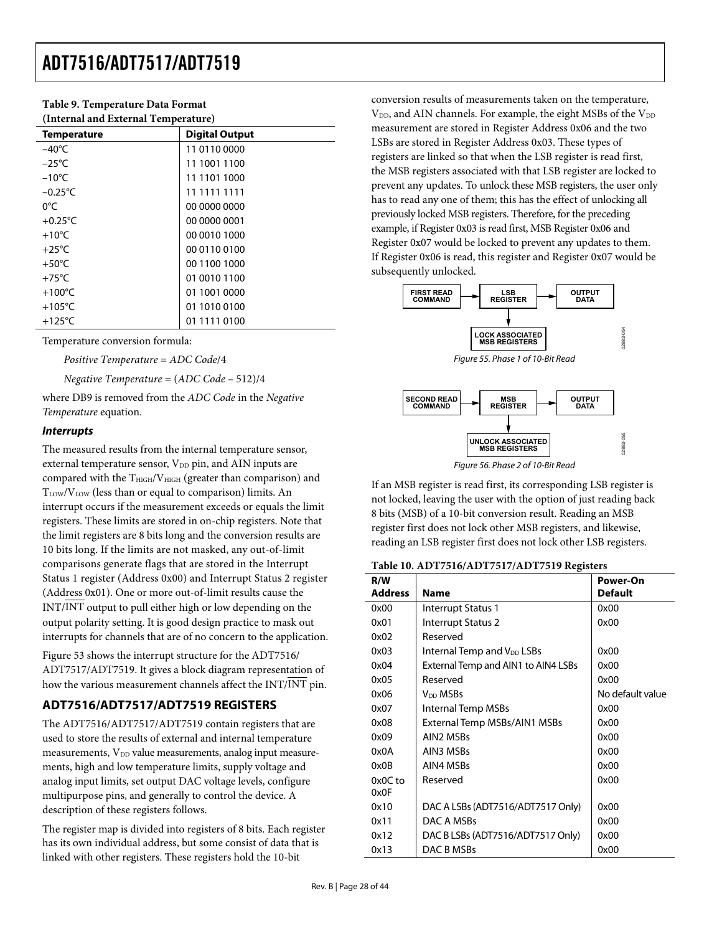<span id="page-27-1"></span>

| Tubic ). Temperature Duta I ormat   |                       |  |  |  |
|-------------------------------------|-----------------------|--|--|--|
| (Internal and External Temperature) |                       |  |  |  |
| <b>Temperature</b>                  | <b>Digital Output</b> |  |  |  |
| $-40^{\circ}$ C                     | 11 0110 0000          |  |  |  |
| $-25^{\circ}$ C                     | 11 1001 1100          |  |  |  |
| $-10^{\circ}$ C                     | 11 1101 1000          |  |  |  |
| $-0.25^{\circ}$ C                   | 11 1111 1111          |  |  |  |
| $0^{\circ}$ C                       | 00 0000 0000          |  |  |  |
| $+0.25^{\circ}$ C                   | 00 0000 0001          |  |  |  |
| $+10^{\circ}$ C                     | 00 0010 1000          |  |  |  |
| $+25^{\circ}$ C                     | 00 0110 0100          |  |  |  |
| $+50^{\circ}$ C                     | 00 1100 1000          |  |  |  |
| $+75^{\circ}$ C                     | 01 0010 1100          |  |  |  |
| $+100^{\circ}$ C                    | 01 1001 0000          |  |  |  |
| $+105^{\circ}$ C                    | 01 1010 0100          |  |  |  |
| $+125^{\circ}$ C                    | 01 1111 0100          |  |  |  |

<span id="page-27-0"></span>**Table 9. Temperature Data Format** 

Temperature conversion formula:

*Positive Temperature* = *ADC Code*/4

*Negative Temperature* = (*ADC Code* – 512)/4

where DB9 is removed from the *ADC Code* in the *Negative Temperature* equation.

### **Interrupts**

The measured results from the internal temperature sensor, external temperature sensor,  $V_{DD}$  pin, and AIN inputs are compared with the  $T_{\text{HIGH}}/V_{\text{HIGH}}$  (greater than comparison) and TLOW/VLOW (less than or equal to comparison) limits. An interrupt occurs if the measurement exceeds or equals the limit registers. These limits are stored in on-chip registers. Note that the limit registers are 8 bits long and the conversion results are 10 bits long. If the limits are not masked, any out-of-limit comparisons generate flags that are stored in the Interrupt Status 1 register (Address 0x00) and Interrupt Status 2 register (Address 0x01). One or more out-of-limit results cause the INT/INT output to pull either high or low depending on the output polarity setting. It is good design practice to mask out interrupts for channels that are of no concern to the application.

[Figure 53](#page-23-0) shows the interrupt structure for the ADT7516/ ADT7517/ADT7519. It gives a block diagram representation of how the various measurement channels affect the INT/INT pin.

## **ADT7516/ADT7517/ADT7519 REGISTERS**

The ADT7516/ADT7517/ADT7519 contain registers that are used to store the results of external and internal temperature measurements, V<sub>DD</sub> value measurements, analog input measurements, high and low temperature limits, supply voltage and analog input limits, set output DAC voltage levels, configure multipurpose pins, and generally to control the device. A description of these registers follows.

The register map is divided into registers of 8 bits. Each register has its own individual address, but some consist of data that is linked with other registers. These registers hold the 10-bit

conversion results of measurements taken on the temperature,  $\rm V_{DD}$  and AIN channels. For example, the eight MSBs of the  $\rm V_{DD}$ measurement are stored in Register Address 0x06 and the two LSBs are stored in Register Address 0x03. These types of registers are linked so that when the LSB register is read first, the MSB registers associated with that LSB register are locked to prevent any updates. To unlock these MSB registers, the user only has to read any one of them; this has the effect of unlocking all previously locked MSB registers. Therefore, for the preceding example, if Register 0x03 is read first, MSB Register 0x06 and Register 0x07 would be locked to prevent any updates to them. If Register 0x06 is read, this register and Register 0x07 would be subsequently unlocked.

![](_page_27_Figure_14.jpeg)

![](_page_27_Figure_15.jpeg)

If an MSB register is read first, its corresponding LSB register is not locked, leaving the user with the option of just reading back 8 bits (MSB) of a 10-bit conversion result. Reading an MSB register first does not lock other MSB registers, and likewise, reading an LSB register first does not lock other LSB registers.

|  | Table 10. ADT7516/ADT7517/ADT7519 Registers |  |  |  |
|--|---------------------------------------------|--|--|--|
|--|---------------------------------------------|--|--|--|

| R/W<br><b>Address</b> |                                        | Power-On<br><b>Default</b> |
|-----------------------|----------------------------------------|----------------------------|
|                       | Name                                   |                            |
| 0x00                  | Interrupt Status 1                     | 0x00                       |
| 0x01                  | Interrupt Status 2                     | 0x00                       |
| 0x02                  | Reserved                               |                            |
| 0x03                  | Internal Temp and V <sub>DD</sub> LSBs | 0x00                       |
| 0x04                  | External Temp and AIN1 to AIN4 LSBs    | 0x00                       |
| 0x05                  | Reserved                               | 0x00                       |
| 0x06                  | V <sub>DD</sub> MSBs                   | No default value           |
| 0x07                  | Internal Temp MSBs                     | 0x00                       |
| 0x08                  | External Temp MSBs/AIN1 MSBs           | 0x00                       |
| 0x09                  | AIN2 MSBs                              | 0x00                       |
| 0x0A                  | AIN3 MSBs                              | 0x00                       |
| 0x0B                  | AIN4 MSBs                              | 0x00                       |
| $0x0C$ to             | Reserved                               | 0x00                       |
| 0x0F                  |                                        |                            |
| 0x10                  | DAC A LSBs (ADT7516/ADT7517 Only)      | 0x00                       |
| 0x11                  | DAC A MSBs                             | 0x00                       |
| 0x12                  | DAC B LSBs (ADT7516/ADT7517 Only)      | 0x00                       |
| 0x13                  | DAC B MSBs                             | 0x00                       |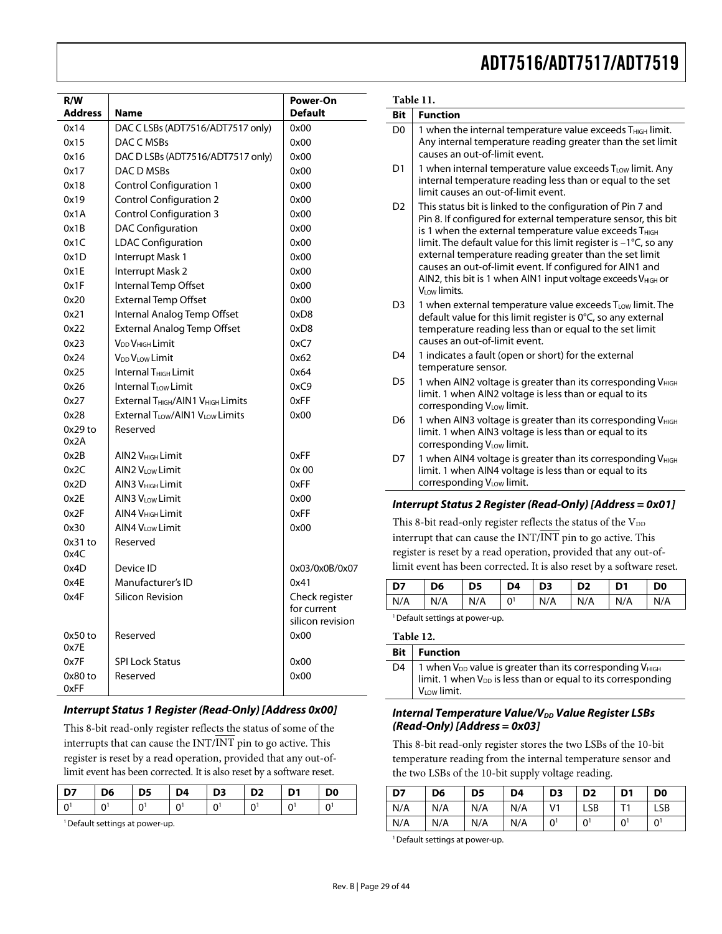| R/W<br>Address | Name                                                      | Power-On<br><b>Default</b>    |
|----------------|-----------------------------------------------------------|-------------------------------|
| 0x14           | DAC C LSBs (ADT7516/ADT7517 only)                         | 0x00                          |
| 0x15           | DAC C MSBs                                                | 0x00                          |
| 0x16           | DAC D LSBs (ADT7516/ADT7517 only)                         | 0x00                          |
| 0x17           | DAC D MSBs                                                | 0x00                          |
| 0x18           | <b>Control Configuration 1</b>                            | 0x00                          |
| 0x19           | <b>Control Configuration 2</b>                            | 0x00                          |
| 0x1A           | <b>Control Configuration 3</b>                            | 0x00                          |
| 0x1B           | <b>DAC Configuration</b>                                  | 0x00                          |
| 0x1C           | <b>LDAC Configuration</b>                                 | 0x00                          |
| 0x1D           | Interrupt Mask 1                                          | 0x00                          |
| 0x1E           | Interrupt Mask 2                                          | 0x00                          |
| 0x1F           | Internal Temp Offset                                      | 0x00                          |
| 0x20           | <b>External Temp Offset</b>                               | 0x00                          |
| 0x21           | Internal Analog Temp Offset                               | 0xD8                          |
| 0x22           | <b>External Analog Temp Offset</b>                        | 0xD8                          |
| 0x23           | V <sub>DD</sub> V <sub>HIGH</sub> Limit                   | 0xC7                          |
| 0x24           | V <sub>DD</sub> V <sub>LOW</sub> Limit                    | 0x62                          |
| 0x25           | Internal T <sub>HIGH</sub> Limit                          | 0x64                          |
| 0x26           | Internal T <sub>LOW</sub> Limit                           | 0xC9                          |
| 0x27           | External T <sub>HIGH</sub> /AIN1 V <sub>HIGH</sub> Limits | 0xFF                          |
| 0x28           | External T <sub>LOW</sub> /AIN1 V <sub>LOW</sub> Limits   | 0x00                          |
| $0x29$ to      | Reserved                                                  |                               |
| 0x2A           |                                                           |                               |
| 0x2B           | AIN2 V <sub>HIGH</sub> Limit                              | 0xFF                          |
| 0x2C           | AIN2 VLow Limit                                           | 0x 00                         |
| 0x2D           | AIN3 V <sub>HIGH</sub> Limit                              | 0xFF                          |
| 0x2E           | AIN3 V <sub>LOW</sub> Limit                               | 0x00                          |
| 0x2F           | AIN4 V <sub>HIGH</sub> Limit                              | 0xFF                          |
| 0x30           | AIN4 V <sub>LOW</sub> Limit                               | 0x00                          |
| $0x31$ to      | Reserved                                                  |                               |
| 0x4C           |                                                           |                               |
| 0x4D           | Device ID                                                 | 0x03/0x0B/0x07                |
| 0x4E           | Manufacturer's ID                                         | 0x41                          |
| 0x4F           | Silicon Revision                                          | Check register<br>for current |
|                |                                                           | silicon revision              |
| 0x50 to        | Reserved                                                  | 0x00                          |
| 0x7E           |                                                           |                               |
| 0x7F           | <b>SPI Lock Status</b>                                    | 0x00                          |
| 0x80 to        | Reserved                                                  | 0x00                          |
| 0xFF           |                                                           |                               |

## **Interrupt Status 1 Register (Read-Only) [Address 0x00]**

This 8-bit read-only register reflects the status of some of the interrupts that can cause the  $INT/INT$  pin to go active. This register is reset by a read operation, provided that any out-oflimit event has been corrected. It is also reset by a software reset.

| <b>D7</b> | $\overline{5}$ | $\overline{D5}$ | $\overline{)$ D4 | D3   D2   D1 | D <sub>0</sub> |
|-----------|----------------|-----------------|------------------|--------------|----------------|
| ΙO        |                |                 |                  |              |                |

<sup>1</sup> Default settings at power-up.

|                | Table 11.                                                                                                                                                                                                                                                                                                                                                                                                                                                                                  |  |  |  |
|----------------|--------------------------------------------------------------------------------------------------------------------------------------------------------------------------------------------------------------------------------------------------------------------------------------------------------------------------------------------------------------------------------------------------------------------------------------------------------------------------------------------|--|--|--|
| <b>Bit</b>     | <b>Function</b>                                                                                                                                                                                                                                                                                                                                                                                                                                                                            |  |  |  |
| D <sub>0</sub> | 1 when the internal temperature value exceeds T <sub>HIGH</sub> limit.<br>Any internal temperature reading greater than the set limit<br>causes an out-of-limit event.                                                                                                                                                                                                                                                                                                                     |  |  |  |
| D <sub>1</sub> | 1 when internal temperature value exceeds T <sub>LOW</sub> limit. Any<br>internal temperature reading less than or equal to the set<br>limit causes an out-of-limit event.                                                                                                                                                                                                                                                                                                                 |  |  |  |
| D <sub>2</sub> | This status bit is linked to the configuration of Pin 7 and<br>Pin 8. If configured for external temperature sensor, this bit<br>is 1 when the external temperature value exceeds THIGH<br>limit. The default value for this limit register is -1°C, so any<br>external temperature reading greater than the set limit<br>causes an out-of-limit event. If configured for AIN1 and<br>AIN2, this bit is 1 when AIN1 input voltage exceeds V <sub>HIGH</sub> or<br>V <sub>LOW</sub> limits. |  |  |  |
| D <sub>3</sub> | 1 when external temperature value exceeds TLOW limit. The<br>default value for this limit register is 0°C, so any external<br>temperature reading less than or equal to the set limit<br>causes an out-of-limit event.                                                                                                                                                                                                                                                                     |  |  |  |
| D <sub>4</sub> | 1 indicates a fault (open or short) for the external<br>temperature sensor.                                                                                                                                                                                                                                                                                                                                                                                                                |  |  |  |
| D <sub>5</sub> | 1 when AIN2 voltage is greater than its corresponding V <sub>HIGH</sub><br>limit. 1 when AIN2 voltage is less than or equal to its<br>corresponding VLow limit.                                                                                                                                                                                                                                                                                                                            |  |  |  |
| D <sub>6</sub> | 1 when AIN3 voltage is greater than its corresponding V <sub>HIGH</sub><br>limit. 1 when AIN3 voltage is less than or equal to its<br>corresponding V <sub>LOW</sub> limit.                                                                                                                                                                                                                                                                                                                |  |  |  |
| D7             | 1 when AIN4 voltage is greater than its corresponding V <sub>HIGH</sub><br>limit. 1 when AIN4 voltage is less than or equal to its<br>corresponding VLOW limit.                                                                                                                                                                                                                                                                                                                            |  |  |  |
|                | Interrupt Status 2 Register (Read-Only) [Address = 0x01]                                                                                                                                                                                                                                                                                                                                                                                                                                   |  |  |  |
|                | This 8-bit read-only register reflects the status of the VDD                                                                                                                                                                                                                                                                                                                                                                                                                               |  |  |  |
|                | interrupt that can cause the INT/INT pin to go active. This                                                                                                                                                                                                                                                                                                                                                                                                                                |  |  |  |
|                | register is reset by a read operation, provided that any out-of-                                                                                                                                                                                                                                                                                                                                                                                                                           |  |  |  |
|                | limit event has been corrected. It is also reset by a software reset.                                                                                                                                                                                                                                                                                                                                                                                                                      |  |  |  |

N/A N/A N/A 01 N/A N/A N/A N/A <sup>1</sup> Default settings at power-up.

## **Table 12.**

| <b>Bit</b> | <b>Function</b>                                                                                                                                                          |
|------------|--------------------------------------------------------------------------------------------------------------------------------------------------------------------------|
| D4         | 1 when V <sub>DD</sub> value is greater than its corresponding V <sub>HIGH</sub> limit. 1 when V <sub>DD</sub> is less than or equal to its corresponding<br>VLow limit. |

**D7 D6 D5 D4 D3 D2 D1 D0** 

## **Internal Temperature Value/V<sub>DD</sub> Value Register LSBs (Read-Only) [Address = 0x03]**

This 8-bit read-only register stores the two LSBs of the 10-bit temperature reading from the internal temperature sensor and the two LSBs of the 10-bit supply voltage reading.

| D7  | D <sub>6</sub> | D <sub>5</sub> | D4  | D <sub>3</sub> | D <sub>2</sub> | D <sub>1</sub> | D <sub>0</sub> |
|-----|----------------|----------------|-----|----------------|----------------|----------------|----------------|
| N/A | N/A            | N/A            | N/A | V <sub>1</sub> | LSB            |                | LSB            |
| N/A | N/A            | N/A            | N/A | 0 <sup>1</sup> | 01             | $0^{\circ}$    | 0 <sup>1</sup> |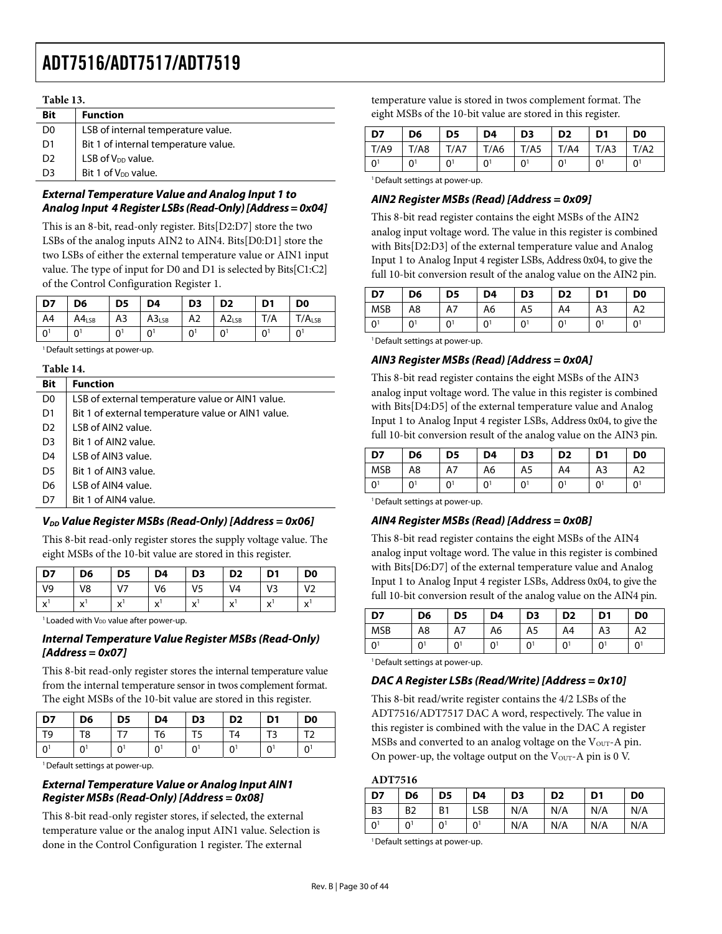|                | Table 13.                            |  |  |  |  |  |  |
|----------------|--------------------------------------|--|--|--|--|--|--|
| <b>Bit</b>     | <b>Function</b>                      |  |  |  |  |  |  |
| D <sub>0</sub> | LSB of internal temperature value.   |  |  |  |  |  |  |
| D1             | Bit 1 of internal temperature value. |  |  |  |  |  |  |
| D <sub>2</sub> | LSB of $V_{DD}$ value.               |  |  |  |  |  |  |
| D <sub>3</sub> | Bit 1 of V <sub>DD</sub> value.      |  |  |  |  |  |  |
|                |                                      |  |  |  |  |  |  |

## **External Temperature Value and Analog Input 1 to Analog Input 4 Register LSBs (Read-Only) [Address = 0x04]**

This is an 8-bit, read-only register. Bits[D2:D7] store the two LSBs of the analog inputs AIN2 to AIN4. Bits[D0:D1] store the two LSBs of either the external temperature value or AIN1 input value. The type of input for D0 and D1 is selected by Bits[C1:C2] of the Control Configuration Register 1.

| D7             | D6                  | D5 | D4                | D <sub>3</sub> | D <sub>2</sub>    | D <sub>1</sub>             | D <sub>0</sub>             |
|----------------|---------------------|----|-------------------|----------------|-------------------|----------------------------|----------------------------|
| A4             | $AA$ <sub>LSB</sub> | A3 | A3 <sub>LSB</sub> | A <sub>2</sub> | A2 <sub>LSB</sub> | T/A                        | $T/A_{LSB}$                |
| $\overline{0}$ | 01                  | 0  | $0^1$             |                | $\Omega$          | $0^{\scriptscriptstyle 1}$ | $0^{\scriptscriptstyle 1}$ |

<sup>1</sup> Default settings at power-up.

#### **Table 14.**

| <b>Bit</b>     | <b>Function</b>                                    |
|----------------|----------------------------------------------------|
| D <sub>0</sub> | LSB of external temperature value or AIN1 value.   |
| D <sub>1</sub> | Bit 1 of external temperature value or AIN1 value. |
| D <sub>2</sub> | LSB of AIN2 value.                                 |
| D <sub>3</sub> | Bit 1 of AIN2 value.                               |
| D <sub>4</sub> | LSB of AIN3 value.                                 |
| D <sub>5</sub> | Bit 1 of AIN3 value.                               |
| D <sub>6</sub> | LSB of AIN4 value.                                 |
| D7             | Bit 1 of AIN4 value.                               |
|                |                                                    |

## **V<sub>DD</sub> Value Register MSBs (Read-Only) [Address = 0x06]**

This 8-bit read-only register stores the supply voltage value. The eight MSBs of the 10-bit value are stored in this register.

| D7             | D6                | D5                                       | D4                | D <sub>3</sub> | D <sub>2</sub>    | D1                | D <sub>0</sub>    |
|----------------|-------------------|------------------------------------------|-------------------|----------------|-------------------|-------------------|-------------------|
| V <sub>9</sub> | V8                | V <sub>7</sub>                           | V6                | V <sub>5</sub> | V4                | V٩                | $\mathsf{V}$      |
| $\lambda$      | $\mathbf{v}$<br>◠ | $\mathbf{v}$<br>$\overline{\phantom{a}}$ | $\mathbf{v}$<br>◠ | $\lambda$<br>◠ | $\checkmark$<br>́ | $\checkmark$<br>́ | $\mathbf{v}$<br>́ |

 $1$  Loaded with  $V_{DD}$  value after power-up.

### **Internal Temperature Value Register MSBs (Read-Only) [Address = 0x07]**

This 8-bit read-only register stores the internal temperature value from the internal temperature sensor in twos complement format. The eight MSBs of the 10-bit value are stored in this register.

| D7 | D <sub>6</sub> | D <sub>5</sub> | D4 | D <sub>3</sub> | D <sub>2</sub> | D <sub>1</sub> | D <sub>0</sub> |
|----|----------------|----------------|----|----------------|----------------|----------------|----------------|
| T9 | T8             |                | T6 |                | Т4             |                | $T^{\prime}$   |
| n  | $\Omega$       |                | n  | 0              |                | 01             | $\overline{0}$ |

<sup>1</sup> Default settings at power-up.

## **External Temperature Value or Analog Input AIN1 Register MSBs (Read-Only) [Address = 0x08]**

This 8-bit read-only register stores, if selected, the external temperature value or the analog input AIN1 value. Selection is done in the Control Configuration 1 register. The external

temperature value is stored in twos complement format. The eight MSBs of the 10-bit value are stored in this register.

| D7       | D <sub>6</sub> | D5             | D4             | D <sub>3</sub> | D <sub>2</sub> | D <sub>1</sub> | D <sub>0</sub> |
|----------|----------------|----------------|----------------|----------------|----------------|----------------|----------------|
| T/AB     | T/AB           | T/A7           | T/A6           | T/AS           | T/A4           | T/A3           | T/A2           |
| $\Omega$ | ∩1             | 0 <sup>1</sup> | 0 <sup>1</sup> | 01             |                | 0              | 01             |

<sup>1</sup> Default settings at power-up.

## **AIN2 Register MSBs (Read) [Address = 0x09]**

This 8-bit read register contains the eight MSBs of the AIN2 analog input voltage word. The value in this register is combined with Bits[D2:D3] of the external temperature value and Analog Input 1 to Analog Input 4 register LSBs, Address 0x04, to give the full 10-bit conversion result of the analog value on the AIN2 pin.

| D7         | D6             | D5 | D4           | D <sub>3</sub> | D <sub>2</sub> | D <sub>1</sub>            | D <sub>0</sub> |
|------------|----------------|----|--------------|----------------|----------------|---------------------------|----------------|
| <b>MSB</b> | A8             | A7 | A6           | A5             | A4             | A3                        | A2             |
| 0          | 0 <sup>1</sup> | 0  | $0^{\prime}$ | 0 <sup>1</sup> | 0              | $\mathbf{0}^{\mathsf{i}}$ | 0 <sup>1</sup> |

<sup>1</sup> Default settings at power-up.

## **AIN3 Register MSBs (Read) [Address = 0x0A]**

This 8-bit read register contains the eight MSBs of the AIN3 analog input voltage word. The value in this register is combined with Bits[D4:D5] of the external temperature value and Analog Input 1 to Analog Input 4 register LSBs, Address 0x04, to give the full 10-bit conversion result of the analog value on the AIN3 pin.

| D7             | D <sub>6</sub> | D <sub>5</sub> | D4             | D <sub>3</sub> | D <sub>2</sub> | D <sub>1</sub> | D <sub>0</sub> |
|----------------|----------------|----------------|----------------|----------------|----------------|----------------|----------------|
| <b>MSB</b>     | A8             | A7             | A6             | A5             | A4             | A <sub>3</sub> | A <sub>2</sub> |
| 0 <sup>1</sup> |                | $0^{\dagger}$  | 0 <sup>1</sup> | 0 <sup>1</sup> |                | 0 <sup>1</sup> | 0              |

<sup>1</sup> Default settings at power-up.

## **AIN4 Register MSBs (Read) [Address = 0x0B]**

This 8-bit read register contains the eight MSBs of the AIN4 analog input voltage word. The value in this register is combined with Bits[D6:D7] of the external temperature value and Analog Input 1 to Analog Input 4 register LSBs, Address 0x04, to give the full 10-bit conversion result of the analog value on the AIN4 pin.

| D7         | D6 | D <sub>5</sub> | D4 | D <sub>3</sub> | D <sub>2</sub> | D <sub>1</sub> | D <sub>0</sub>            |
|------------|----|----------------|----|----------------|----------------|----------------|---------------------------|
| <b>MSB</b> | A8 | A7             | A6 | A5             | A4             | A3             | A2                        |
| $\Omega$   | ∩  | 0              | n١ | ∩1             | 0              | U.             | $\mathbf{0}^{\mathsf{i}}$ |

<sup>1</sup> Default settings at power-up.

## **DAC A Register LSBs (Read/Write) [Address = 0x10]**

This 8-bit read/write register contains the 4/2 LSBs of the ADT7516/ADT7517 DAC A word, respectively. The value in this register is combined with the value in the DAC A register MSBs and converted to an analog voltage on the  $V<sub>OUT</sub> - A$  pin. On power-up, the voltage output on the  $V<sub>OUT</sub> - A$  pin is 0 V.

### **ADT7516**

| D7             | D <sub>6</sub> | D5             | D <sub>4</sub> | D <sub>3</sub> | D <sub>2</sub> | D <sub>1</sub> | D <sub>0</sub> |
|----------------|----------------|----------------|----------------|----------------|----------------|----------------|----------------|
| <b>B3</b>      | B <sub>2</sub> | B <sub>1</sub> | LSB            | N/A            | N/A            | N/A            | N/A            |
| 0 <sup>1</sup> | 0 <sup>1</sup> | 0 <sup>1</sup> | 0 <sup>1</sup> | N/A            | N/A            | N/A            | N/A            |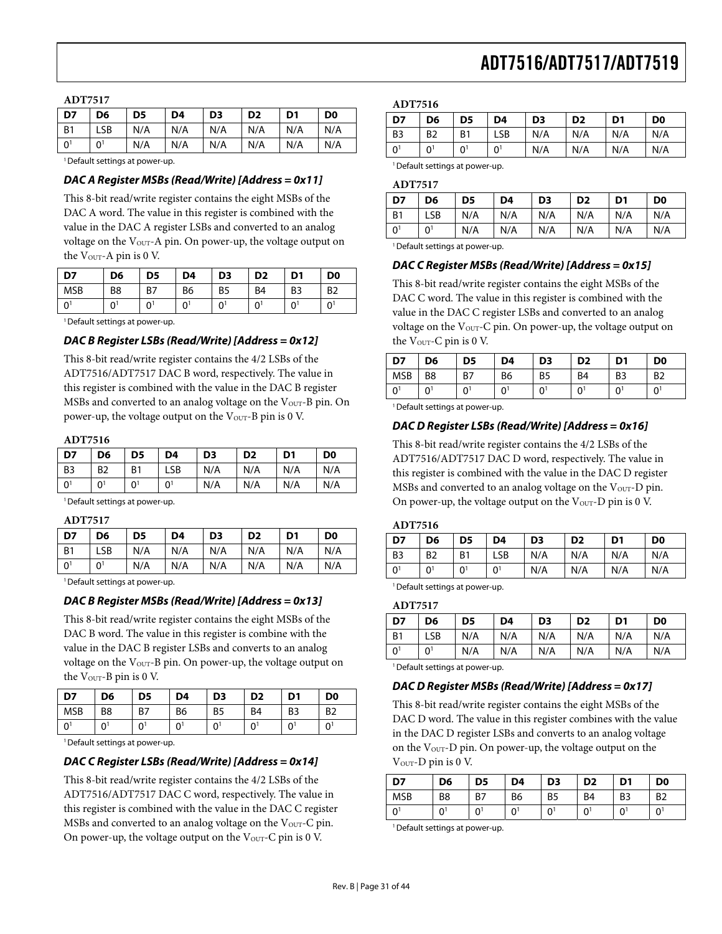#### **ADT7517**

| D7             | D6             | D <sub>5</sub> | D <sub>4</sub> | D <sub>3</sub> | D <sub>2</sub> | D <sub>1</sub> | D <sub>0</sub> |
|----------------|----------------|----------------|----------------|----------------|----------------|----------------|----------------|
| - B1           | LSB            | N/A            | N/A            | N/A            | N/A            | N/A            | N/A            |
| $\overline{0}$ | 0 <sup>1</sup> | N/A            | N/A            | N/A            | N/A            | N/A            | N/A            |

<sup>1</sup> Default settings at power-up.

#### **DAC A Register MSBs (Read/Write) [Address = 0x11]**

This 8-bit read/write register contains the eight MSBs of the DAC A word. The value in this register is combined with the value in the DAC A register LSBs and converted to an analog voltage on the V<sub>OUT</sub>-A pin. On power-up, the voltage output on the  $V_{\text{OUT}}-A$  pin is 0 V.

| D7           | D <sub>6</sub> | D <sub>5</sub> | D4             | D <sub>3</sub> | D <sub>2</sub> | D <sub>1</sub> | D <sub>0</sub> |
|--------------|----------------|----------------|----------------|----------------|----------------|----------------|----------------|
| <b>MSB</b>   | B8             | B7             | B <sub>6</sub> | B <sub>5</sub> | B <sub>4</sub> | B <sub>3</sub> | B <sub>2</sub> |
| $\mathbf{0}$ | 0              | 0              | $0^{\circ}$    | 01             | 0              | 01             | $0^1$          |

<sup>1</sup> Default settings at power-up.

#### **DAC B Register LSBs (Read/Write) [Address = 0x12]**

This 8-bit read/write register contains the 4/2 LSBs of the ADT7516/ADT7517 DAC B word, respectively. The value in this register is combined with the value in the DAC B register MSBs and converted to an analog voltage on the  $V_{\text{OUT}}-B$  pin. On power-up, the voltage output on the  $V_{\text{OUT}}-B$  pin is 0 V.

#### **ADT7516**

| D7             | D <sub>6</sub> | D <sub>5</sub> | D4             | D3  | D <sub>2</sub> | D <sub>1</sub> | D <sub>0</sub> |
|----------------|----------------|----------------|----------------|-----|----------------|----------------|----------------|
| <b>B3</b>      | B <sub>2</sub> | <b>B1</b>      | <b>LSB</b>     | N/A | N/A            | N/A            | N/A            |
| 0 <sup>1</sup> | 0 <sup>1</sup> | 0 <sup>1</sup> | 0 <sup>1</sup> | N/A | N/A            | N/A            | N/A            |

<sup>1</sup> Default settings at power-up.

| v |  |
|---|--|
|---|--|

| D7             | D6    | D <sub>5</sub> | D4  | D <sub>3</sub> | D <sub>2</sub> | D <sub>1</sub> | D <sub>0</sub> |
|----------------|-------|----------------|-----|----------------|----------------|----------------|----------------|
| <b>B</b> 1     | LSB   | N/A            | N/A | N/A            | N/A            | N/A            | N/A            |
| 0 <sup>1</sup> | $0^1$ | N/A            | N/A | N/A            | N/A            | N/A            | N/A            |

<sup>1</sup> Default settings at power-up.

## **DAC B Register MSBs (Read/Write) [Address = 0x13]**

This 8-bit read/write register contains the eight MSBs of the DAC B word. The value in this register is combine with the value in the DAC B register LSBs and converts to an analog voltage on the V<sub>OUT</sub>-B pin. On power-up, the voltage output on the V<sub>OUT</sub>-B pin is 0 V.

| D7             | D6             | D5       | D4 | D <sub>3</sub> | D <sub>2</sub> | D <sub>1</sub> | D <sub>0</sub> |
|----------------|----------------|----------|----|----------------|----------------|----------------|----------------|
| <b>MSB</b>     | B <sub>8</sub> | B7       | B6 | B <sub>5</sub> | B <sub>4</sub> | B <sub>3</sub> | B <sub>2</sub> |
| $\overline{0}$ |                | $\Omega$ | ∩  | 0              | n              |                |                |

<sup>1</sup> Default settings at power-up.

#### **DAC C Register LSBs (Read/Write) [Address = 0x14]**

This 8-bit read/write register contains the 4/2 LSBs of the ADT7516/ADT7517 DAC C word, respectively. The value in this register is combined with the value in the DAC C register MSBs and converted to an analog voltage on the  $V<sub>OUT</sub>$ -C pin. On power-up, the voltage output on the  $V<sub>OUT</sub>-C$  pin is 0 V.

#### **ADT7516**

| D7             | D <sub>6</sub> | D <sub>5</sub> | D4             | D <sub>3</sub> | D <sub>2</sub> | D <sub>1</sub> | D <sub>0</sub> |
|----------------|----------------|----------------|----------------|----------------|----------------|----------------|----------------|
| B <sub>3</sub> | B <sub>2</sub> | B <sub>1</sub> | LSB            | N/A            | N/A            | N/A            | N/A            |
| 0 <sup>1</sup> | 0 <sup>1</sup> | 0 <sup>1</sup> | 0 <sup>1</sup> | N/A            | N/A            | N/A            | N/A            |
|                |                |                |                |                |                |                |                |

<sup>1</sup> Default settings at power-up.

#### **ADT7517**

| .              |     |     |     |                |                |                |                |
|----------------|-----|-----|-----|----------------|----------------|----------------|----------------|
| $\overline{D}$ | D6  | D5  | D4  | D <sub>3</sub> | D <sub>2</sub> | D <sub>1</sub> | D <sub>0</sub> |
| B <sub>1</sub> | LSB | N/A | N/A | N/A            | N/A            | N/A            | N/A            |
| 0 <sup>1</sup> | 01  | N/A | N/A | N/A            | N/A            | N/A            | N/A            |

<sup>1</sup> Default settings at power-up.

#### **DAC C Register MSBs (Read/Write) [Address = 0x15]**

This 8-bit read/write register contains the eight MSBs of the DAC C word. The value in this register is combined with the value in the DAC C register LSBs and converted to an analog voltage on the  $V_{\text{OUT}}-C$  pin. On power-up, the voltage output on the  $V_{\text{OUT}}-C$  pin is 0 V.

| D7          | D6 | D5 | D4             | D <sub>3</sub> | D <sub>2</sub> | D <sub>1</sub> | D <sub>0</sub> |
|-------------|----|----|----------------|----------------|----------------|----------------|----------------|
| MSB         | B8 | B7 | B <sub>6</sub> | B <sub>5</sub> | B <sub>4</sub> | B <sub>3</sub> | B <sub>2</sub> |
| $0^{\circ}$ | 0  | ∩  | 01             | 0              | 0              | 0              | $0^1$          |

<sup>1</sup> Default settings at power-up.

#### **DAC D Register LSBs (Read/Write) [Address = 0x16]**

This 8-bit read/write register contains the 4/2 LSBs of the ADT7516/ADT7517 DAC D word, respectively. The value in this register is combined with the value in the DAC D register MSBs and converted to an analog voltage on the  $V<sub>OUT</sub>-D$  pin. On power-up, the voltage output on the  $V<sub>OUT</sub> - D$  pin is 0 V.

#### **ADT7516**

| D7             | D <sub>6</sub> | D <sub>5</sub> | D4             | D <sub>3</sub> | D <sub>2</sub> | D <sub>1</sub> | D <sub>0</sub> |
|----------------|----------------|----------------|----------------|----------------|----------------|----------------|----------------|
| B <sub>3</sub> | B <sub>2</sub> | B <sub>1</sub> | LSB            | N/A            | N/A            | N/A            | N/A            |
| 0 <sup>1</sup> | 0 <sup>1</sup> | 0 <sup>1</sup> | 0 <sup>1</sup> | N/A            | N/A            | N/A            | N/A            |

<sup>1</sup> Default settings at power-up.

#### **ADT7517**

| D7             | D6         | D <sub>5</sub> | D4  | D <sub>3</sub> | D <sub>2</sub> | D <sub>1</sub> | D <sub>0</sub> |
|----------------|------------|----------------|-----|----------------|----------------|----------------|----------------|
| <b>B1</b>      | <b>LSB</b> | N/A            | N/A | N/A            | N/A            | N/A            | N/A            |
| 0 <sup>1</sup> | 01         | N/A            | N/A | N/A            | N/A            | N/A            | N/A            |

<sup>1</sup> Default settings at power-up.

#### **DAC D Register MSBs (Read/Write) [Address = 0x17]**

This 8-bit read/write register contains the eight MSBs of the DAC D word. The value in this register combines with the value in the DAC D register LSBs and converts to an analog voltage on the  $V<sub>OUT</sub>-D$  pin. On power-up, the voltage output on the V<sub>OUT</sub>-D pin is 0 V.

| D7           | D6             | D <sub>5</sub> | D <sub>4</sub> | D <sub>3</sub> | D <sub>2</sub> | D <sub>1</sub> | D <sub>0</sub> |
|--------------|----------------|----------------|----------------|----------------|----------------|----------------|----------------|
| <b>MSB</b>   | B <sub>8</sub> | B7             | B <sub>6</sub> | B <sub>5</sub> | B <sub>4</sub> | B <sub>3</sub> | B <sub>2</sub> |
| $\mathbf{0}$ | n              | U              | ∩1             |                | U              |                | 01             |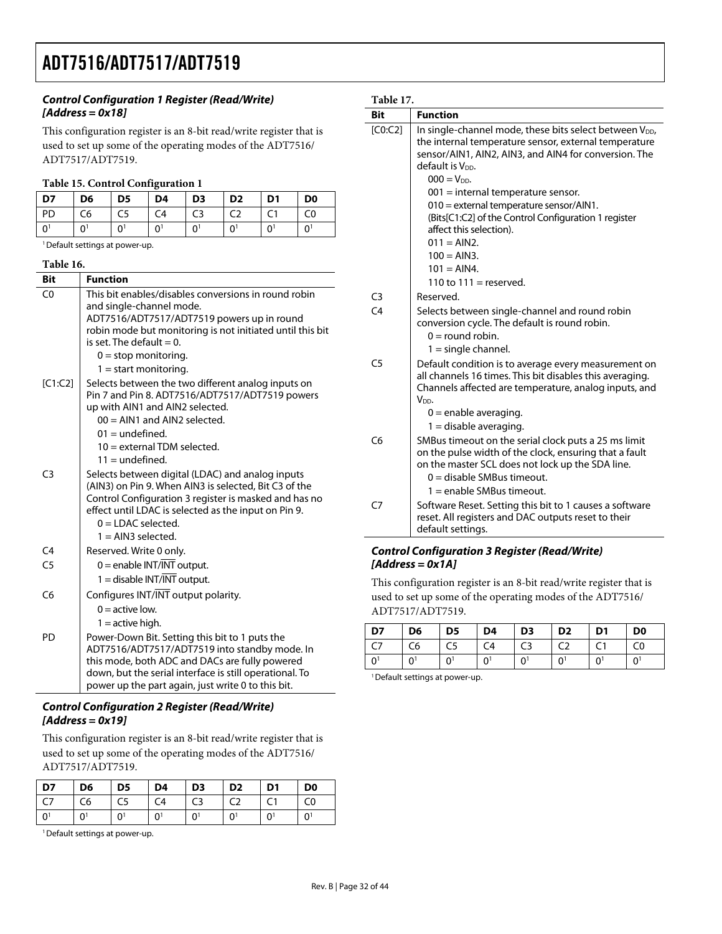## **Control Configuration 1 Register (Read/Write) [Address = 0x18]**

This configuration register is an 8-bit read/write register that is used to set up some of the operating modes of the ADT7516/ ADT7517/ADT7519.

#### **Table 15. Control Configuration 1**

| D7   | D <sub>6</sub> | D <sub>5</sub> | D4 | D <sub>3</sub> | D <sub>2</sub> | D <sub>1</sub> | D <sub>0</sub>        |
|------|----------------|----------------|----|----------------|----------------|----------------|-----------------------|
| l PD | C <sub>6</sub> | C5             | C4 | C <sub>3</sub> | C <sub>2</sub> |                | C0                    |
| l oʻ | ΩÎ             | 0              |    |                | $\mathbf{0}$   |                | $\Omega$ <sup>1</sup> |

<sup>1</sup> Default settings at power-up.

#### **Table 16.**

| <b>Bit</b>     | <b>Function</b>                                                                                                                                                                                                                                                                                 |
|----------------|-------------------------------------------------------------------------------------------------------------------------------------------------------------------------------------------------------------------------------------------------------------------------------------------------|
| C <sub>0</sub> | This bit enables/disables conversions in round robin<br>and single-channel mode.<br>ADT7516/ADT7517/ADT7519 powers up in round<br>robin mode but monitoring is not initiated until this bit<br>is set. The default $= 0$ .<br>$0 = stop$ monitoring.                                            |
| [C1:C2]        | $1 =$ start monitoring.<br>Selects between the two different analog inputs on<br>Pin 7 and Pin 8. ADT7516/ADT7517/ADT7519 powers<br>up with AIN1 and AIN2 selected.<br>$00 = AIN1$ and $AIN2$ selected.<br>$01 =$ undefined.<br>$10 =$ external TDM selected.                                   |
| C <sub>3</sub> | $11 =$ undefined.<br>Selects between digital (LDAC) and analog inputs<br>(AIN3) on Pin 9. When AIN3 is selected, Bit C3 of the<br>Control Configuration 3 register is masked and has no<br>effect until LDAC is selected as the input on Pin 9.<br>$0 =$ LDAC selected.<br>$1 = AIN3$ selected. |
| C4             | Reserved. Write 0 only.                                                                                                                                                                                                                                                                         |
| C <sub>5</sub> | $0 =$ enable INT/INT output.<br>$1 =$ disable INT/INT output.                                                                                                                                                                                                                                   |
| C <sub>6</sub> | Configures INT/INT output polarity.<br>$0 =$ active low.<br>$1 =$ active high.                                                                                                                                                                                                                  |
| PD             | Power-Down Bit. Setting this bit to 1 puts the<br>ADT7516/ADT7517/ADT7519 into standby mode. In<br>this mode, both ADC and DACs are fully powered<br>down, but the serial interface is still operational. To<br>power up the part again, just write 0 to this bit.                              |

### **Control Configuration 2 Register (Read/Write) [Address = 0x19]**

This configuration register is an 8-bit read/write register that is used to set up some of the operating modes of the ADT7516/ ADT7517/ADT7519.

| <b>D7</b>      | D <sub>6</sub>  | $\overline{D5}$ | D4                    | D3             | D <sub>2</sub>        | D1 | D <sub>0</sub> |
|----------------|-----------------|-----------------|-----------------------|----------------|-----------------------|----|----------------|
| C7             | $\overline{C6}$ | $\overline{C5}$ | $\overline{C4}$       | $\overline{C}$ | $\overline{C}$        |    | C <sub>0</sub> |
| $\overline{0}$ | $\bigcap$       | ΩÎ              | $\Omega$ <sup>1</sup> | $\Omega$       | $\Omega$ <sup>1</sup> | ΩÎ | 0 <sup>1</sup> |

1 Default settings at power-up.

## **Table 17.**

| <b>Bit</b>     | <b>Function</b>                                                                                                                                                                                                                         |
|----------------|-----------------------------------------------------------------------------------------------------------------------------------------------------------------------------------------------------------------------------------------|
| [CO:C2]        | In single-channel mode, these bits select between V <sub>DD</sub> ,<br>the internal temperature sensor, external temperature<br>sensor/AIN1, AIN2, AIN3, and AIN4 for conversion. The<br>default is V <sub>pp</sub> .<br>$000 = V_{DD}$ |
|                | $001$ = internal temperature sensor.                                                                                                                                                                                                    |
|                | 010 = external temperature sensor/AIN1.<br>(Bits[C1:C2] of the Control Configuration 1 register<br>affect this selection).                                                                                                              |
|                | $011 = AIN2$ .                                                                                                                                                                                                                          |
|                | $100 = AIN3$ .                                                                                                                                                                                                                          |
|                | $101 = AIN4$ .                                                                                                                                                                                                                          |
|                | 110 to $111 =$ reserved.                                                                                                                                                                                                                |
| C <sub>3</sub> | Reserved.                                                                                                                                                                                                                               |
| C <sub>4</sub> | Selects between single-channel and round robin<br>conversion cycle. The default is round robin.<br>$0 =$ round robin.<br>$1 =$ single channel.                                                                                          |
| C <sub>5</sub> | Default condition is to average every measurement on<br>all channels 16 times. This bit disables this averaging.<br>Channels affected are temperature, analog inputs, and<br>V <sub>DD</sub> .                                          |
|                | $0 =$ enable averaging.<br>$1 =$ disable averaging.                                                                                                                                                                                     |
| C <sub>6</sub> | SMBus timeout on the serial clock puts a 25 ms limit<br>on the pulse width of the clock, ensuring that a fault<br>on the master SCL does not lock up the SDA line.<br>$0 =$ disable SMBus timeout.                                      |
| C7             | $1 =$ enable SMBus timeout.<br>Software Reset. Setting this bit to 1 causes a software<br>reset. All registers and DAC outputs reset to their<br>default settings.                                                                      |

## **Control Configuration 3 Register (Read/Write) [Address = 0x1A]**

This configuration register is an 8-bit read/write register that is used to set up some of the operating modes of the ADT7516/ ADT7517/ADT7519.

| $\overline{D7}$ | D <sub>6</sub> | D <sub>5</sub> | D <sub>4</sub> | D <sub>3</sub> | D <sub>2</sub> | D <sub>1</sub> | D <sub>0</sub> |
|-----------------|----------------|----------------|----------------|----------------|----------------|----------------|----------------|
|                 | C <sub>6</sub> | C <sub>5</sub> | C4             | C <sub>3</sub> | C <sub>2</sub> |                | C <sub>0</sub> |
| $\sim$          | ΩÎ             | $\Omega$       |                | $\cap$         |                |                |                |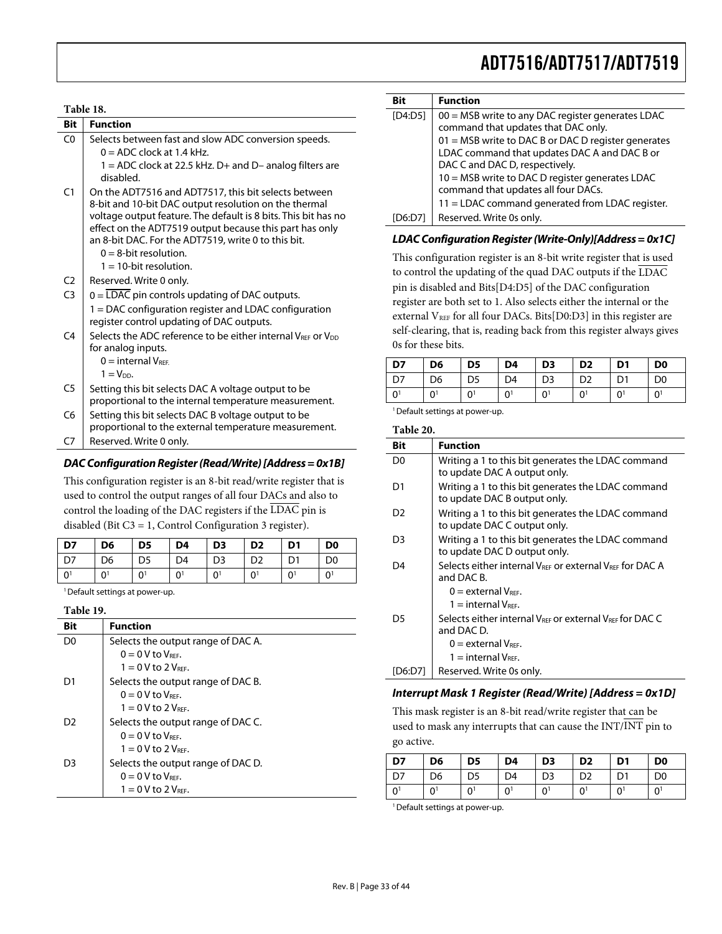## **Table 18. Bit Function**   $CO$  Selects between fast and slow ADC conversion speeds.  $0 = ADC$  clock at 1.4 kHz.  $1 = ADC$  clock at 22.5 kHz. D+ and D- analog filters are disabled. C1  $\vert$  On the ADT7516 and ADT7517, this bit selects between 8-bit and 10-bit DAC output resolution on the thermal voltage output feature. The default is 8 bits. This bit has no effect on the ADT7519 output because this part has only an 8-bit DAC. For the ADT7519, write 0 to this bit.  $0 = 8$ -bit resolution.  $1 = 10$ -bit resolution. C2 | Reserved. Write 0 only. C3  $\vert$  0 = LDAC pin controls updating of DAC outputs. 1 = DAC configuration register and LDAC configuration register control updating of DAC outputs. C4 Selects the ADC reference to be either internal VREF or V<sub>DD</sub> for analog inputs.  $0 =$  internal  $V_{REF}$  $1 = V_{DD}$ . C5  $\vert$  Setting this bit selects DAC A voltage output to be proportional to the internal temperature measurement.  $C6$  Setting this bit selects DAC B voltage output to be proportional to the external temperature measurement. C7 | Reserved. Write 0 only.

## **DAC Configuration Register (Read/Write) [Address = 0x1B]**

This configuration register is an 8-bit read/write register that is used to control the output ranges of all four DACs and also to control the loading of the DAC registers if the LDAC pin is disabled (Bit C3 = 1, Control Configuration 3 register).

| D7  | D <sub>6</sub> | D <sub>5</sub> | D <sub>4</sub> | D <sub>3</sub> | D <sub>2</sub> | D1 | D <sub>0</sub> |
|-----|----------------|----------------|----------------|----------------|----------------|----|----------------|
| D7  | D <sub>6</sub> | D <sub>5</sub> | D <sub>4</sub> | D <sub>3</sub> | D <sub>2</sub> |    | D <sub>0</sub> |
| l o | $\cap$ 1       | 0              | 0              |                | 0 <sup>1</sup> |    | $0^{\dagger}$  |

<sup>1</sup> Default settings at power-up.

#### **Table 19.**

| Bit | <b>Function</b>                    |
|-----|------------------------------------|
| D0  | Selects the output range of DAC A. |
|     | $0 = 0$ V to $V_{\text{REF}}$ .    |
|     | $1 = 0$ V to 2 V <sub>REE</sub> .  |
| D1  | Selects the output range of DAC B. |
|     | $0 = 0$ V to V <sub>RFF</sub> .    |
|     | $1 = 0$ V to 2 V <sub>REE</sub> .  |
| D2  | Selects the output range of DAC C. |
|     | $0 = 0$ V to V <sub>RFF</sub> .    |
|     | $1 = 0$ V to 2 $V_{BFE}$ .         |
| D3  | Selects the output range of DAC D. |
|     | $0 = 0$ V to V <sub>RFF</sub> .    |
|     | $1 = 0$ V to 2 $V_{BFE}$ .         |

| Bit     | <b>Function</b>                                                                          |
|---------|------------------------------------------------------------------------------------------|
| [D4:D5] | 00 = MSB write to any DAC register generates LDAC<br>command that updates that DAC only. |
|         | 01 = MSB write to DAC B or DAC D register generates                                      |
|         | LDAC command that updates DAC A and DAC B or                                             |
|         | DAC C and DAC D, respectively.                                                           |
|         | 10 = MSB write to DAC D register generates LDAC                                          |
|         | command that updates all four DACs.                                                      |
|         | 11 = LDAC command generated from LDAC register.                                          |
|         | Reserved. Write 0s only.                                                                 |

## **LDAC Configuration Register (Write-Only)[Address = 0x1C]**

This configuration register is an 8-bit write register that is used to control the updating of the quad DAC outputs if the LDAC pin is disabled and Bits[D4:D5] of the DAC configuration register are both set to 1. Also selects either the internal or the external V<sub>REF</sub> for all four DACs. Bits[D0:D3] in this register are self-clearing, that is, reading back from this register always gives 0s for these bits.

| D7             | D <sub>6</sub> | D <sub>5</sub> | D <sub>4</sub> | D <sub>3</sub> | D <sub>2</sub> | D <sub>1</sub> | D <sub>0</sub> |
|----------------|----------------|----------------|----------------|----------------|----------------|----------------|----------------|
| D7             | D6             | D5             | D4             | D3             | D <sub>2</sub> |                | D <sub>0</sub> |
| 0 <sup>1</sup> | U              | $\Omega$       | 0              |                |                |                | 0 <sup>1</sup> |

<sup>1</sup> Default settings at power-up.

### **Table 20.**

| Bit            | <b>Function</b>                                                                                                                    |
|----------------|------------------------------------------------------------------------------------------------------------------------------------|
| D <sub>0</sub> | Writing a 1 to this bit generates the LDAC command<br>to update DAC A output only.                                                 |
| D1             | Writing a 1 to this bit generates the LDAC command<br>to update DAC B output only.                                                 |
| D <sub>2</sub> | Writing a 1 to this bit generates the LDAC command<br>to update DAC C output only.                                                 |
| D3             | Writing a 1 to this bit generates the LDAC command<br>to update DAC D output only.                                                 |
| D4             | Selects either internal V <sub>REE</sub> or external V <sub>REE</sub> for DAC A<br>and DAC B.<br>$0 =$ external $V_{\text{REF}}$ . |
|                | $1 =$ internal $V_{BFE}$ .                                                                                                         |
| D5             | Selects either internal VREE Or external VREE for DAC C<br>and DAC D.                                                              |
|                | $0 =$ external $V_{BFE}$ .                                                                                                         |
|                | $1 =$ internal $V_{BFE}$ .                                                                                                         |
| ID6:D71        | Reserved. Write 0s only.                                                                                                           |

### **Interrupt Mask 1 Register (Read/Write) [Address = 0x1D]**

This mask register is an 8-bit read/write register that can be used to mask any interrupts that can cause the  $INT/INT$  pin to go active.

| $\overline{D7}$  | D <sub>6</sub> | D <sub>5</sub> | D <sub>4</sub> | D <sub>3</sub> | D <sub>2</sub> | D <sub>1</sub> | D <sub>0</sub> |
|------------------|----------------|----------------|----------------|----------------|----------------|----------------|----------------|
| $1\overline{D7}$ | D6             | D <sub>5</sub> | D4             | D <sub>3</sub> | D <sub>2</sub> | D <sub>1</sub> | D <sub>0</sub> |
|                  |                | 0              |                | U.             |                | ∩1             | 0 <sup>1</sup> |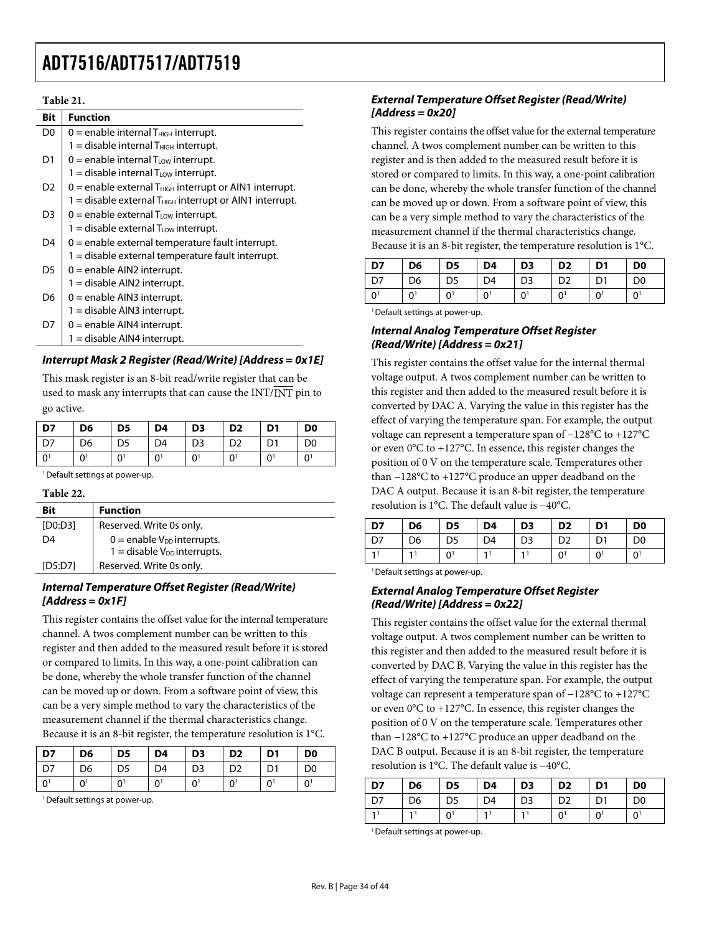### **Table 21.**

| Bit            | <b>Function</b>                                                       |
|----------------|-----------------------------------------------------------------------|
| D0             | $0 =$ enable internal $T_{\text{HIGH}}$ interrupt.                    |
|                | $1 =$ disable internal $T_{\text{HIGH}}$ interrupt.                   |
| D1             | $0 =$ enable internal $T_{LOW}$ interrupt.                            |
|                | $1 =$ disable internal $T_{LOW}$ interrupt.                           |
| D <sub>2</sub> | $0$ = enable external $T_{HIGH}$ interrupt or AIN1 interrupt.         |
|                | $1 =$ disable external $T_{\text{HIGH}}$ interrupt or AIN1 interrupt. |
| D <sub>3</sub> | $0 =$ enable external $T_{LOW}$ interrupt.                            |
|                | 1 = disable external $T_{\text{Low}}$ interrupt.                      |
| D4             | $0$ = enable external temperature fault interrupt.                    |
|                | 1 = disable external temperature fault interrupt.                     |
| D5             | $0 =$ enable AIN2 interrupt.                                          |
|                | 1 = disable AIN2 interrupt.                                           |
| D6             | $0 =$ enable AIN3 interrupt.                                          |
|                | 1 = disable AIN3 interrupt.                                           |
| D7             | $0 =$ enable AIN4 interrupt.                                          |
|                | $1 =$ disable AIN4 interrupt.                                         |

## **Interrupt Mask 2 Register (Read/Write) [Address = 0x1E]**

This mask register is an 8-bit read/write register that can be used to mask any interrupts that can cause the INT/INT pin to go active.

| D7              | D <sub>6</sub> | D <sub>5</sub> | D4             | D <sub>3</sub> | D <sub>2</sub> | D1           | D <sub>0</sub> |
|-----------------|----------------|----------------|----------------|----------------|----------------|--------------|----------------|
| $\overline{D7}$ | D <sub>6</sub> | D <sub>5</sub> | D4             | D <sub>3</sub> | D <sub>2</sub> | D1           | D <sub>0</sub> |
| l o             | $\sim$         | U.             | 0 <sup>1</sup> | ΩÎ             | 0 <sup>1</sup> | $\mathbf{0}$ | 0 <sup>1</sup> |

<sup>1</sup> Default settings at power-up.

#### **Table 22.**

| Bit     | <b>Function</b>                                                       |
|---------|-----------------------------------------------------------------------|
| [DO:DS] | Reserved. Write 0s only.                                              |
| D4      | $0 =$ enable $V_{DD}$ interrupts.<br>1 = disable $V_{DD}$ interrupts. |
| [D5:D7] | Reserved. Write 0s only.                                              |
|         |                                                                       |

## **Internal Temperature Offset Register (Read/Write) [Address = 0x1F]**

This register contains the offset value for the internal temperature channel. A twos complement number can be written to this register and then added to the measured result before it is stored or compared to limits. In this way, a one-point calibration can be done, whereby the whole transfer function of the channel can be moved up or down. From a software point of view, this can be a very simple method to vary the characteristics of the measurement channel if the thermal characteristics change. Because it is an 8-bit register, the temperature resolution is 1°C.

| D7             | D <sub>6</sub> | D <sub>5</sub> | D <sub>4</sub> | D <sub>3</sub> | D <sub>2</sub> | D <sub>1</sub> | D <sub>0</sub> |
|----------------|----------------|----------------|----------------|----------------|----------------|----------------|----------------|
| D <sub>7</sub> | D6             |                | D4             | D3             | D <sub>2</sub> |                | D0             |
| ∩              | U              |                |                |                | 0              |                |                |

<sup>1</sup> Default settings at power-up.

## **External Temperature Offset Register (Read/Write) [Address = 0x20]**

This register contains the offset value for the external temperature channel. A twos complement number can be written to this register and is then added to the measured result before it is stored or compared to limits. In this way, a one-point calibration can be done, whereby the whole transfer function of the channel can be moved up or down. From a software point of view, this can be a very simple method to vary the characteristics of the measurement channel if the thermal characteristics change. Because it is an 8-bit register, the temperature resolution is 1°C.

| D7                                 | D6                    | D <sub>5</sub>      | D <sub>4</sub> | D <sub>3</sub> | D <sub>2</sub> | D <sub>1</sub>        | D <sub>0</sub>        |
|------------------------------------|-----------------------|---------------------|----------------|----------------|----------------|-----------------------|-----------------------|
| D <sub>7</sub>                     | D <sub>6</sub>        | D <sub>5</sub>      | D4             | D <sub>3</sub> | D <sub>2</sub> | D <sub>1</sub>        | D <sub>0</sub>        |
| 0 <sup>1</sup>                     | $\Omega$ <sup>1</sup> | $\mathsf{\Omega}^1$ | 0 <sup>1</sup> | Ωl             | 0 <sup>1</sup> | $\Omega$ <sup>1</sup> | $\Omega$ <sup>1</sup> |
| $\sim$ $\sim$ $\sim$ $\sim$ $\sim$ |                       |                     |                |                |                |                       |                       |

<sup>1</sup> Default settings at power-up.

### **Internal Analog Temperature Offset Register (Read/Write) [Address = 0x21]**

This register contains the offset value for the internal thermal voltage output. A twos complement number can be written to this register and then added to the measured result before it is converted by DAC A. Varying the value in this register has the effect of varying the temperature span. For example, the output voltage can represent a temperature span of −128°C to +127°C or even 0°C to +127°C. In essence, this register changes the position of 0 V on the temperature scale. Temperatures other than −128°C to +127°C produce an upper deadband on the DAC A output. Because it is an 8-bit register, the temperature resolution is 1°C. The default value is −40°C.

| D7 | D <sub>6</sub> | D <sub>5</sub> | D4 | D <sub>3</sub> | D <sub>2</sub> | D <sub>1</sub> | D <sub>0</sub> |
|----|----------------|----------------|----|----------------|----------------|----------------|----------------|
| D7 | D <sub>6</sub> | D5             | D4 | D <sub>3</sub> | D <sub>2</sub> |                | D <sub>0</sub> |
|    |                |                |    |                |                | ΩÎ             | O.             |

<sup>1</sup> Default settings at power-up.

## **External Analog Temperature Offset Register (Read/Write) [Address = 0x22]**

This register contains the offset value for the external thermal voltage output. A twos complement number can be written to this register and then added to the measured result before it is converted by DAC B. Varying the value in this register has the effect of varying the temperature span. For example, the output voltage can represent a temperature span of −128°C to +127°C or even 0°C to +127°C. In essence, this register changes the position of 0 V on the temperature scale. Temperatures other than −128°C to +127°C produce an upper deadband on the DAC B output. Because it is an 8-bit register, the temperature resolution is 1°C. The default value is −40°C.

| D7         | D <sub>6</sub> | D <sub>5</sub> | D <sub>4</sub> | D <sub>3</sub> | D <sub>2</sub> | D <sub>1</sub> | D <sub>0</sub> |
|------------|----------------|----------------|----------------|----------------|----------------|----------------|----------------|
| $\sqrt{2}$ | D <sub>6</sub> | D <sub>5</sub> | D <sub>4</sub> | D <sub>3</sub> | D <sub>2</sub> |                | D <sub>0</sub> |
|            |                | 0              |                |                | 0              |                | 0 <sup>1</sup> |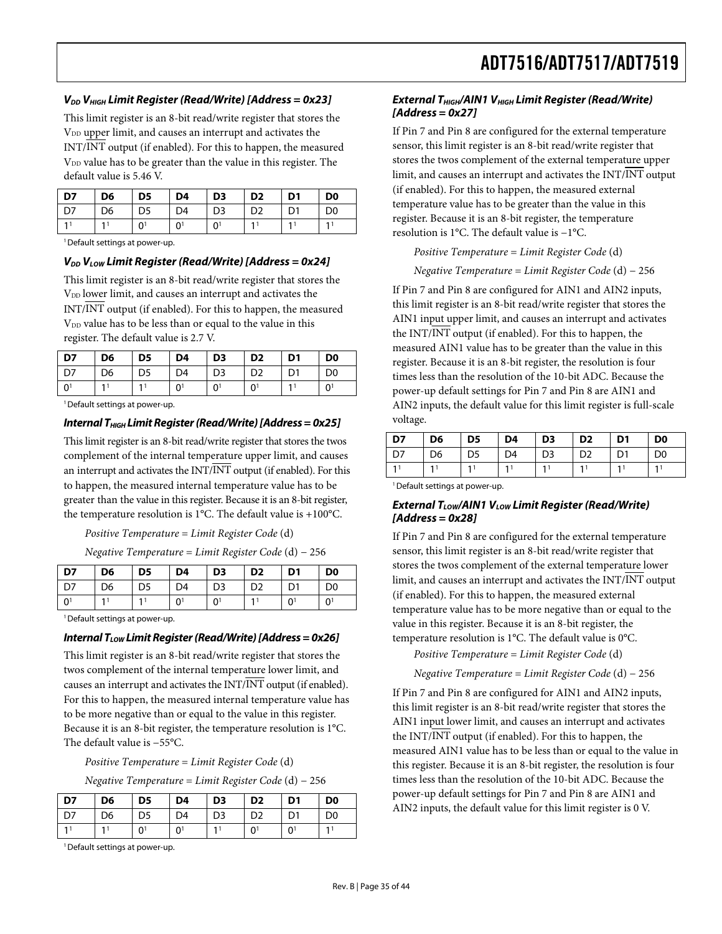### **VDD VHIGH Limit Register (Read/Write) [Address = 0x23]**

This limit register is an 8-bit read/write register that stores the V<sub>DD</sub> upper limit, and causes an interrupt and activates the INT/INT output (if enabled). For this to happen, the measured V<sub>DD</sub> value has to be greater than the value in this register. The default value is 5.46 V.

| $\overline{D7}$ | D <sub>6</sub> | D <sub>5</sub> | D4 | D <sub>3</sub> | D <sub>2</sub> | D1             | D <sub>0</sub> |
|-----------------|----------------|----------------|----|----------------|----------------|----------------|----------------|
| $\overline{D7}$ | D <sub>6</sub> | D5             | D4 | D <sub>3</sub> | D <sub>2</sub> | D <sub>1</sub> | D0             |
| $\overline{a}$  |                | U              |    | $\bigcap$      |                |                |                |

<sup>1</sup> Default settings at power-up.

#### $V_{DD}$   $V_{low}$  Limit Register (Read/Write) [Address = 0x24]

This limit register is an 8-bit read/write register that stores the V<sub>DD</sub> lower limit, and causes an interrupt and activates the INT/INT output (if enabled). For this to happen, the measured  $V<sub>DD</sub>$  value has to be less than or equal to the value in this register. The default value is 2.7 V.

| <b>D7</b>      | D <sub>6</sub> | D <sub>5</sub> | D <sub>4</sub> | D <sub>3</sub> | D <sub>2</sub> | D <sub>1</sub> | D <sub>0</sub> |
|----------------|----------------|----------------|----------------|----------------|----------------|----------------|----------------|
| 1 D7           | D <sub>6</sub> | D5             | D4             | D <sub>3</sub> | D <sub>2</sub> | D <sub>1</sub> | D <sub>0</sub> |
| $\overline{0}$ |                | $\mathbf{1}$   |                | 0 <sup>1</sup> | Ωî             |                |                |

<sup>1</sup> Default settings at power-up.

#### **Internal T<sub>HIGH</sub> Limit Register (Read/Write) [Address = 0x25]**

This limit register is an 8-bit read/write register that stores the twos complement of the internal temperature upper limit, and causes an interrupt and activates the INT/INT output (if enabled). For this to happen, the measured internal temperature value has to be greater than the value in this register. Because it is an 8-bit register, the temperature resolution is 1°C. The default value is +100°C.

*Positive Temperature* = *Limit Register Code* (d)

*Negative Temperature* = *Limit Register Code* (d) − 256

| D7                   | D <sub>6</sub> | D <sub>5</sub> | D <sub>4</sub> | D <sub>3</sub>      | D <sub>2</sub> | D <sub>1</sub> | D <sub>0</sub> |
|----------------------|----------------|----------------|----------------|---------------------|----------------|----------------|----------------|
| D7                   | D <sub>6</sub> | D <sub>5</sub> | D <sub>4</sub> | D <sub>3</sub>      | D <sub>2</sub> | D <sub>1</sub> | D <sub>0</sub> |
| $\mathbf{0}^{\cdot}$ |                |                |                | $\cap$ <sup>1</sup> |                |                |                |

<sup>1</sup> Default settings at power-up.

#### **Internal T<sub>LOW</sub> Limit Register (Read/Write) [Address = 0x26]**

This limit register is an 8-bit read/write register that stores the twos complement of the internal temperature lower limit, and causes an interrupt and activates the INT/INT output (if enabled). For this to happen, the measured internal temperature value has to be more negative than or equal to the value in this register. Because it is an 8-bit register, the temperature resolution is 1°C. The default value is −55°C.

*Positive Temperature* = *Limit Register Code* (d)

*Negative Temperature* = *Limit Register Code* (d) − 256

| D7 | D <sub>6</sub> | D5 | D4 | D <sub>3</sub> | D <sub>2</sub> | D <sub>1</sub> | D0 |
|----|----------------|----|----|----------------|----------------|----------------|----|
| D7 | D6             | D5 | D4 | D3             | D2             |                | D0 |
|    |                |    |    |                |                |                |    |

<sup>1</sup> Default settings at power-up.

### **External T<sub>HIGH</sub>/AIN1 V<sub>HIGH</sub> Limit Register (Read/Write) [Address = 0x27]**

If Pin 7 and Pin 8 are configured for the external temperature sensor, this limit register is an 8-bit read/write register that stores the twos complement of the external temperature upper limit, and causes an interrupt and activates the INT/INT output (if enabled). For this to happen, the measured external temperature value has to be greater than the value in this register. Because it is an 8-bit register, the temperature resolution is 1°C. The default value is −1°C.

#### *Positive Temperature* = *Limit Register Code* (d)

*Negative Temperature* = *Limit Register Code* (d) − 256

If Pin 7 and Pin 8 are configured for AIN1 and AIN2 inputs, this limit register is an 8-bit read/write register that stores the AIN1 input upper limit, and causes an interrupt and activates the INT/INT output (if enabled). For this to happen, the measured AIN1 value has to be greater than the value in this register. Because it is an 8-bit register, the resolution is four times less than the resolution of the 10-bit ADC. Because the power-up default settings for Pin 7 and Pin 8 are AIN1 and AIN2 inputs, the default value for this limit register is full-scale voltage.

| D7             | D6 | D <sub>5</sub> | D <sub>4</sub> | D <sub>3</sub> | D <sub>2</sub> | D <sub>1</sub> | D <sub>0</sub> |
|----------------|----|----------------|----------------|----------------|----------------|----------------|----------------|
| D <sub>7</sub> | D6 | D5             | D4             | D <sub>3</sub> | D <sub>2</sub> | D <sub>1</sub> | D <sub>0</sub> |
|                |    |                |                |                |                | 1              | 11             |
|                |    |                |                |                |                |                |                |

<sup>1</sup> Default settings at power-up.

### **External T<sub>LOW</sub>/AIN1 V<sub>LOW</sub> Limit Register (Read/Write) [Address = 0x28]**

If Pin 7 and Pin 8 are configured for the external temperature sensor, this limit register is an 8-bit read/write register that stores the twos complement of the external temperature lower limit, and causes an interrupt and activates the INT/INT output (if enabled). For this to happen, the measured external temperature value has to be more negative than or equal to the value in this register. Because it is an 8-bit register, the temperature resolution is 1°C. The default value is 0°C.

*Positive Temperature* = *Limit Register Code* (d)

*Negative Temperature* = *Limit Register Code* (d) − 256

If Pin 7 and Pin 8 are configured for AIN1 and AIN2 inputs, this limit register is an 8-bit read/write register that stores the AIN1 input lower limit, and causes an interrupt and activates the INT/INT output (if enabled). For this to happen, the measured AIN1 value has to be less than or equal to the value in this register. Because it is an 8-bit register, the resolution is four times less than the resolution of the 10-bit ADC. Because the power-up default settings for Pin 7 and Pin 8 are AIN1 and AIN2 inputs, the default value for this limit register is 0 V.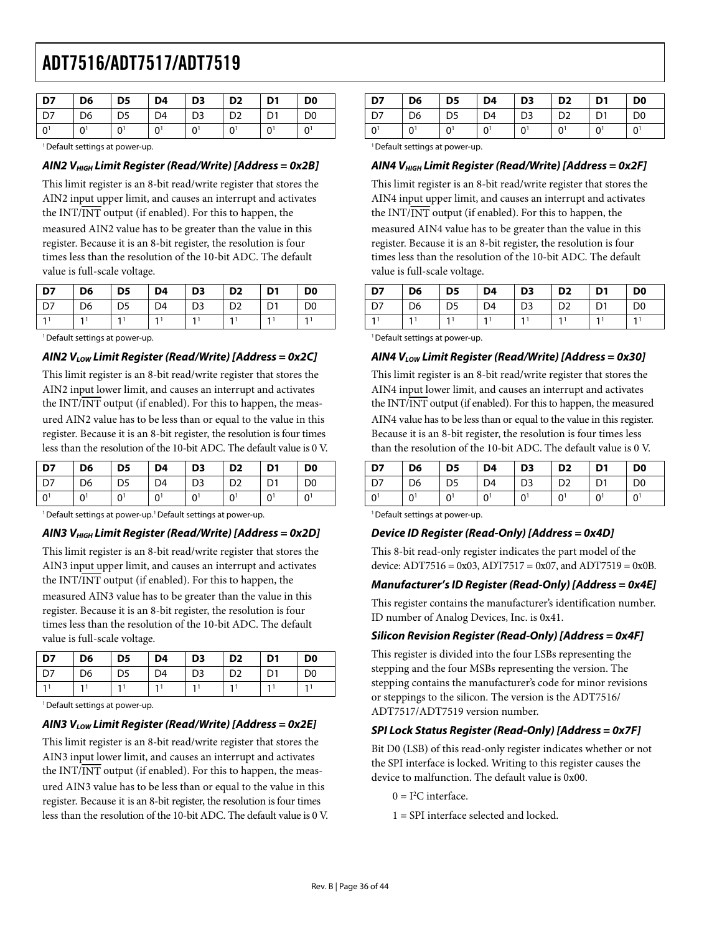| D7   | D <sub>6</sub> | D <sub>5</sub> | D4 | D <sub>3</sub> | D <sub>2</sub> | D <sub>1</sub> | D <sub>0</sub> |
|------|----------------|----------------|----|----------------|----------------|----------------|----------------|
| D7 D | D <sub>6</sub> | D5             | D4 | D <sub>3</sub> | D <sub>2</sub> | D <sub>1</sub> | D <sub>0</sub> |
| . റ' |                | n,             |    | n١             | 0 <sup>1</sup> | $\sim$ 1       | 0 <sup>1</sup> |

<sup>1</sup> Default settings at power-up.

## **AIN2 VHIGH Limit Register (Read/Write) [Address = 0x2B]**

This limit register is an 8-bit read/write register that stores the AIN2 input upper limit, and causes an interrupt and activates the INT/INT output (if enabled). For this to happen, the measured AIN2 value has to be greater than the value in this register. Because it is an 8-bit register, the resolution is four times less than the resolution of the 10-bit ADC. The default value is full-scale voltage.

| D7 | D <sub>6</sub> | D <sub>5</sub> | D4             | D <sub>3</sub> | D <sub>2</sub> | D <sub>1</sub> | D <sub>0</sub> |
|----|----------------|----------------|----------------|----------------|----------------|----------------|----------------|
| D7 | D <sub>6</sub> | D <sub>5</sub> | D <sub>4</sub> | D <sub>3</sub> | D <sub>2</sub> | D1             | D <sub>0</sub> |
|    |                |                |                |                |                |                |                |

<sup>1</sup> Default settings at power-up.

## **AIN2 VLOW Limit Register (Read/Write) [Address = 0x2C]**

This limit register is an 8-bit read/write register that stores the AIN2 input lower limit, and causes an interrupt and activates the  $INT/INT$  output (if enabled). For this to happen, the measured AIN2 value has to be less than or equal to the value in this register. Because it is an 8-bit register, the resolution is four times less than the resolution of the 10-bit ADC. The default value is 0 V.

| D7    | D <sub>6</sub> | D <sub>5</sub> | D4             | D <sub>3</sub>      | D <sub>2</sub> | D <sub>1</sub> | D <sub>0</sub> |
|-------|----------------|----------------|----------------|---------------------|----------------|----------------|----------------|
| D7    | D6             | D <sub>5</sub> | D4             | D <sub>3</sub>      | D <sub>2</sub> |                | D <sub>0</sub> |
| $0^1$ | 0              |                | 0 <sup>1</sup> | $\mathsf{\Omega}^1$ |                | 0              | $0^{\dagger}$  |

<sup>1</sup> Default settings at power-up.<sup>1</sup> Default settings at power-up.

## **AIN3 VHIGH Limit Register (Read/Write) [Address = 0x2D]**

This limit register is an 8-bit read/write register that stores the AIN3 input upper limit, and causes an interrupt and activates the INT/INT output (if enabled). For this to happen, the measured AIN3 value has to be greater than the value in this register. Because it is an 8-bit register, the resolution is four times less than the resolution of the 10-bit ADC. The default value is full-scale voltage.

| כח | D <sub>6</sub> | D <sub>5</sub> | D4 | D <sub>3</sub> | D <sub>2</sub> | D <sub>1</sub> | D <sub>0</sub> |
|----|----------------|----------------|----|----------------|----------------|----------------|----------------|
|    | D <sub>6</sub> |                | D4 | D <sub>3</sub> | מח             |                | D <sub>0</sub> |
|    |                |                |    |                |                |                |                |

<sup>1</sup> Default settings at power-up.

## AIN3 V<sub>LOW</sub> Limit Register (Read/Write) [Address = 0x2E]

This limit register is an 8-bit read/write register that stores the AIN3 input lower limit, and causes an interrupt and activates the INT/INT output (if enabled). For this to happen, the measured AIN3 value has to be less than or equal to the value in this register. Because it is an 8-bit register, the resolution is four times less than the resolution of the 10-bit ADC. The default value is 0 V.

| D7           | D <sub>6</sub> | D <sub>5</sub> | D <sub>4</sub> | D <sub>3</sub> | D <sub>2</sub> |   | D <sub>0</sub>      |
|--------------|----------------|----------------|----------------|----------------|----------------|---|---------------------|
| D7           | D <sub>6</sub> | D <sub>5</sub> | D4             | D3             | D <sub>2</sub> |   | D <sub>0</sub>      |
| <sup>o</sup> |                |                |                | $\Omega$       |                | U | $\mathsf{\Omega}^1$ |

<sup>1</sup> Default settings at power-up.

## **AIN4 VHIGH Limit Register (Read/Write) [Address = 0x2F]**

This limit register is an 8-bit read/write register that stores the AIN4 input upper limit, and causes an interrupt and activates the INT/INT output (if enabled). For this to happen, the measured AIN4 value has to be greater than the value in this register. Because it is an 8-bit register, the resolution is four times less than the resolution of the 10-bit ADC. The default value is full-scale voltage.

| D7 | D6 | D <sub>5</sub> | D <sub>4</sub> | D <sub>3</sub> | D <sub>2</sub> | D <sub>1</sub> | D <sub>0</sub> |
|----|----|----------------|----------------|----------------|----------------|----------------|----------------|
|    | D6 | כע             | D4             | נח             |                |                | D0             |
|    |    |                |                |                |                |                |                |

<sup>1</sup> Default settings at power-up.

### **AIN4 VLOW Limit Register (Read/Write) [Address = 0x30]**

This limit register is an 8-bit read/write register that stores the AIN4 input lower limit, and causes an interrupt and activates the INT/INT output (if enabled). For this to happen, the measured AIN4 value has to be less than or equal to the value in this register. Because it is an 8-bit register, the resolution is four times less than the resolution of the 10-bit ADC. The default value is 0 V.

| D7 | D6       | D5 | D4 | D <sub>3</sub> | D <sub>2</sub> | D1 | D <sub>0</sub> |
|----|----------|----|----|----------------|----------------|----|----------------|
|    | D6       |    | D4 | D3             | D2             | n1 | D <sub>0</sub> |
| n  | $\Omega$ |    |    |                |                |    | 0              |

<sup>1</sup> Default settings at power-up.

#### **Device ID Register (Read-Only) [Address = 0x4D]**

This 8-bit read-only register indicates the part model of the device:  $ADT7516 = 0x03$ ,  $ADT7517 = 0x07$ , and  $ADT7519 = 0x0B$ .

## **Manufacturer's ID Register (Read-Only) [Address = 0x4E]**

This register contains the manufacturer's identification number. ID number of Analog Devices, Inc. is 0x41.

## **Silicon Revision Register (Read-Only) [Address = 0x4F]**

This register is divided into the four LSBs representing the stepping and the four MSBs representing the version. The stepping contains the manufacturer's code for minor revisions or steppings to the silicon. The version is the ADT7516/ ADT7517/ADT7519 version number.

## **SPI Lock Status Register (Read-Only) [Address = 0x7F]**

Bit D0 (LSB) of this read-only register indicates whether or not the SPI interface is locked. Writing to this register causes the device to malfunction. The default value is 0x00.

- $0 = I<sup>2</sup>C$  interface.
- 1 = SPI interface selected and locked.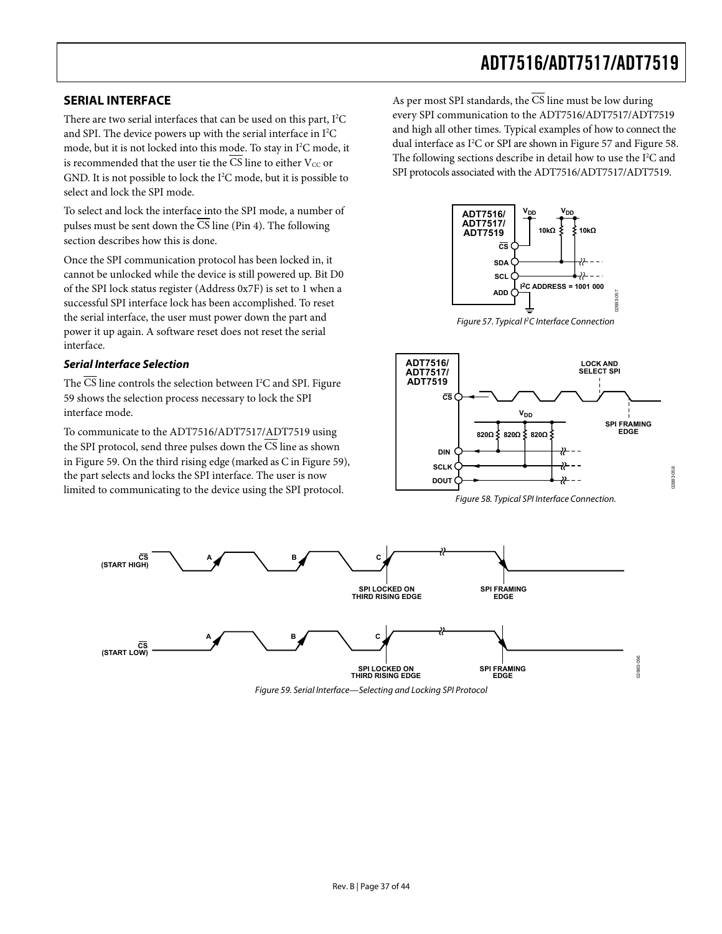## <span id="page-36-2"></span><span id="page-36-0"></span>**SERIAL INTERFACE**

There are two serial interfaces that can be used on this part,  $I^2C$ and SPI. The device powers up with the serial interface in  $I^2C$ mode, but it is not locked into this mode. To stay in I<sup>2</sup>C mode, it is recommended that the user tie the  $\overline{\text{CS}}$  line to either  $V_{\text{CC}}$  or GND. It is not possible to lock the I<sup>2</sup>C mode, but it is possible to select and lock the SPI mode.

To select and lock the interface into the SPI mode, a number of pulses must be sent down the CS line (Pin 4). The following section describes how this is done.

Once the SPI communication protocol has been locked in, it cannot be unlocked while the device is still powered up. Bit D0 of the SPI lock status register (Address 0x7F) is set to 1 when a successful SPI interface lock has been accomplished. To reset the serial interface, the user must power down the part and power it up again. A software reset does not reset the serial interface.

## <span id="page-36-4"></span><span id="page-36-1"></span>**Serial Interface Selection**

The CS line controls the selection between  $I^2C$  and SPI. Figure [59](#page-36-3) shows the selection process necessary to lock the SPI interface mode.

<span id="page-36-5"></span>To communicate to the ADT7516/ADT7517/ADT7519 using the SPI protocol, send three pulses down the  $\overline{\text{CS}}$  line as shown in [Figure 59](#page-36-3). On the third rising edge (marked as C in [Figure 59](#page-36-3)), the part selects and locks the SPI interface. The user is now limited to communicating to the device using the SPI protocol.

As per most SPI standards, the  $\overline{\text{CS}}$  line must be low during every SPI communication to the ADT7516/ADT7517/ADT7519 and high all other times. Typical examples of how to connect the dual interface as I<sup>2</sup>C or SPI are shown in [Figure 57](#page-36-4) and [Figure 58](#page-36-5). The following sections describe in detail how to use the  $I<sup>2</sup>C$  and SPI protocols associated with the ADT7516/ADT7517/ADT7519.

![](_page_36_Figure_9.jpeg)

Figure 57. Typical I<sup>2</sup>C Interface Connection

![](_page_36_Figure_11.jpeg)

Figure 58. Typical SPI Interface Connection.

02883-058

<span id="page-36-3"></span>![](_page_36_Figure_13.jpeg)

Figure 59. Serial Interface—Selecting and Locking SPI Protocol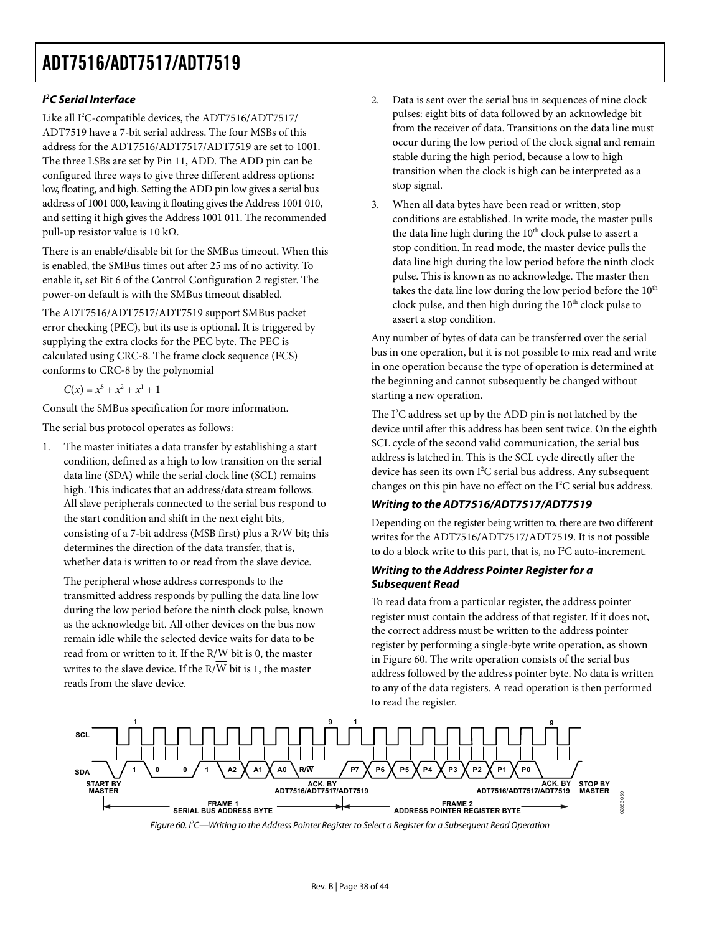## **I 2 C Serial Interface**

Like all I<sup>2</sup>C-compatible devices, the ADT7516/ADT7517/ ADT7519 have a 7-bit serial address. The four MSBs of this address for the ADT7516/ADT7517/ADT7519 are set to 1001. The three LSBs are set by Pin 11, ADD. The ADD pin can be configured three ways to give three different address options: low, floating, and high. Setting the ADD pin low gives a serial bus address of 1001 000, leaving it floating gives the Address 1001 010, and setting it high gives the Address 1001 011. The recommended pull-up resistor value is 10 kΩ.

There is an enable/disable bit for the SMBus timeout. When this is enabled, the SMBus times out after 25 ms of no activity. To enable it, set Bit 6 of the Control Configuration 2 register. The power-on default is with the SMBus timeout disabled.

The ADT7516/ADT7517/ADT7519 support SMBus packet error checking (PEC), but its use is optional. It is triggered by supplying the extra clocks for the PEC byte. The PEC is calculated using CRC-8. The frame clock sequence (FCS) conforms to CRC-8 by the polynomial

 $C(x) = x^8 + x^2 + x^1 + 1$ 

Consult the SMBus specification for more information.

The serial bus protocol operates as follows:

1. The master initiates a data transfer by establishing a start condition, defined as a high to low transition on the serial data line (SDA) while the serial clock line (SCL) remains high. This indicates that an address/data stream follows. All slave peripherals connected to the serial bus respond to the start condition and shift in the next eight bits, consisting of a 7-bit address (MSB first) plus a R/W bit; this determines the direction of the data transfer, that is, whether data is written to or read from the slave device.

The peripheral whose address corresponds to the transmitted address responds by pulling the data line low during the low period before the ninth clock pulse, known as the acknowledge bit. All other devices on the bus now remain idle while the selected device waits for data to be read from or written to it. If the  $R/\overline{W}$  bit is 0, the master writes to the slave device. If the  $R/\overline{W}$  bit is 1, the master reads from the slave device.

- 2. Data is sent over the serial bus in sequences of nine clock pulses: eight bits of data followed by an acknowledge bit from the receiver of data. Transitions on the data line must occur during the low period of the clock signal and remain stable during the high period, because a low to high transition when the clock is high can be interpreted as a stop signal.
- 3. When all data bytes have been read or written, stop conditions are established. In write mode, the master pulls the data line high during the 10<sup>th</sup> clock pulse to assert a stop condition. In read mode, the master device pulls the data line high during the low period before the ninth clock pulse. This is known as no acknowledge. The master then takes the data line low during the low period before the 10<sup>th</sup> clock pulse, and then high during the 10<sup>th</sup> clock pulse to assert a stop condition.

Any number of bytes of data can be transferred over the serial bus in one operation, but it is not possible to mix read and write in one operation because the type of operation is determined at the beginning and cannot subsequently be changed without starting a new operation.

The I<sup>2</sup>C address set up by the ADD pin is not latched by the device until after this address has been sent twice. On the eighth SCL cycle of the second valid communication, the serial bus address is latched in. This is the SCL cycle directly after the device has seen its own I<sup>2</sup>C serial bus address. Any subsequent changes on this pin have no effect on the  $I^2C$  serial bus address.

## **Writing to the ADT7516/ADT7517/ADT7519**

Depending on the register being written to, there are two different writes for the ADT7516/ADT7517/ADT7519. It is not possible to do a block write to this part, that is, no  $I^2C$  auto-increment.

## **Writing to the Address Pointer Register for a Subsequent Read**

To read data from a particular register, the address pointer register must contain the address of that register. If it does not, the correct address must be written to the address pointer register by performing a single-byte write operation, as shown in [Figure 60](#page-37-0). The write operation consists of the serial bus address followed by the address pointer byte. No data is written to any of the data registers. A read operation is then performed to read the register.

<span id="page-37-0"></span>![](_page_37_Figure_18.jpeg)

Figure 60. I2 C—Writing to the Address Pointer Register to Select a Register for a Subsequent Read Operation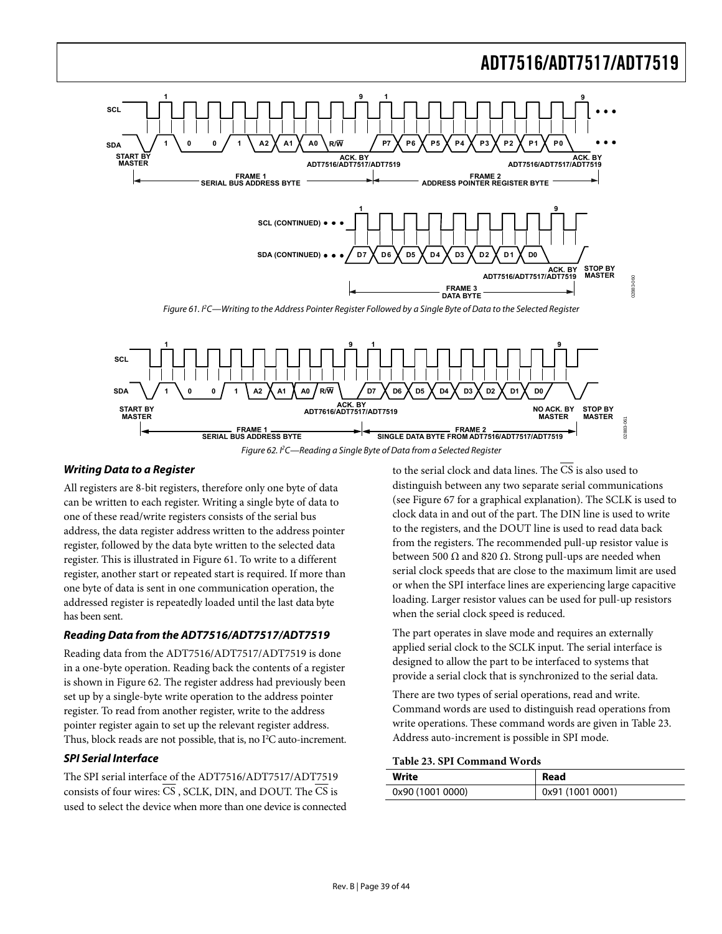![](_page_38_Figure_1.jpeg)

<span id="page-38-0"></span>![](_page_38_Figure_2.jpeg)

## <span id="page-38-1"></span>**Writing Data to a Register**

All registers are 8-bit registers, therefore only one byte of data can be written to each register. Writing a single byte of data to one of these read/write registers consists of the serial bus address, the data register address written to the address pointer register, followed by the data byte written to the selected data register. This is illustrated in [Figure 61](#page-38-0). To write to a different register, another start or repeated start is required. If more than one byte of data is sent in one communication operation, the addressed register is repeatedly loaded until the last data byte has been sent.

## **Reading Data from the ADT7516/ADT7517/ADT7519**

Reading data from the ADT7516/ADT7517/ADT7519 is done in a one-byte operation. Reading back the contents of a register is shown in [Figure 62.](#page-38-1) The register address had previously been set up by a single-byte write operation to the address pointer register. To read from another register, write to the address pointer register again to set up the relevant register address. Thus, block reads are not possible, that is, no  $I<sup>2</sup>C$  auto-increment.

## <span id="page-38-2"></span>**SPI Serial Interface**

The SPI serial interface of the ADT7516/ADT7517/ADT7519 consists of four wires:  $\overline{CS}$ , SCLK, DIN, and DOUT. The  $\overline{CS}$  is used to select the device when more than one device is connected to the serial clock and data lines. The CS is also used to distinguish between any two separate serial communications (see [Figure 67](#page-40-0) for a graphical explanation). The SCLK is used to clock data in and out of the part. The DIN line is used to write to the registers, and the DOUT line is used to read data back from the registers. The recommended pull-up resistor value is between 500  $\Omega$  and 820  $\Omega$ . Strong pull-ups are needed when serial clock speeds that are close to the maximum limit are used or when the SPI interface lines are experiencing large capacitive loading. Larger resistor values can be used for pull-up resistors when the serial clock speed is reduced.

The part operates in slave mode and requires an externally applied serial clock to the SCLK input. The serial interface is designed to allow the part to be interfaced to systems that provide a serial clock that is synchronized to the serial data.

There are two types of serial operations, read and write. Command words are used to distinguish read operations from write operations. These command words are given in [Table 23](#page-38-2). Address auto-increment is possible in SPI mode.

#### **Table 23. SPI Command Words**

| Write            | Read             |
|------------------|------------------|
| 0x90 (1001 0000) | 0x91 (1001 0001) |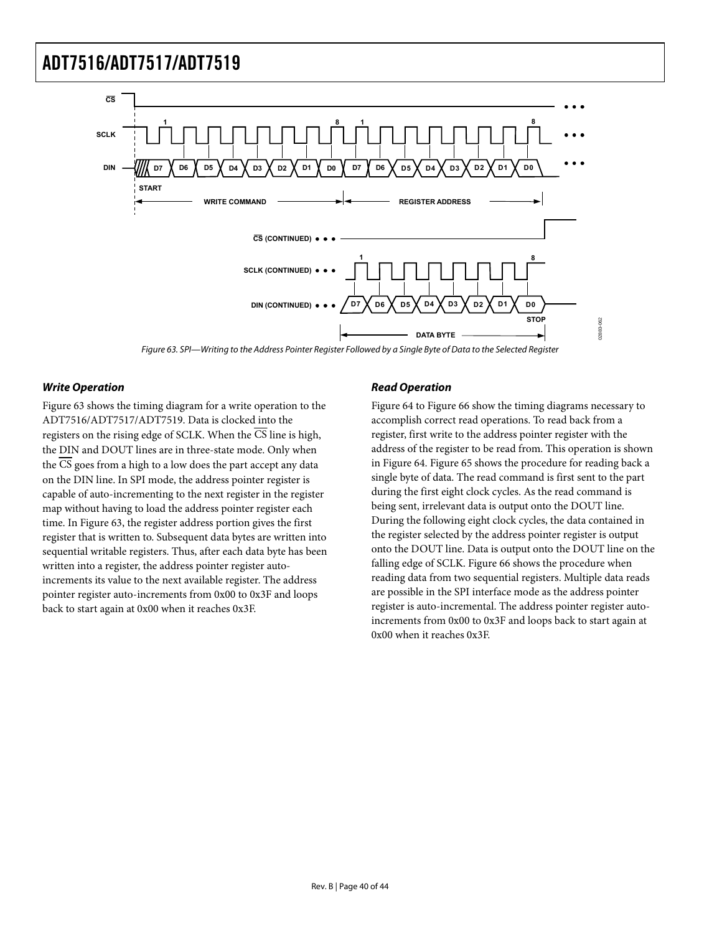![](_page_39_Figure_1.jpeg)

Figure 63. SPI—Writing to the Address Pointer Register Followed by a Single Byte of Data to the Selected Register

### <span id="page-39-0"></span>**Write Operation**

[Figure 63](#page-39-0) shows the timing diagram for a write operation to the ADT7516/ADT7517/ADT7519. Data is clocked into the registers on the rising edge of SCLK. When the  $\overline{\text{CS}}$  line is high, the DIN and DOUT lines are in three-state mode. Only when the CS goes from a high to a low does the part accept any data on the DIN line. In SPI mode, the address pointer register is capable of auto-incrementing to the next register in the register map without having to load the address pointer register each time. In [Figure 63](#page-39-0), the register address portion gives the first register that is written to. Subsequent data bytes are written into sequential writable registers. Thus, after each data byte has been written into a register, the address pointer register autoincrements its value to the next available register. The address pointer register auto-increments from 0x00 to 0x3F and loops back to start again at 0x00 when it reaches 0x3F.

## **Read Operation**

[Figure 64](#page-40-1) to [Figure 66](#page-40-2) show the timing diagrams necessary to accomplish correct read operations. To read back from a register, first write to the address pointer register with the address of the register to be read from. This operation is shown in [Figure 64](#page-40-1). [Figure 65](#page-40-3) shows the procedure for reading back a single byte of data. The read command is first sent to the part during the first eight clock cycles. As the read command is being sent, irrelevant data is output onto the DOUT line. During the following eight clock cycles, the data contained in the register selected by the address pointer register is output onto the DOUT line. Data is output onto the DOUT line on the falling edge of SCLK. [Figure 66](#page-40-2) shows the procedure when reading data from two sequential registers. Multiple data reads are possible in the SPI interface mode as the address pointer register is auto-incremental. The address pointer register autoincrements from 0x00 to 0x3F and loops back to start again at 0x00 when it reaches 0x3F.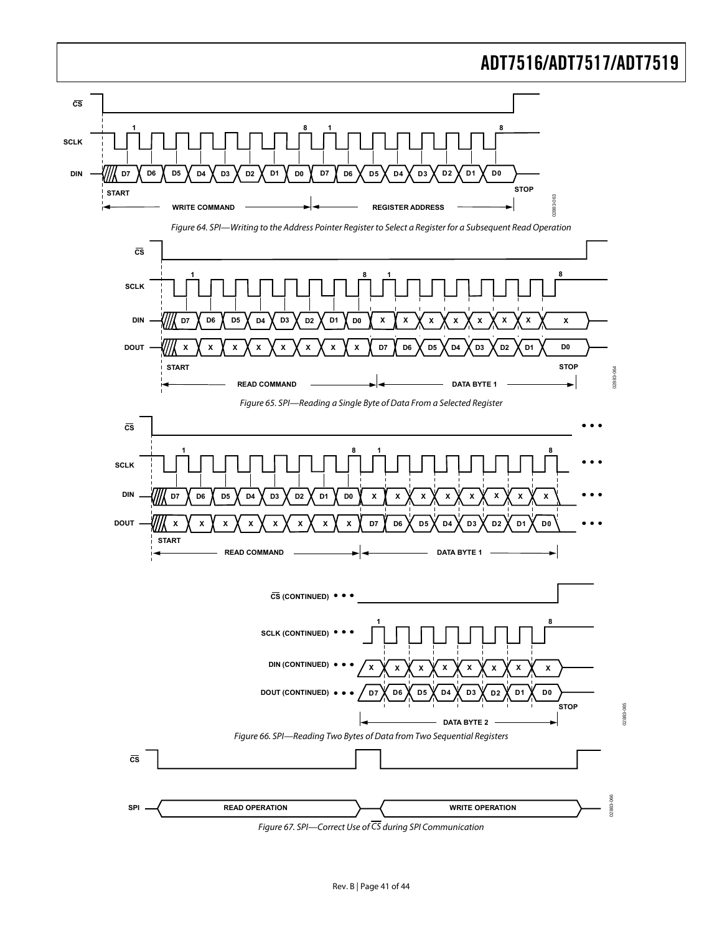<span id="page-40-3"></span><span id="page-40-1"></span>![](_page_40_Figure_1.jpeg)

<span id="page-40-2"></span><span id="page-40-0"></span>Figure 67. SPI—Correct Use of CS during SPI Communication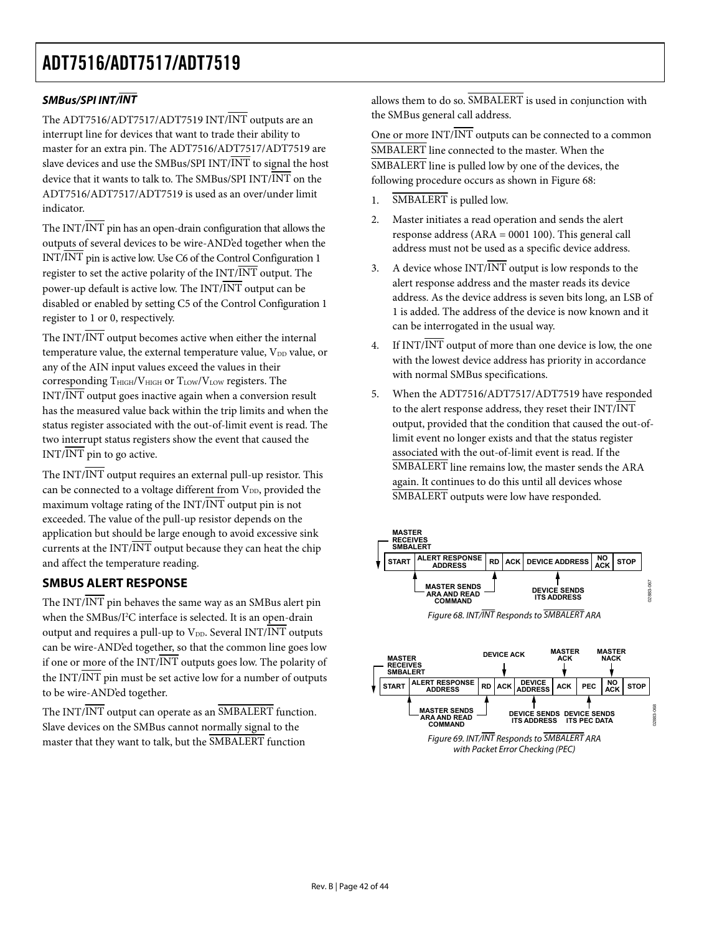## <span id="page-41-0"></span>**SMBus/SPI INT/INT**

The ADT7516/ADT7517/ADT7519 INT/INT outputs are an interrupt line for devices that want to trade their ability to master for an extra pin. The ADT7516/ADT7517/ADT7519 are slave devices and use the SMBus/SPI INT/ $\overline{\text{INT}}$  to signal the host device that it wants to talk to. The SMBus/SPI  $INT/INT$  on the ADT7516/ADT7517/ADT7519 is used as an over/under limit indicator.

The  $INT/\overline{INT}$  pin has an open-drain configuration that allows the outputs of several devices to be wire-AND'ed together when the INT/INT pin is active low. Use C6 of the Control Configuration 1 register to set the active polarity of the  $INT/INT$  output. The power-up default is active low. The INT/INT output can be disabled or enabled by setting C5 of the Control Configuration 1 register to 1 or 0, respectively.

The  $INT/\overline{INT}$  output becomes active when either the internal temperature value, the external temperature value,  $V_{DD}$  value, or any of the AIN input values exceed the values in their corresponding  $T_{\text{HIGH}}/V_{\text{HIGH}}$  or  $T_{\text{LOW}}/V_{\text{LOW}}$  registers. The INT/INT output goes inactive again when a conversion result has the measured value back within the trip limits and when the status register associated with the out-of-limit event is read. The two interrupt status registers show the event that caused the INT/INT pin to go active.

The  $INT/\overline{INT}$  output requires an external pull-up resistor. This can be connected to a voltage different from V<sub>DD</sub>, provided the maximum voltage rating of the INT/INT output pin is not exceeded. The value of the pull-up resistor depends on the application but should be large enough to avoid excessive sink currents at the  $INT/INT$  output because they can heat the chip and affect the temperature reading.

## **SMBUS ALERT RESPONSE**

<span id="page-41-1"></span>The INT/INT pin behaves the same way as an SMBus alert pin when the SMBus/I<sup>2</sup>C interface is selected. It is an open-drain output and requires a pull-up to  $V_{DD}$ . Several INT/INT outputs can be wire-AND'ed together, so that the common line goes low if one or more of the INT/INT outputs goes low. The polarity of the  $INT/\overline{INT}$  pin must be set active low for a number of outputs to be wire-AND'ed together.

The INT/INT output can operate as an SMBALERT function. Slave devices on the SMBus cannot normally signal to the master that they want to talk, but the SMBALERT function

allows them to do so. SMBALERT is used in conjunction with the SMBus general call address.

One or more INT/INT outputs can be connected to a common SMBALERT line connected to the master. When the SMBALERT line is pulled low by one of the devices, the following procedure occurs as shown in [Figure 68](#page-41-1):

- 1. SMBALERT is pulled low.
- 2. Master initiates a read operation and sends the alert response address (ARA = 0001 100). This general call address must not be used as a specific device address.
- 3. A device whose  $INT/INT$  output is low responds to the alert response address and the master reads its device address. As the device address is seven bits long, an LSB of 1 is added. The address of the device is now known and it can be interrogated in the usual way.
- 4. If  $INT/INT$  output of more than one device is low, the one with the lowest device address has priority in accordance with normal SMBus specifications.
- 5. When the ADT7516/ADT7517/ADT7519 have responded to the alert response address, they reset their INT/INT output, provided that the condition that caused the out-oflimit event no longer exists and that the status register associated with the out-of-limit event is read. If the SMBALERT line remains low, the master sends the ARA again. It continues to do this until all devices whose SMBALERT outputs were low have responded.

![](_page_41_Figure_16.jpeg)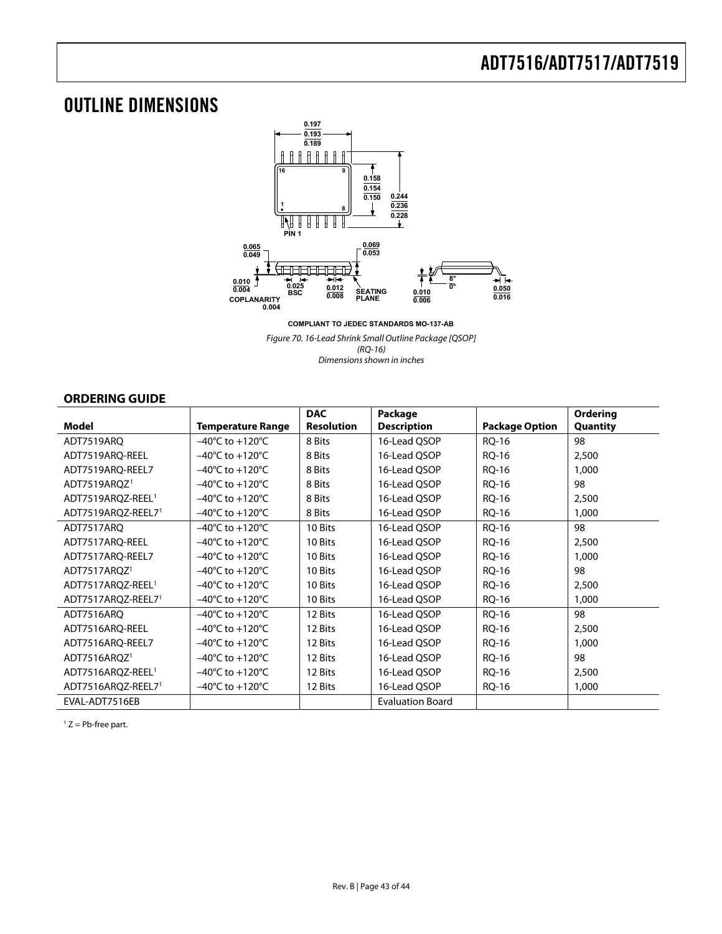## <span id="page-42-0"></span>OUTLINE DIMENSIONS

![](_page_42_Figure_2.jpeg)

**COMPLIANT TO JEDEC STANDARDS MO-137-AB**

Figure 70. 16-Lead Shrink Small Outline Package [QSOP] (RQ-16) Dimensions shown in inches

## **ORDERING GUIDE**

<span id="page-42-1"></span>

|                               |                                     | <b>DAC</b>        | Package                 |                       | Ordering |
|-------------------------------|-------------------------------------|-------------------|-------------------------|-----------------------|----------|
| <b>Model</b>                  | <b>Temperature Range</b>            | <b>Resolution</b> | <b>Description</b>      | <b>Package Option</b> | Quantity |
| ADT7519ARQ                    | $-40^{\circ}$ C to $+120^{\circ}$ C | 8 Bits            | 16-Lead QSOP            | RQ-16                 | 98       |
| ADT7519ARO-REEL               | $-40^{\circ}$ C to $+120^{\circ}$ C | 8 Bits            | 16-Lead QSOP            | RQ-16                 | 2,500    |
| ADT7519ARQ-REEL7              | $-40^{\circ}$ C to $+120^{\circ}$ C | 8 Bits            | 16-Lead QSOP            | <b>RQ-16</b>          | 1,000    |
| ADT7519ARQZ <sup>1</sup>      | $-40^{\circ}$ C to $+120^{\circ}$ C | 8 Bits            | 16-Lead QSOP            | RQ-16                 | 98       |
| ADT7519AROZ-REEL <sup>1</sup> | $-40^{\circ}$ C to $+120^{\circ}$ C | 8 Bits            | 16-Lead QSOP            | RQ-16                 | 2,500    |
| ADT7519ARQZ-REEL71            | $-40^{\circ}$ C to $+120^{\circ}$ C | 8 Bits            | 16-Lead QSOP            | RQ-16                 | 1,000    |
| ADT7517ARO                    | $-40^{\circ}$ C to $+120^{\circ}$ C | 10 Bits           | 16-Lead OSOP            | RQ-16                 | 98       |
| ADT7517ARQ-REEL               | $-40^{\circ}$ C to $+120^{\circ}$ C | 10 Bits           | 16-Lead QSOP            | RQ-16                 | 2,500    |
| ADT7517ARQ-REEL7              | $-40^{\circ}$ C to $+120^{\circ}$ C | 10 Bits           | 16-Lead QSOP            | <b>RQ-16</b>          | 1,000    |
| ADT7517ARQZ <sup>1</sup>      | $-40^{\circ}$ C to $+120^{\circ}$ C | 10 Bits           | 16-Lead QSOP            | RQ-16                 | 98       |
| ADT7517ARQZ-REEL <sup>1</sup> | $-40^{\circ}$ C to $+120^{\circ}$ C | 10 Bits           | 16-Lead QSOP            | RQ-16                 | 2,500    |
| ADT7517ARQZ-REEL71            | $-40^{\circ}$ C to $+120^{\circ}$ C | 10 Bits           | 16-Lead QSOP            | RQ-16                 | 1,000    |
| ADT7516ARO                    | $-40^{\circ}$ C to $+120^{\circ}$ C | 12 Bits           | 16-Lead OSOP            | RQ-16                 | 98       |
| ADT7516ARQ-REEL               | $-40^{\circ}$ C to $+120^{\circ}$ C | 12 Bits           | 16-Lead QSOP            | <b>RQ-16</b>          | 2,500    |
| ADT7516ARQ-REEL7              | $-40^{\circ}$ C to $+120^{\circ}$ C | 12 Bits           | 16-Lead QSOP            | RQ-16                 | 1,000    |
| ADT7516ARQZ <sup>1</sup>      | $-40^{\circ}$ C to $+120^{\circ}$ C | 12 Bits           | 16-Lead QSOP            | RQ-16                 | 98       |
| ADT7516AROZ-REEL <sup>1</sup> | $-40^{\circ}$ C to $+120^{\circ}$ C | 12 Bits           | 16-Lead QSOP            | RQ-16                 | 2,500    |
| ADT7516ARQZ-REEL71            | $-40^{\circ}$ C to $+120^{\circ}$ C | 12 Bits           | 16-Lead QSOP            | RQ-16                 | 1,000    |
| EVAL-ADT7516EB                |                                     |                   | <b>Evaluation Board</b> |                       |          |

 $1 Z = Pb$ -free part.